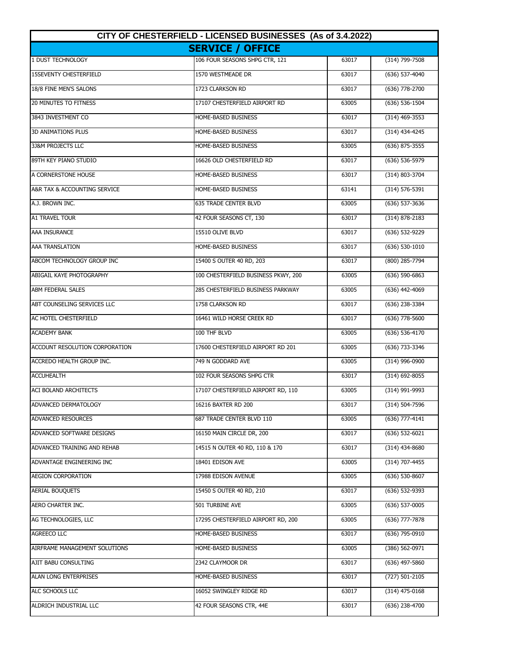| CITY OF CHESTERFIELD - LICENSED BUSINESSES (As of 3.4.2022) |                                     |       |                    |
|-------------------------------------------------------------|-------------------------------------|-------|--------------------|
|                                                             | <b>SERVICE / OFFICE</b>             |       |                    |
| 1 DUST TECHNOLOGY                                           | 106 FOUR SEASONS SHPG CTR, 121      | 63017 | $(314)$ 799-7508   |
| <b>15SEVENTY CHESTERFIELD</b>                               | 1570 WESTMEADE DR                   | 63017 | (636) 537-4040     |
| 18/8 FINE MEN'S SALONS                                      | 1723 CLARKSON RD                    | 63017 | (636) 778-2700     |
| <b>20 MINUTES TO FITNESS</b>                                | 17107 CHESTERFIELD AIRPORT RD       | 63005 | (636) 536-1504     |
| 3843 INVESTMENT CO                                          | HOME-BASED BUSINESS                 | 63017 | $(314)$ 469-3553   |
| <b>3D ANIMATIONS PLUS</b>                                   | HOME-BASED BUSINESS                 | 63017 | (314) 434-4245     |
| 3J&M PROJECTS LLC                                           | HOME-BASED BUSINESS                 | 63005 | $(636)$ 875-3555   |
| 89TH KEY PIANO STUDIO                                       | 16626 OLD CHESTERFIELD RD           | 63017 | (636) 536-5979     |
| A CORNERSTONE HOUSE                                         | HOME-BASED BUSINESS                 | 63017 | (314) 803-3704     |
| A&R TAX & ACCOUNTING SERVICE                                | HOME-BASED BUSINESS                 | 63141 | $(314) 576 - 5391$ |
| A.J. BROWN INC.                                             | <b>635 TRADE CENTER BLVD</b>        | 63005 | (636) 537-3636     |
| <b>A1 TRAVEL TOUR</b>                                       | 42 FOUR SEASONS CT, 130             | 63017 | $(314) 878 - 2183$ |
| AAA INSURANCE                                               | 15510 OLIVE BLVD                    | 63017 | (636) 532-9229     |
| <b>AAA TRANSLATION</b>                                      | HOME-BASED BUSINESS                 | 63017 | $(636)$ 530-1010   |
| ABCOM TECHNOLOGY GROUP INC                                  | 15400 S OUTER 40 RD, 203            | 63017 | $(800)$ 285-7794   |
| <b>ABIGAIL KAYE PHOTOGRAPHY</b>                             | 100 CHESTERFIELD BUSINESS PKWY, 200 | 63005 | $(636)$ 590-6863   |
| <b>ABM FEDERAL SALES</b>                                    | 285 CHESTERFIELD BUSINESS PARKWAY   | 63005 | (636) 442-4069     |
| ABT COUNSELING SERVICES LLC                                 | 1758 CLARKSON RD                    | 63017 | (636) 238-3384     |
| AC HOTEL CHESTERFIELD                                       | 16461 WILD HORSE CREEK RD           | 63017 | (636) 778-5600     |
| <b>ACADEMY BANK</b>                                         | 100 THF BLVD                        | 63005 | (636) 536-4170     |
| ACCOUNT RESOLUTION CORPORATION                              | 17600 CHESTERFIELD AIRPORT RD 201   | 63005 | (636) 733-3346     |
| ACCREDO HEALTH GROUP INC.                                   | 749 N GODDARD AVE                   | 63005 | (314) 996-0900     |
| <b>ACCUHEALTH</b>                                           | 102 FOUR SEASONS SHPG CTR           | 63017 | $(314)$ 692-8055   |
| ACI BOLAND ARCHITECTS                                       | 17107 CHESTERFIELD AIRPORT RD, 110  | 63005 | (314) 991-9993     |
| ADVANCED DERMATOLOGY                                        | 16216 BAXTER RD 200                 | 63017 | (314) 504-7596     |
| <b>ADVANCED RESOURCES</b>                                   | 687 TRADE CENTER BLVD 110           | 63005 | (636) 777-4141     |
| ADVANCED SOFTWARE DESIGNS                                   | 16150 MAIN CIRCLE DR, 200           | 63017 | $(636) 532 - 6021$ |
| ADVANCED TRAINING AND REHAB                                 | 14515 N OUTER 40 RD, 110 & 170      | 63017 | (314) 434-8680     |
| ADVANTAGE ENGINEERING INC                                   | 18401 EDISON AVE                    | 63005 | (314) 707-4455     |
| <b>AEGION CORPORATION</b>                                   | 17988 EDISON AVENUE                 | 63005 | (636) 530-8607     |
| <b>AERIAL BOUQUETS</b>                                      | 15450 S OUTER 40 RD, 210            | 63017 | (636) 532-9393     |
| AERO CHARTER INC.                                           | 501 TURBINE AVE                     | 63005 | $(636)$ 537-0005   |
| AG TECHNOLOGIES, LLC                                        | 17295 CHESTERFIELD AIRPORT RD, 200  | 63005 | (636) 777-7878     |
| AGREECO LLC                                                 | HOME-BASED BUSINESS                 | 63017 | (636) 795-0910     |
| AIRFRAME MANAGEMENT SOLUTIONS                               | HOME-BASED BUSINESS                 | 63005 | (386) 562-0971     |
| AJIT BABU CONSULTING                                        | 2342 CLAYMOOR DR                    | 63017 | $(636)$ 497-5860   |
| <b>ALAN LONG ENTERPRISES</b>                                | HOME-BASED BUSINESS                 | 63017 | (727) 501-2105     |
| ALC SCHOOLS LLC                                             | 16052 SWINGLEY RIDGE RD             | 63017 | $(314)$ 475-0168   |
| ALDRICH INDUSTRIAL LLC                                      | 42 FOUR SEASONS CTR, 44E            | 63017 | $(636)$ 238-4700   |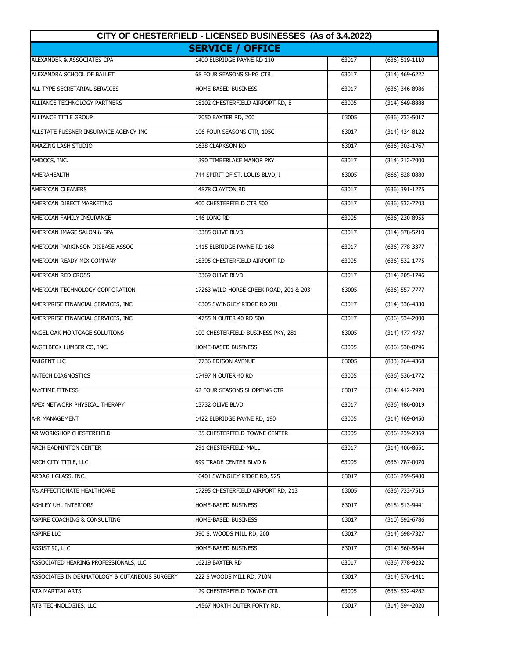| CITY OF CHESTERFIELD - LICENSED BUSINESSES (As of 3.4.2022) |                                        |       |                    |
|-------------------------------------------------------------|----------------------------------------|-------|--------------------|
|                                                             | <b>SERVICE / OFFICE</b>                |       |                    |
| ALEXANDER & ASSOCIATES CPA                                  | 1400 ELBRIDGE PAYNE RD 110             | 63017 | (636) 519-1110     |
| ALEXANDRA SCHOOL OF BALLET                                  | 68 FOUR SEASONS SHPG CTR               | 63017 | $(314)$ 469-6222   |
| ALL TYPE SECRETARIAL SERVICES                               | HOME-BASED BUSINESS                    | 63017 | (636) 346-8986     |
| ALLIANCE TECHNOLOGY PARTNERS                                | 18102 CHESTERFIELD AIRPORT RD, E       | 63005 | (314) 649-8888     |
| <b>ALLIANCE TITLE GROUP</b>                                 | 17050 BAXTER RD, 200                   | 63005 | (636) 733-5017     |
| ALLSTATE FUSSNER INSURANCE AGENCY INC                       | 106 FOUR SEASONS CTR, 105C             | 63017 | $(314)$ 434-8122   |
| AMAZING LASH STUDIO                                         | 1638 CLARKSON RD                       | 63017 | $(636)$ 303-1767   |
| AMDOCS, INC.                                                | 1390 TIMBERLAKE MANOR PKY              | 63017 | (314) 212-7000     |
| <b>AMERAHEALTH</b>                                          | 744 SPIRIT OF ST. LOUIS BLVD, I        | 63005 | (866) 828-0880     |
| <b>AMERICAN CLEANERS</b>                                    | 14878 CLAYTON RD                       | 63017 | (636) 391-1275     |
| AMERICAN DIRECT MARKETING                                   | 400 CHESTERFIELD CTR 500               | 63017 | (636) 532-7703     |
| AMERICAN FAMILY INSURANCE                                   | 146 LONG RD                            | 63005 | $(636)$ 230-8955   |
| AMERICAN IMAGE SALON & SPA                                  | 13385 OLIVE BLVD                       | 63017 | $(314) 878 - 5210$ |
| AMERICAN PARKINSON DISEASE ASSOC                            | 1415 ELBRIDGE PAYNE RD 168             | 63017 | (636) 778-3377     |
| AMERICAN READY MIX COMPANY                                  | 18395 CHESTERFIELD AIRPORT RD          | 63005 | $(636)$ 532-1775   |
| AMERICAN RED CROSS                                          | 13369 OLIVE BLVD                       | 63017 | (314) 205-1746     |
| AMERICAN TECHNOLOGY CORPORATION                             | 17263 WILD HORSE CREEK ROAD, 201 & 203 | 63005 | (636) 557-7777     |
| AMERIPRISE FINANCIAL SERVICES, INC.                         | 16305 SWINGLEY RIDGE RD 201            | 63017 | (314) 336-4330     |
| AMERIPRISE FINANCIAL SERVICES, INC.                         | 14755 N OUTER 40 RD 500                | 63017 | $(636)$ 534-2000   |
| ANGEL OAK MORTGAGE SOLUTIONS                                | 100 CHESTERFIELD BUSINESS PKY, 281     | 63005 | (314) 477-4737     |
| ANGELBECK LUMBER CO, INC.                                   | HOME-BASED BUSINESS                    | 63005 | (636) 530-0796     |
| <b>ANIGENT LLC</b>                                          | 17736 EDISON AVENUE                    | 63005 | (833) 264-4368     |
| <b>ANTECH DIAGNOSTICS</b>                                   | 17497 N OUTER 40 RD                    | 63005 | $(636)$ 536-1772   |
| <b>ANYTIME FITNESS</b>                                      | <b>62 FOUR SEASONS SHOPPING CTR</b>    | 63017 | $(314)$ 412-7970   |
| APEX NETWORK PHYSICAL THERAPY                               | 13732 OLIVE BLVD                       | 63017 | (636) 486-0019     |
| A-R MANAGEMENT                                              | 1422 ELBRIDGE PAYNE RD, 190            | 63005 | (314) 469-0450     |
| AR WORKSHOP CHESTERFIELD                                    | 135 CHESTERFIELD TOWNE CENTER          | 63005 | (636) 239-2369     |
| ARCH BADMINTON CENTER                                       | 291 CHESTERFIELD MALL                  | 63017 | $(314)$ 406-8651   |
| ARCH CITY TITLE, LLC                                        | 699 TRADE CENTER BLVD B                | 63005 | (636) 787-0070     |
| ARDAGH GLASS, INC.                                          | 16401 SWINGLEY RIDGE RD, 525           | 63017 | (636) 299-5480     |
| A's AFFECTIONATE HEALTHCARE                                 | 17295 CHESTERFIELD AIRPORT RD, 213     | 63005 | (636) 733-7515     |
| ASHLEY UHL INTERIORS                                        | HOME-BASED BUSINESS                    | 63017 | (618) 513-9441     |
| ASPIRE COACHING & CONSULTING                                | HOME-BASED BUSINESS                    | 63017 | $(310) 592 - 6786$ |
| <b>ASPIRE LLC</b>                                           | 390 S. WOODS MILL RD, 200              | 63017 | (314) 698-7327     |
| ASSIST 90, LLC                                              | HOME-BASED BUSINESS                    | 63017 | (314) 560-5644     |
| ASSOCIATED HEARING PROFESSIONALS, LLC                       | 16219 BAXTER RD                        | 63017 | (636) 778-9232     |
| ASSOCIATES IN DERMATOLOGY & CUTANEOUS SURGERY               | 222 S WOODS MILL RD, 710N              | 63017 | $(314) 576 - 1411$ |
| ATA MARTIAL ARTS                                            | 129 CHESTERFIELD TOWNE CTR             | 63005 | (636) 532-4282     |
| ATB TECHNOLOGIES, LLC                                       | 14567 NORTH OUTER FORTY RD.            | 63017 | (314) 594-2020     |
|                                                             |                                        |       |                    |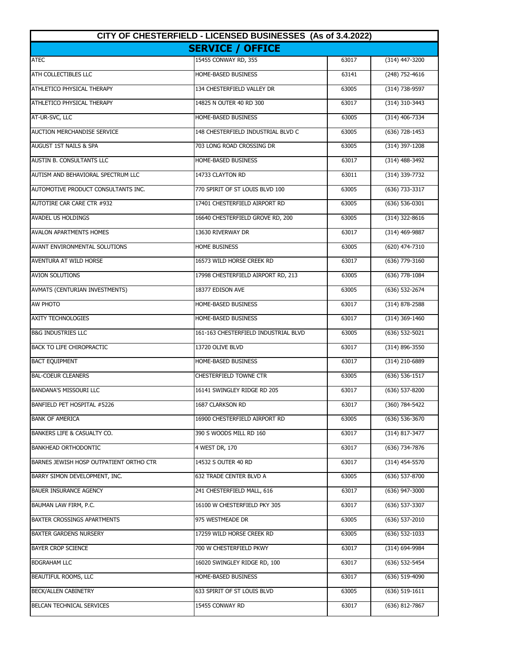| CITY OF CHESTERFIELD - LICENSED BUSINESSES (As of 3.4.2022) |                                      |       |                  |
|-------------------------------------------------------------|--------------------------------------|-------|------------------|
|                                                             | <b>SERVICE / OFFICE</b>              |       |                  |
| <b>ATEC</b>                                                 | 15455 CONWAY RD, 355                 | 63017 | $(314)$ 447-3200 |
| ATH COLLECTIBLES LLC                                        | HOME-BASED BUSINESS                  | 63141 | $(248)$ 752-4616 |
| ATHLETICO PHYSICAL THERAPY                                  | 134 CHESTERFIELD VALLEY DR           | 63005 | (314) 738-9597   |
| ATHLETICO PHYSICAL THERAPY                                  | 14825 N OUTER 40 RD 300              | 63017 | (314) 310-3443   |
| AT-UR-SVC, LLC                                              | HOME-BASED BUSINESS                  | 63005 | (314) 406-7334   |
| <b>AUCTION MERCHANDISE SERVICE</b>                          | 148 CHESTERFIELD INDUSTRIAL BLVD C   | 63005 | $(636)$ 728-1453 |
| AUGUST 1ST NAILS & SPA                                      | 703 LONG ROAD CROSSING DR            | 63005 | (314) 397-1208   |
| AUSTIN B. CONSULTANTS LLC                                   | HOME-BASED BUSINESS                  | 63017 | (314) 488-3492   |
| AUTISM AND BEHAVIORAL SPECTRUM LLC                          | 14733 CLAYTON RD                     | 63011 | (314) 339-7732   |
| AUTOMOTIVE PRODUCT CONSULTANTS INC.                         | 770 SPIRIT OF ST LOUIS BLVD 100      | 63005 | (636) 733-3317   |
| <b>AUTOTIRE CAR CARE CTR #932</b>                           | 17401 CHESTERFIELD AIRPORT RD        | 63005 | $(636) 536-0301$ |
| <b>AVADEL US HOLDINGS</b>                                   | 16640 CHESTERFIELD GROVE RD, 200     | 63005 | $(314)$ 322-8616 |
| <b>AVALON APARTMENTS HOMES</b>                              | 13630 RIVERWAY DR                    | 63017 | $(314)$ 469-9887 |
| <b>AVANT ENVIRONMENTAL SOLUTIONS</b>                        | <b>HOME BUSINESS</b>                 | 63005 | (620) 474-7310   |
| AVENTURA AT WILD HORSE                                      | 16573 WILD HORSE CREEK RD            | 63017 | (636) 779-3160   |
| <b>AVION SOLUTIONS</b>                                      | 17998 CHESTERFIELD AIRPORT RD, 213   | 63005 | (636) 778-1084   |
| AVMATS (CENTURIAN INVESTMENTS)                              | 18377 EDISON AVE                     | 63005 | (636) 532-2674   |
| AW PHOTO                                                    | HOME-BASED BUSINESS                  | 63017 | (314) 878-2588   |
| <b>AXITY TECHNOLOGIES</b>                                   | HOME-BASED BUSINESS                  | 63017 | (314) 369-1460   |
| <b>B&amp;G INDUSTRIES LLC</b>                               | 161-163 CHESTERFIELD INDUSTRIAL BLVD | 63005 | (636) 532-5021   |
| <b>BACK TO LIFE CHIROPRACTIC</b>                            | 13720 OLIVE BLVD                     | 63017 | (314) 896-3550   |
| <b>BACT EQUIPMENT</b>                                       | HOME-BASED BUSINESS                  | 63017 | (314) 210-6889   |
| <b>BAL-COEUR CLEANERS</b>                                   | <b>CHESTERFIELD TOWNE CTR</b>        | 63005 | (636) 536-1517   |
| <b>BANDANA'S MISSOURI LLC</b>                               | 16141 SWINGLEY RIDGE RD 205          | 63017 | $(636)$ 537-8200 |
| BANFIELD PET HOSPITAL #5226                                 | 1687 CLARKSON RD                     | 63017 | (360) 784-5422   |
| <b>BANK OF AMERICA</b>                                      | 16900 CHESTERFIELD AIRPORT RD        | 63005 | (636) 536-3670   |
| BANKERS LIFE & CASUALTY CO.                                 | 390 S WOODS MILL RD 160              | 63017 | (314) 817-3477   |
| <b>BANKHEAD ORTHODONTIC</b>                                 | 4 WEST DR, 170                       | 63017 | (636) 734-7876   |
| BARNES JEWISH HOSP OUTPATIENT ORTHO CTR                     | 14532 S OUTER 40 RD                  | 63017 | $(314)$ 454-5570 |
| BARRY SIMON DEVELOPMENT, INC.                               | 632 TRADE CENTER BLVD A              | 63005 | (636) 537-8700   |
| <b>BAUER INSURANCE AGENCY</b>                               | 241 CHESTERFIELD MALL, 616           | 63017 | (636) 947-3000   |
| BAUMAN LAW FIRM, P.C.                                       | 16100 W CHESTERFIELD PKY 305         | 63017 | (636) 537-3307   |
| BAXTER CROSSINGS APARTMENTS                                 | 975 WESTMEADE DR                     | 63005 | (636) 537-2010   |
| <b>BAXTER GARDENS NURSERY</b>                               | 17259 WILD HORSE CREEK RD            | 63005 | (636) 532-1033   |
| <b>BAYER CROP SCIENCE</b>                                   | 700 W CHESTERFIELD PKWY              | 63017 | (314) 694-9984   |
| <b>BDGRAHAM LLC</b>                                         | 16020 SWINGLEY RIDGE RD, 100         | 63017 | (636) 532-5454   |
| BEAUTIFUL ROOMS, LLC                                        | HOME-BASED BUSINESS                  | 63017 | $(636)$ 519-4090 |
| <b>BECK/ALLEN CABINETRY</b>                                 | 633 SPIRIT OF ST LOUIS BLVD          | 63005 | (636) 519-1611   |
| BELCAN TECHNICAL SERVICES                                   | 15455 CONWAY RD                      | 63017 | (636) 812-7867   |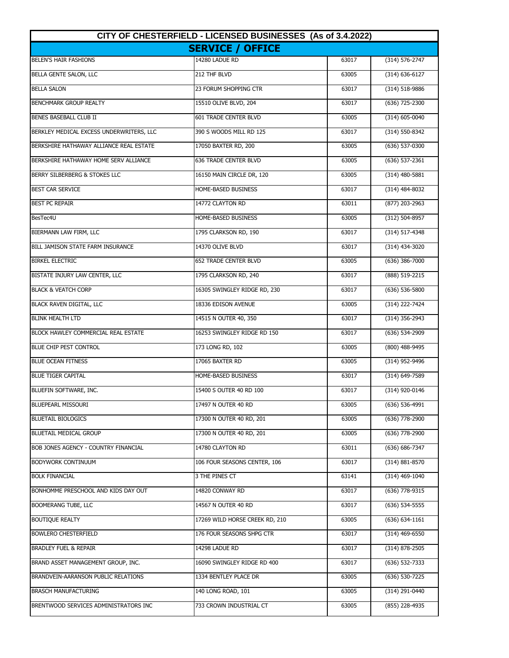| CITY OF CHESTERFIELD - LICENSED BUSINESSES (As of 3.4.2022) |                                |       |                    |
|-------------------------------------------------------------|--------------------------------|-------|--------------------|
|                                                             | <b>SERVICE / OFFICE</b>        |       |                    |
| <b>BELEN'S HAIR FASHIONS</b>                                | 14280 LADUE RD                 | 63017 | $(314) 576 - 2747$ |
| <b>BELLA GENTE SALON, LLC</b>                               | 212 THF BLVD                   | 63005 | $(314) 636 - 6127$ |
| <b>BELLA SALON</b>                                          | 23 FORUM SHOPPING CTR          | 63017 | (314) 518-9886     |
| BENCHMARK GROUP REALTY                                      | 15510 OLIVE BLVD, 204          | 63017 | (636) 725-2300     |
| BENES BASEBALL CLUB II                                      | <b>601 TRADE CENTER BLVD</b>   | 63005 | (314) 605-0040     |
| BERKLEY MEDICAL EXCESS UNDERWRITERS, LLC                    | 390 S WOODS MILL RD 125        | 63017 | (314) 550-8342     |
| BERKSHIRE HATHAWAY ALLIANCE REAL ESTATE                     | 17050 BAXTER RD, 200           | 63005 | (636) 537-0300     |
| BERKSHIRE HATHAWAY HOME SERV ALLIANCE                       | <b>636 TRADE CENTER BLVD</b>   | 63005 | $(636)$ 537-2361   |
| BERRY SILBERBERG & STOKES LLC                               | 16150 MAIN CIRCLE DR, 120      | 63005 | (314) 480-5881     |
| <b>BEST CAR SERVICE</b>                                     | HOME-BASED BUSINESS            | 63017 | (314) 484-8032     |
| <b>BEST PC REPAIR</b>                                       | 14772 CLAYTON RD               | 63011 | (877) 203-2963     |
| BesTec4U                                                    | HOME-BASED BUSINESS            | 63005 | $(312) 504 - 8957$ |
| BIERMANN LAW FIRM, LLC                                      | 1795 CLARKSON RD, 190          | 63017 | $(314) 517 - 4348$ |
| <b>BILL JAMISON STATE FARM INSURANCE</b>                    | 14370 OLIVE BLVD               | 63017 | (314) 434-3020     |
| <b>BIRKEL ELECTRIC</b>                                      | <b>652 TRADE CENTER BLVD</b>   | 63005 | (636) 386-7000     |
| BISTATE INJURY LAW CENTER, LLC                              | 1795 CLARKSON RD, 240          | 63017 | (888) 519-2215     |
| <b>BLACK &amp; VEATCH CORP</b>                              | 16305 SWINGLEY RIDGE RD, 230   | 63017 | (636) 536-5800     |
| BLACK RAVEN DIGITAL, LLC                                    | 18336 EDISON AVENUE            | 63005 | (314) 222-7424     |
| <b>BLINK HEALTH LTD</b>                                     | 14515 N OUTER 40, 350          | 63017 | (314) 356-2943     |
| BLOCK HAWLEY COMMERCIAL REAL ESTATE                         | 16253 SWINGLEY RIDGE RD 150    | 63017 | (636) 534-2909     |
| BLUE CHIP PEST CONTROL                                      | 173 LONG RD, 102               | 63005 | (800) 488-9495     |
| <b>BLUE OCEAN FITNESS</b>                                   | 17065 BAXTER RD                | 63005 | (314) 952-9496     |
| <b>BLUE TIGER CAPITAL</b>                                   | HOME-BASED BUSINESS            | 63017 | (314) 649-7589     |
| BLUEFIN SOFTWARE, INC.                                      | 15400 S OUTER 40 RD 100        | 63017 | (314) 920-0146     |
| <b>BLUEPEARL MISSOURI</b>                                   | 17497 N OUTER 40 RD            | 63005 | (636) 536-4991     |
| <b>BLUETAIL BIOLOGICS</b>                                   | 17300 N OUTER 40 RD, 201       | 63005 | (636) 778-2900     |
| <b>BLUETAIL MEDICAL GROUP</b>                               | 17300 N OUTER 40 RD, 201       | 63005 | (636) 778-2900     |
| BOB JONES AGENCY - COUNTRY FINANCIAL                        | 14780 CLAYTON RD               | 63011 | (636) 686-7347     |
| BODYWORK CONTINUUM                                          | 106 FOUR SEASONS CENTER, 106   | 63017 | $(314) 881 - 8570$ |
| <b>BOLK FINANCIAL</b>                                       | 3 THE PINES CT                 | 63141 | $(314)$ 469-1040   |
| BONHOMME PRESCHOOL AND KIDS DAY OUT                         | 14820 CONWAY RD                | 63017 | (636) 778-9315     |
| <b>BOOMERANG TUBE, LLC</b>                                  | 14567 N OUTER 40 RD            | 63017 | (636) 534-5555     |
| <b>BOUTIQUE REALTY</b>                                      | 17269 WILD HORSE CREEK RD, 210 | 63005 | $(636) 634-1161$   |
| <b>BOWLERO CHESTERFIELD</b>                                 | 176 FOUR SEASONS SHPG CTR      | 63017 | $(314)$ 469-6550   |
| <b>BRADLEY FUEL &amp; REPAIR</b>                            | 14298 LADUE RD                 | 63017 | (314) 878-2505     |
| BRAND ASSET MANAGEMENT GROUP, INC.                          | 16090 SWINGLEY RIDGE RD 400    | 63017 | (636) 532-7333     |
| BRANDVEIN-AARANSON PUBLIC RELATIONS                         | 1334 BENTLEY PLACE DR          | 63005 | (636) 530-7225     |
| <b>BRASCH MANUFACTURING</b>                                 | 140 LONG ROAD, 101             | 63005 | (314) 291-0440     |
| BRENTWOOD SERVICES ADMINISTRATORS INC                       | 733 CROWN INDUSTRIAL CT        | 63005 | (855) 228-4935     |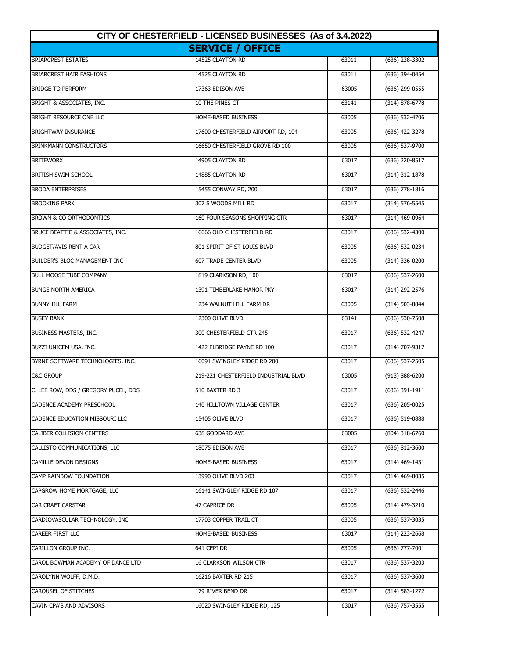| CITY OF CHESTERFIELD - LICENSED BUSINESSES (As of 3.4.2022) |                                      |       |                    |
|-------------------------------------------------------------|--------------------------------------|-------|--------------------|
|                                                             | <b>SERVICE / OFFICE</b>              |       |                    |
| <b>BRIARCREST ESTATES</b>                                   | 14525 CLAYTON RD                     | 63011 | $(636)$ 238-3302   |
| <b>BRIARCREST HAIR FASHIONS</b>                             | 14525 CLAYTON RD                     | 63011 | $(636)$ 394-0454   |
| <b>BRIDGE TO PERFORM</b>                                    | 17363 EDISON AVE                     | 63005 | (636) 299-0555     |
| BRIGHT & ASSOCIATES, INC.                                   | 10 THE PINES CT                      | 63141 | (314) 878-6778     |
| BRIGHT RESOURCE ONE LLC                                     | HOME-BASED BUSINESS                  | 63005 | (636) 532-4706     |
| <b>BRIGHTWAY INSURANCE</b>                                  | 17600 CHESTERFIELD AIRPORT RD, 104   | 63005 | (636) 422-3278     |
| <b>BRINKMANN CONSTRUCTORS</b>                               | 16650 CHESTERFIELD GROVE RD 100      | 63005 | (636) 537-9700     |
| <b>BRITEWORX</b>                                            | 14905 CLAYTON RD                     | 63017 | (636) 220-8517     |
| <b>BRITISH SWIM SCHOOL</b>                                  | 14885 CLAYTON RD                     | 63017 | (314) 312-1878     |
| <b>BRODA ENTERPRISES</b>                                    | 15455 CONWAY RD, 200                 | 63017 | $(636)$ 778-1816   |
| <b>BROOKING PARK</b>                                        | 307 S WOODS MILL RD                  | 63017 | (314) 576-5545     |
| <b>BROWN &amp; CO ORTHODONTICS</b>                          | 160 FOUR SEASONS SHOPPING CTR        | 63017 | $(314)$ 469-0964   |
| BRUCE BEATTIE & ASSOCIATES, INC.                            | 16666 OLD CHESTERFIELD RD            | 63017 | $(636) 532 - 4300$ |
| BUDGET/AVIS RENT A CAR                                      | 801 SPIRIT OF ST LOUIS BLVD          | 63005 | (636) 532-0234     |
| BUILDER'S BLOC MANAGEMENT INC                               | <b>607 TRADE CENTER BLVD</b>         | 63005 | (314) 336-0200     |
| <b>BULL MOOSE TUBE COMPANY</b>                              | 1819 CLARKSON RD, 100                | 63017 | (636) 537-2600     |
| <b>BUNGE NORTH AMERICA</b>                                  | 1391 TIMBERLAKE MANOR PKY            | 63017 | (314) 292-2576     |
| <b>BUNNYHILL FARM</b>                                       | 1234 WALNUT HILL FARM DR             | 63005 | (314) 503-8844     |
| <b>BUSEY BANK</b>                                           | 12300 OLIVE BLVD                     | 63141 | (636) 530-7508     |
| BUSINESS MASTERS, INC.                                      | 300 CHESTERFIELD CTR 245             | 63017 | (636) 532-4247     |
| BUZZI UNICEM USA, INC.                                      | 1422 ELBRIDGE PAYNE RD 100           | 63017 | (314) 707-9317     |
| BYRNE SOFTWARE TECHNOLOGIES, INC.                           | 16091 SWINGLEY RIDGE RD 200          | 63017 | $(636)$ 537-2505   |
| <b>C&amp;C GROUP</b>                                        | 219-221 CHESTERFIELD INDUSTRIAL BLVD | 63005 | (913) 888-6200     |
| C. LEE ROW, DDS / GREGORY PUCEL, DDS                        | 510 BAXTER RD 3                      | 63017 | $(636)$ 391-1911   |
| CADENCE ACADEMY PRESCHOOL                                   | 140 HILLTOWN VILLAGE CENTER          | 63017 | (636) 205-0025     |
| CADENCE EDUCATION MISSOURI LLC                              | 15405 OLIVE BLVD                     | 63017 | (636) 519-0888     |
| CALIBER COLLISION CENTERS                                   | 638 GODDARD AVE                      | 63005 | (804) 318-6760     |
| CALLISTO COMMUNICATIONS, LLC                                | 18075 EDISON AVE                     | 63017 | (636) 812-3600     |
| CAMILLE DEVON DESIGNS                                       | HOME-BASED BUSINESS                  | 63017 | $(314)$ 469-1431   |
| CAMP RAINBOW FOUNDATION                                     | 13990 OLIVE BLVD 203                 | 63017 | (314) 469-8035     |
| CAPGROW HOME MORTGAGE, LLC                                  | 16141 SWINGLEY RIDGE RD 107          | 63017 | (636) 532-2446     |
| <b>CAR CRAFT CARSTAR</b>                                    | 47 CAPRICE DR                        | 63005 | (314) 479-3210     |
| CARDIOVASCULAR TECHNOLOGY, INC.                             | 17703 COPPER TRAIL CT                | 63005 | (636) 537-3035     |
| <b>CAREER FIRST LLC</b>                                     | HOME-BASED BUSINESS                  | 63017 | $(314)$ 223-2668   |
| CARILLON GROUP INC.                                         | 641 CEPI DR                          | 63005 | (636) 777-7001     |
| CAROL BOWMAN ACADEMY OF DANCE LTD                           | 16 CLARKSON WILSON CTR               | 63017 | (636) 537-3203     |
| CAROLYNN WOLFF, D.M.D.                                      | 16216 BAXTER RD 215                  | 63017 | (636) 537-3600     |
| CAROUSEL OF STITCHES                                        | 179 RIVER BEND DR                    | 63017 | $(314) 583 - 1272$ |
| CAVIN CPA'S AND ADVISORS                                    | 16020 SWINGLEY RIDGE RD, 125         | 63017 | $(636)$ 757-3555   |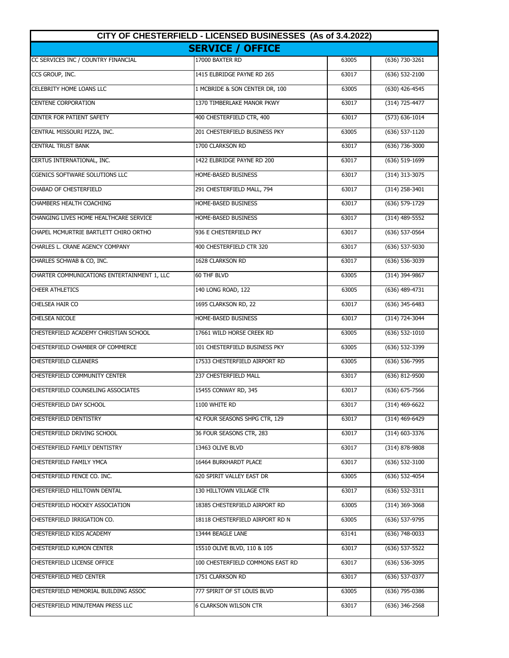| CITY OF CHESTERFIELD - LICENSED BUSINESSES (As of 3.4.2022) |                                  |       |                    |
|-------------------------------------------------------------|----------------------------------|-------|--------------------|
| <b>SERVICE / OFFICE</b>                                     |                                  |       |                    |
| CC SERVICES INC / COUNTRY FINANCIAL                         | 17000 BAXTER RD                  | 63005 | $(636)$ 730-3261   |
| CCS GROUP, INC.                                             | 1415 ELBRIDGE PAYNE RD 265       | 63017 | $(636) 532 - 2100$ |
| CELEBRITY HOME LOANS LLC                                    | 1 MCBRIDE & SON CENTER DR, 100   | 63005 | $(630)$ 426-4545   |
| <b>CENTENE CORPORATION</b>                                  | 1370 TIMBERLAKE MANOR PKWY       | 63017 | (314) 725-4477     |
| <b>CENTER FOR PATIENT SAFETY</b>                            | 400 CHESTERFIELD CTR, 400        | 63017 | $(573) 636 - 1014$ |
| CENTRAL MISSOURI PIZZA, INC.                                | 201 CHESTERFIELD BUSINESS PKY    | 63005 | (636) 537-1120     |
| <b>CENTRAL TRUST BANK</b>                                   | 1700 CLARKSON RD                 | 63017 | (636) 736-3000     |
| CERTUS INTERNATIONAL, INC.                                  | 1422 ELBRIDGE PAYNE RD 200       | 63017 | (636) 519-1699     |
| <b>CGENICS SOFTWARE SOLUTIONS LLC</b>                       | HOME-BASED BUSINESS              | 63017 | (314) 313-3075     |
| <b>CHABAD OF CHESTERFIELD</b>                               | 291 CHESTERFIELD MALL, 794       | 63017 | (314) 258-3401     |
| CHAMBERS HEALTH COACHING                                    | HOME-BASED BUSINESS              | 63017 | (636) 579-1729     |
| CHANGING LIVES HOME HEALTHCARE SERVICE                      | HOME-BASED BUSINESS              | 63017 | $(314)$ 489-5552   |
| CHAPEL MCMURTRIE BARTLETT CHIRO ORTHO                       | 936 E CHESTERFIELD PKY           | 63017 | $(636) 537-0564$   |
| CHARLES L. CRANE AGENCY COMPANY                             | 400 CHESTERFIELD CTR 320         | 63017 | $(636)$ 537-5030   |
| CHARLES SCHWAB & CO, INC.                                   | 1628 CLARKSON RD                 | 63017 | (636) 536-3039     |
| CHARTER COMMUNICATIONS ENTERTAINMENT 1, LLC                 | 60 THF BLVD                      | 63005 | (314) 394-9867     |
| <b>CHEER ATHLETICS</b>                                      | 140 LONG ROAD, 122               | 63005 | (636) 489-4731     |
| CHELSEA HAIR CO                                             | 1695 CLARKSON RD, 22             | 63017 | (636) 345-6483     |
| <b>CHELSEA NICOLE</b>                                       | HOME-BASED BUSINESS              | 63017 | (314) 724-3044     |
| CHESTERFIELD ACADEMY CHRISTIAN SCHOOL                       | 17661 WILD HORSE CREEK RD        | 63005 | (636) 532-1010     |
| CHESTERFIELD CHAMBER OF COMMERCE                            | 101 CHESTERFIELD BUSINESS PKY    | 63005 | (636) 532-3399     |
| <b>CHESTERFIELD CLEANERS</b>                                | 17533 CHESTERFIELD AIRPORT RD    | 63005 | (636) 536-7995     |
| CHESTERFIELD COMMUNITY CENTER                               | <b>237 CHESTERFIELD MALL</b>     | 63017 | (636) 812-9500     |
| CHESTERFIELD COUNSELING ASSOCIATES                          | 15455 CONWAY RD, 345             | 63017 | $(636) 675 - 7566$ |
| CHESTERFIELD DAY SCHOOL                                     | 1100 WHITE RD                    | 63017 | (314) 469-6622     |
| <b>CHESTERFIELD DENTISTRY</b>                               | 42 FOUR SEASONS SHPG CTR, 129    | 63017 | (314) 469-6429     |
| CHESTERFIELD DRIVING SCHOOL                                 | 36 FOUR SEASONS CTR, 283         | 63017 | (314) 603-3376     |
| CHESTERFIELD FAMILY DENTISTRY                               | 13463 OLIVE BLVD                 | 63017 | (314) 878-9808     |
| CHESTERFIELD FAMILY YMCA                                    | 16464 BURKHARDT PLACE            | 63017 | $(636)$ 532-3100   |
| CHESTERFIELD FENCE CO. INC.                                 | 620 SPIRIT VALLEY EAST DR        | 63005 | (636) 532-4054     |
| CHESTERFIELD HILLTOWN DENTAL                                | 130 HILLTOWN VILLAGE CTR         | 63017 | (636) 532-3311     |
| CHESTERFIELD HOCKEY ASSOCIATION                             | 18385 CHESTERFIELD AIRPORT RD    | 63005 | (314) 369-3068     |
| CHESTERFIELD IRRIGATION CO.                                 | 18118 CHESTERFIELD AIRPORT RD N  | 63005 | (636) 537-9795     |
| CHESTERFIELD KIDS ACADEMY                                   | 13444 BEAGLE LANE                | 63141 | (636) 748-0033     |
| CHESTERFIELD KUMON CENTER                                   | 15510 OLIVE BLVD, 110 & 105      | 63017 | (636) 537-5522     |
| CHESTERFIELD LICENSE OFFICE                                 | 100 CHESTERFIELD COMMONS EAST RD | 63017 | (636) 536-3095     |
| <b>CHESTERFIELD MED CENTER</b>                              | 1751 CLARKSON RD                 | 63017 | (636) 537-0377     |
| CHESTERFIELD MEMORIAL BUILDING ASSOC                        | 777 SPIRIT OF ST LOUIS BLVD      | 63005 | (636) 795-0386     |
| CHESTERFIELD MINUTEMAN PRESS LLC                            | <b>6 CLARKSON WILSON CTR</b>     | 63017 | (636) 346-2568     |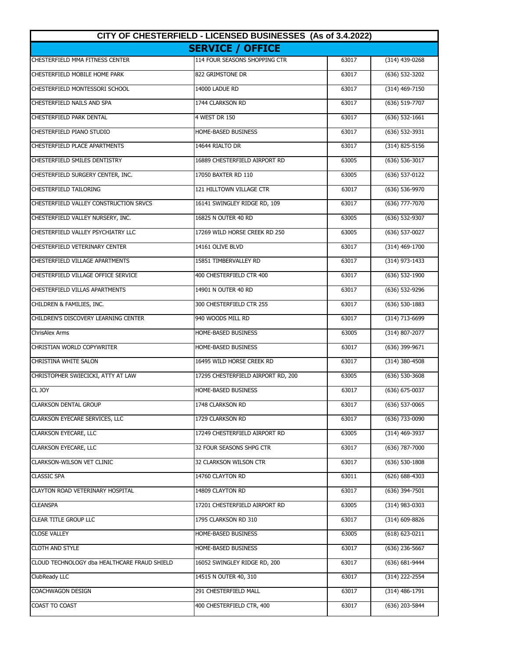| CITY OF CHESTERFIELD - LICENSED BUSINESSES (As of 3.4.2022) |                                    |       |                    |
|-------------------------------------------------------------|------------------------------------|-------|--------------------|
|                                                             | <b>SERVICE / OFFICE</b>            |       |                    |
| CHESTERFIELD MMA FITNESS CENTER                             | 114 FOUR SEASONS SHOPPING CTR      | 63017 | (314) 439-0268     |
| CHESTERFIELD MOBILE HOME PARK                               | 822 GRIMSTONE DR                   | 63017 | (636) 532-3202     |
| CHESTERFIELD MONTESSORI SCHOOL                              | 14000 LADUE RD                     | 63017 | $(314)$ 469-7150   |
| CHESTERFIELD NAILS AND SPA                                  | 1744 CLARKSON RD                   | 63017 | (636) 519-7707     |
| <b>CHESTERFIELD PARK DENTAL</b>                             | 4 WEST DR 150                      | 63017 | $(636) 532 - 1661$ |
| CHESTERFIELD PIANO STUDIO                                   | HOME-BASED BUSINESS                | 63017 | $(636) 532-3931$   |
| CHESTERFIELD PLACE APARTMENTS                               | 14644 RIALTO DR                    | 63017 | (314) 825-5156     |
| <b>CHESTERFIELD SMILES DENTISTRY</b>                        | 16889 CHESTERFIELD AIRPORT RD      | 63005 | (636) 536-3017     |
| CHESTERFIELD SURGERY CENTER, INC.                           | 17050 BAXTER RD 110                | 63005 | (636) 537-0122     |
| <b>CHESTERFIELD TAILORING</b>                               | 121 HILLTOWN VILLAGE CTR           | 63017 | (636) 536-9970     |
| CHESTERFIELD VALLEY CONSTRUCTION SRVCS                      | 16141 SWINGLEY RIDGE RD, 109       | 63017 | $(636)$ 777-7070   |
| CHESTERFIELD VALLEY NURSERY, INC.                           | 16825 N OUTER 40 RD                | 63005 | (636) 532-9307     |
| CHESTERFIELD VALLEY PSYCHIATRY LLC                          | 17269 WILD HORSE CREEK RD 250      | 63005 | $(636) 537-0027$   |
| CHESTERFIELD VETERINARY CENTER                              | 14161 OLIVE BLVD                   | 63017 | (314) 469-1700     |
| CHESTERFIELD VILLAGE APARTMENTS                             | 15851 TIMBERVALLEY RD              | 63017 | (314) 973-1433     |
| CHESTERFIELD VILLAGE OFFICE SERVICE                         | 400 CHESTERFIELD CTR 400           | 63017 | (636) 532-1900     |
| <b>CHESTERFIELD VILLAS APARTMENTS</b>                       | 14901 N OUTER 40 RD                | 63017 | (636) 532-9296     |
| CHILDREN & FAMILIES, INC.                                   | 300 CHESTERFIELD CTR 255           | 63017 | (636) 530-1883     |
| CHILDREN'S DISCOVERY LEARNING CENTER                        | 940 WOODS MILL RD                  | 63017 | (314) 713-6699     |
| <b>ChrisAlex Arms</b>                                       | HOME-BASED BUSINESS                | 63005 | (314) 807-2077     |
| CHRISTIAN WORLD COPYWRITER                                  | HOME-BASED BUSINESS                | 63017 | (636) 399-9671     |
| CHRISTINA WHITE SALON                                       | 16495 WILD HORSE CREEK RD          | 63017 | (314) 380-4508     |
| CHRISTOPHER SWIECICKI, ATTY AT LAW                          | 17295 CHESTERFIELD AIRPORT RD, 200 | 63005 | $(636)$ 530-3608   |
| CL JOY                                                      | HOME-BASED BUSINESS                | 63017 | (636) 675-0037     |
| <b>CLARKSON DENTAL GROUP</b>                                | 1748 CLARKSON RD                   | 63017 | (636) 537-0065     |
| CLARKSON EYECARE SERVICES, LLC                              | 1729 CLARKSON RD                   | 63017 | (636) 733-0090     |
| <b>CLARKSON EYECARE, LLC</b>                                | 17249 CHESTERFIELD AIRPORT RD      | 63005 | (314) 469-3937     |
| <b>CLARKSON EYECARE, LLC</b>                                | 32 FOUR SEASONS SHPG CTR           | 63017 | (636) 787-7000     |
| <b>CLARKSON-WILSON VET CLINIC</b>                           | 32 CLARKSON WILSON CTR             | 63017 | (636) 530-1808     |
| <b>CLASSIC SPA</b>                                          | 14760 CLAYTON RD                   | 63011 | (626) 688-4303     |
| <b>CLAYTON ROAD VETERINARY HOSPITAL</b>                     | 14809 CLAYTON RD                   | 63017 | (636) 394-7501     |
| <b>CLEANSPA</b>                                             | 17201 CHESTERFIELD AIRPORT RD      | 63005 | (314) 983-0303     |
| <b>CLEAR TITLE GROUP LLC</b>                                | 1795 CLARKSON RD 310               | 63017 | $(314) 609 - 8826$ |
| <b>CLOSE VALLEY</b>                                         | HOME-BASED BUSINESS                | 63005 | (618) 623-0211     |
| <b>CLOTH AND STYLE</b>                                      | HOME-BASED BUSINESS                | 63017 | (636) 236-5667     |
| CLOUD TECHNOLOGY dba HEALTHCARE FRAUD SHIELD                | 16052 SWINGLEY RIDGE RD, 200       | 63017 | (636) 681-9444     |
| ClubReady LLC                                               | 14515 N OUTER 40, 310              | 63017 | (314) 222-2554     |
| <b>COACHWAGON DESIGN</b>                                    | 291 CHESTERFIELD MALL              | 63017 | (314) 486-1791     |
| COAST TO COAST                                              | 400 CHESTERFIELD CTR, 400          | 63017 | (636) 203-5844     |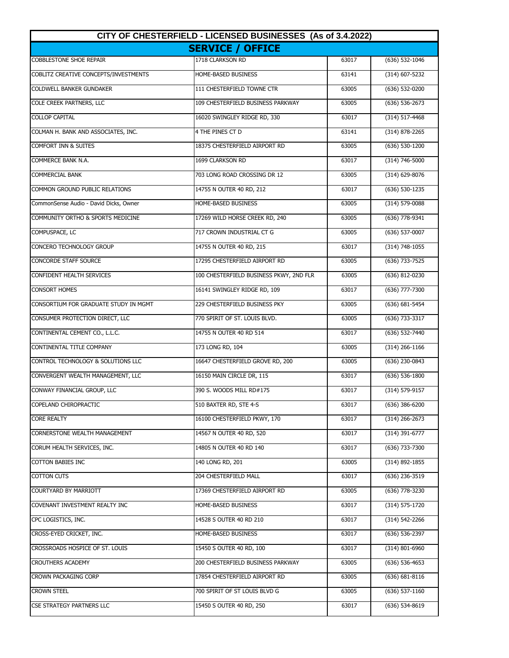| CITY OF CHESTERFIELD - LICENSED BUSINESSES (As of 3.4.2022) |                                         |       |                    |
|-------------------------------------------------------------|-----------------------------------------|-------|--------------------|
| <b>SERVICE / OFFICE</b>                                     |                                         |       |                    |
| <b>COBBLESTONE SHOE REPAIR</b>                              | 1718 CLARKSON RD                        | 63017 | $(636) 532 - 1046$ |
| COBLITZ CREATIVE CONCEPTS/INVESTMENTS                       | HOME-BASED BUSINESS                     | 63141 | $(314) 607 - 5232$ |
| <b>COLDWELL BANKER GUNDAKER</b>                             | 111 CHESTERFIELD TOWNE CTR              | 63005 | (636) 532-0200     |
| COLE CREEK PARTNERS, LLC                                    | 109 CHESTERFIELD BUSINESS PARKWAY       | 63005 | (636) 536-2673     |
| <b>COLLOP CAPITAL</b>                                       | 16020 SWINGLEY RIDGE RD, 330            | 63017 | $(314) 517 - 4468$ |
| COLMAN H. BANK AND ASSOCIATES, INC.                         | 4 THE PINES CT D                        | 63141 | (314) 878-2265     |
| <b>COMFORT INN &amp; SUITES</b>                             | 18375 CHESTERFIELD AIRPORT RD           | 63005 | (636) 530-1200     |
| COMMERCE BANK N.A.                                          | 1699 CLARKSON RD                        | 63017 | (314) 746-5000     |
| <b>COMMERCIAL BANK</b>                                      | 703 LONG ROAD CROSSING DR 12            | 63005 | (314) 629-8076     |
| COMMON GROUND PUBLIC RELATIONS                              | 14755 N OUTER 40 RD, 212                | 63017 | (636) 530-1235     |
| CommonSense Audio - David Dicks, Owner                      | HOME-BASED BUSINESS                     | 63005 | (314) 579-0088     |
| <b>COMMUNITY ORTHO &amp; SPORTS MEDICINE</b>                | 17269 WILD HORSE CREEK RD, 240          | 63005 | $(636)$ 778-9341   |
| COMPUSPACE, LC                                              | 717 CROWN INDUSTRIAL CT G               | 63005 | $(636)$ 537-0007   |
| CONCERO TECHNOLOGY GROUP                                    | 14755 N OUTER 40 RD, 215                | 63017 | $(314) 748 - 1055$ |
| CONCORDE STAFF SOURCE                                       | 17295 CHESTERFIELD AIRPORT RD           | 63005 | $(636)$ 733-7525   |
| CONFIDENT HEALTH SERVICES                                   | 100 CHESTERFIELD BUSINESS PKWY, 2ND FLR | 63005 | (636) 812-0230     |
| <b>CONSORT HOMES</b>                                        | 16141 SWINGLEY RIDGE RD, 109            | 63017 | (636) 777-7300     |
| CONSORTIUM FOR GRADUATE STUDY IN MGMT                       | 229 CHESTERFIELD BUSINESS PKY           | 63005 | $(636) 681 - 5454$ |
| CONSUMER PROTECTION DIRECT, LLC                             | 770 SPIRIT OF ST. LOUIS BLVD.           | 63005 | (636) 733-3317     |
| CONTINENTAL CEMENT CO., L.L.C.                              | 14755 N OUTER 40 RD 514                 | 63017 | (636) 532-7440     |
| CONTINENTAL TITLE COMPANY                                   | 173 LONG RD, 104                        | 63005 | $(314)$ 266-1166   |
| CONTROL TECHNOLOGY & SOLUTIONS LLC                          | 16647 CHESTERFIELD GROVE RD, 200        | 63005 | (636) 230-0843     |
| CONVERGENT WEALTH MANAGEMENT, LLC                           | 16150 MAIN CIRCLE DR, 115               | 63017 | $(636) 536 - 1800$ |
| CONWAY FINANCIAL GROUP, LLC                                 | 390 S. WOODS MILL RD#175                | 63017 | (314) 579-9157     |
| COPELAND CHIROPRACTIC                                       | 510 BAXTER RD, STE 4-S                  | 63017 | (636) 386-6200     |
| CORE REALTY                                                 | 16100 CHESTERFIELD PKWY, 170            | 63017 | (314) 266-2673     |
| <b>CORNERSTONE WEALTH MANAGEMENT</b>                        | 14567 N OUTER 40 RD, 520                | 63017 | (314) 391-6777     |
| CORUM HEALTH SERVICES, INC.                                 | 14805 N OUTER 40 RD 140                 | 63017 | (636) 733-7300     |
| <b>COTTON BABIES INC</b>                                    | 140 LONG RD, 201                        | 63005 | (314) 892-1855     |
| <b>COTTON CUTS</b>                                          | 204 CHESTERFIELD MALL                   | 63017 | (636) 236-3519     |
| COURTYARD BY MARRIOTT                                       | 17369 CHESTERFIELD AIRPORT RD           | 63005 | (636) 778-3230     |
| COVENANT INVESTMENT REALTY INC                              | HOME-BASED BUSINESS                     | 63017 | $(314) 575 - 1720$ |
| CPC LOGISTICS, INC.                                         | 14528 S OUTER 40 RD 210                 | 63017 | (314) 542-2266     |
| CROSS-EYED CRICKET, INC.                                    | HOME-BASED BUSINESS                     | 63017 | (636) 536-2397     |
| CROSSROADS HOSPICE OF ST. LOUIS                             | 15450 S OUTER 40 RD, 100                | 63017 | $(314)$ 801-6960   |
| <b>CROUTHERS ACADEMY</b>                                    | 200 CHESTERFIELD BUSINESS PARKWAY       | 63005 | (636) 536-4653     |
| CROWN PACKAGING CORP                                        | 17854 CHESTERFIELD AIRPORT RD           | 63005 | (636) 681-8116     |
| <b>CROWN STEEL</b>                                          | 700 SPIRIT OF ST LOUIS BLVD G           | 63005 | $(636)$ 537-1160   |
| CSE STRATEGY PARTNERS LLC                                   | 15450 S OUTER 40 RD, 250                | 63017 | (636) 534-8619     |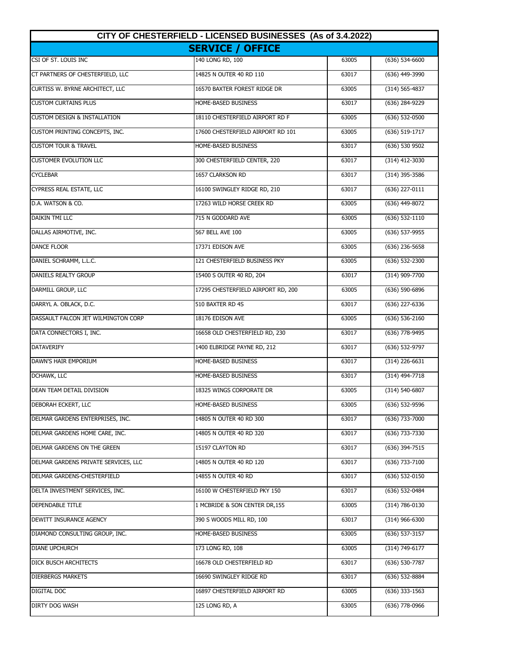| CITY OF CHESTERFIELD - LICENSED BUSINESSES (As of 3.4.2022) |                                    |       |                    |
|-------------------------------------------------------------|------------------------------------|-------|--------------------|
|                                                             | <b>SERVICE / OFFICE</b>            |       |                    |
| CSI OF ST. LOUIS INC                                        | 140 LONG RD, 100                   | 63005 | $(636) 534-6600$   |
| CT PARTNERS OF CHESTERFIELD, LLC                            | 14825 N OUTER 40 RD 110            | 63017 | (636) 449-3990     |
| <b>CURTISS W. BYRNE ARCHITECT, LLC</b>                      | 16570 BAXTER FOREST RIDGE DR       | 63005 | (314) 565-4837     |
| <b>CUSTOM CURTAINS PLUS</b>                                 | HOME-BASED BUSINESS                | 63017 | (636) 284-9229     |
| <b>CUSTOM DESIGN &amp; INSTALLATION</b>                     | 18110 CHESTERFIELD AIRPORT RD F    | 63005 | (636) 532-0500     |
| CUSTOM PRINTING CONCEPTS, INC.                              | 17600 CHESTERFIELD AIRPORT RD 101  | 63005 | (636) 519-1717     |
| <b>CUSTOM TOUR &amp; TRAVEL</b>                             | HOME-BASED BUSINESS                | 63017 | (636) 530 9502     |
| <b>CUSTOMER EVOLUTION LLC</b>                               | 300 CHESTERFIELD CENTER, 220       | 63017 | (314) 412-3030     |
| <b>CYCLEBAR</b>                                             | 1657 CLARKSON RD                   | 63017 | (314) 395-3586     |
| CYPRESS REAL ESTATE, LLC                                    | 16100 SWINGLEY RIDGE RD, 210       | 63017 | (636) 227-0111     |
| D.A. WATSON & CO.                                           | 17263 WILD HORSE CREEK RD          | 63005 | (636) 449-8072     |
| <b>DAIKIN TMI LLC</b>                                       | 715 N GODDARD AVE                  | 63005 | $(636) 532 - 1110$ |
| DALLAS AIRMOTIVE, INC.                                      | 567 BELL AVE 100                   | 63005 | (636) 537-9955     |
| <b>DANCE FLOOR</b>                                          | 17371 EDISON AVE                   | 63005 | $(636)$ 236-5658   |
| DANIEL SCHRAMM, L.L.C.                                      | 121 CHESTERFIELD BUSINESS PKY      | 63005 | (636) 532-2300     |
| DANIELS REALTY GROUP                                        | 15400 S OUTER 40 RD, 204           | 63017 | (314) 909-7700     |
| DARMILL GROUP, LLC                                          | 17295 CHESTERFIELD AIRPORT RD, 200 | 63005 | (636) 590-6896     |
| DARRYL A. OBLACK, D.C.                                      | 510 BAXTER RD 4S                   | 63017 | (636) 227-6336     |
| DASSAULT FALCON JET WILMINGTON CORP                         | 18176 EDISON AVE                   | 63005 | $(636) 536 - 2160$ |
| DATA CONNECTORS I, INC.                                     | 16658 OLD CHESTERFIELD RD, 230     | 63017 | (636) 778-9495     |
| <b>DATAVERIFY</b>                                           | 1400 ELBRIDGE PAYNE RD, 212        | 63017 | (636) 532-9797     |
| DAWN'S HAIR EMPORIUM                                        | HOME-BASED BUSINESS                | 63017 | $(314)$ 226-6631   |
| DCHAWK, LLC                                                 | HOME-BASED BUSINESS                | 63017 | (314) 494-7718     |
| <b>DEAN TEAM DETAIL DIVISION</b>                            | 18325 WINGS CORPORATE DR           | 63005 | (314) 540-6807     |
| DEBORAH ECKERT, LLC                                         | HOME-BASED BUSINESS                | 63005 | (636) 532-9596     |
| DELMAR GARDENS ENTERPRISES, INC.                            | 14805 N OUTER 40 RD 300            | 63017 | (636) 733-7000     |
| DELMAR GARDENS HOME CARE, INC.                              | 14805 N OUTER 40 RD 320            | 63017 | (636) 733-7330     |
| DELMAR GARDENS ON THE GREEN                                 | 15197 CLAYTON RD                   | 63017 | (636) 394-7515     |
| DELMAR GARDENS PRIVATE SERVICES, LLC                        | 14805 N OUTER 40 RD 120            | 63017 | (636) 733-7100     |
| DELMAR GARDENS-CHESTERFIELD                                 | 14855 N OUTER 40 RD                | 63017 | (636) 532-0150     |
| DELTA INVESTMENT SERVICES, INC.                             | 16100 W CHESTERFIELD PKY 150       | 63017 | (636) 532-0484     |
| DEPENDABLE TITLE                                            | 1 MCBRIDE & SON CENTER DR, 155     | 63005 | (314) 786-0130     |
| DEWITT INSURANCE AGENCY                                     | 390 S WOODS MILL RD, 100           | 63017 | $(314)$ 966-6300   |
| DIAMOND CONSULTING GROUP, INC.                              | HOME-BASED BUSINESS                | 63005 | (636) 537-3157     |
| DIANE UPCHURCH                                              | 173 LONG RD, 108                   | 63005 | (314) 749-6177     |
| DICK BUSCH ARCHITECTS                                       | 16678 OLD CHESTERFIELD RD          | 63017 | (636) 530-7787     |
| <b>DIERBERGS MARKETS</b>                                    | 16690 SWINGLEY RIDGE RD            | 63017 | (636) 532-8884     |
| <b>DIGITAL DOC</b>                                          | 16897 CHESTERFIELD AIRPORT RD      | 63005 | (636) 333-1563     |
| <b>DIRTY DOG WASH</b>                                       | 125 LONG RD, A                     | 63005 | (636) 778-0966     |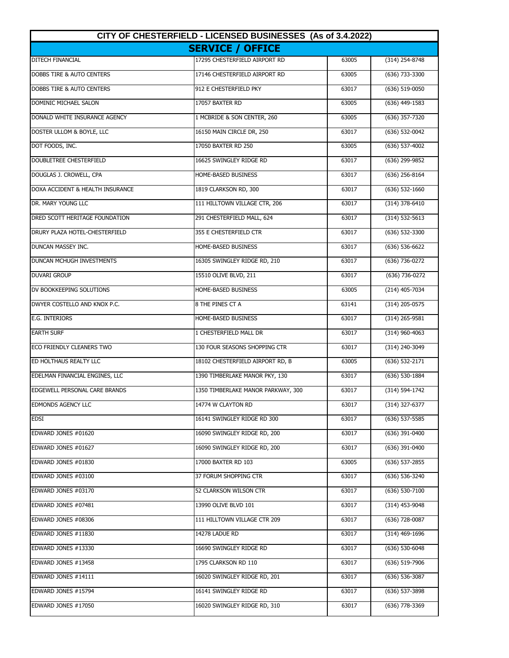| CITY OF CHESTERFIELD - LICENSED BUSINESSES (As of 3.4.2022) |                                    |       |                    |  |
|-------------------------------------------------------------|------------------------------------|-------|--------------------|--|
|                                                             | <b>SERVICE / OFFICE</b>            |       |                    |  |
| <b>DITECH FINANCIAL</b>                                     | 17295 CHESTERFIELD AIRPORT RD      | 63005 | $(314)$ 254-8748   |  |
| DOBBS TIRE & AUTO CENTERS                                   | 17146 CHESTERFIELD AIRPORT RD      | 63005 | (636) 733-3300     |  |
| DOBBS TIRE & AUTO CENTERS                                   | 912 E CHESTERFIELD PKY             | 63017 | (636) 519-0050     |  |
| DOMINIC MICHAEL SALON                                       | 17057 BAXTER RD                    | 63005 | (636) 449-1583     |  |
| DONALD WHITE INSURANCE AGENCY                               | 1 MCBRIDE & SON CENTER, 260        | 63005 | (636) 357-7320     |  |
| DOSTER ULLOM & BOYLE, LLC                                   | 16150 MAIN CIRCLE DR, 250          | 63017 | $(636) 532 - 0042$ |  |
| DOT FOODS, INC.                                             | 17050 BAXTER RD 250                | 63005 | (636) 537-4002     |  |
| <b>DOUBLETREE CHESTERFIELD</b>                              | 16625 SWINGLEY RIDGE RD            | 63017 | (636) 299-9852     |  |
| DOUGLAS J. CROWELL, CPA                                     | HOME-BASED BUSINESS                | 63017 | $(636)$ 256-8164   |  |
| DOXA ACCIDENT & HEALTH INSURANCE                            | 1819 CLARKSON RD, 300              | 63017 | $(636)$ 532-1660   |  |
| DR. MARY YOUNG LLC                                          | 111 HILLTOWN VILLAGE CTR, 206      | 63017 | $(314)$ 378-6410   |  |
| DRED SCOTT HERITAGE FOUNDATION                              | 291 CHESTERFIELD MALL, 624         | 63017 | $(314) 532 - 5613$ |  |
| <b>DRURY PLAZA HOTEL-CHESTERFIELD</b>                       | 355 E CHESTERFIELD CTR             | 63017 | $(636) 532 - 3300$ |  |
| <b>DUNCAN MASSEY INC.</b>                                   | HOME-BASED BUSINESS                | 63017 | $(636) 536-6622$   |  |
| DUNCAN MCHUGH INVESTMENTS                                   | 16305 SWINGLEY RIDGE RD, 210       | 63017 | (636) 736-0272     |  |
| <b>DUVARI GROUP</b>                                         | 15510 OLIVE BLVD, 211              | 63017 | (636) 736-0272     |  |
| DV BOOKKEEPING SOLUTIONS                                    | HOME-BASED BUSINESS                | 63005 | (214) 405-7034     |  |
| DWYER COSTELLO AND KNOX P.C.                                | 8 THE PINES CT A                   | 63141 | (314) 205-0575     |  |
| <b>E.G. INTERIORS</b>                                       | HOME-BASED BUSINESS                | 63017 | $(314)$ 265-9581   |  |
| <b>EARTH SURF</b>                                           | 1 CHESTERFIELD MALL DR             | 63017 | $(314)$ 960-4063   |  |
| ECO FRIENDLY CLEANERS TWO                                   | 130 FOUR SEASONS SHOPPING CTR      | 63017 | (314) 240-3049     |  |
| ED HOLTHAUS REALTY LLC                                      | 18102 CHESTERFIELD AIRPORT RD, B   | 63005 | (636) 532-2171     |  |
| EDELMAN FINANCIAL ENGINES, LLC                              | 1390 TIMBERLAKE MANOR PKY, 130     | 63017 | (636) 530-1884     |  |
| EDGEWELL PERSONAL CARE BRANDS                               | 1350 TIMBERLAKE MANOR PARKWAY, 300 | 63017 | $(314) 594 - 1742$ |  |
| <b>EDMONDS AGENCY LLC</b>                                   | 14774 W CLAYTON RD                 | 63017 | (314) 327-6377     |  |
| <b>EDSI</b>                                                 | 16141 SWINGLEY RIDGE RD 300        | 63017 | $(636)$ 537-5585   |  |
| EDWARD JONES #01620                                         | 16090 SWINGLEY RIDGE RD, 200       | 63017 | $(636)$ 391-0400   |  |
| EDWARD JONES #01627                                         | 16090 SWINGLEY RIDGE RD, 200       | 63017 | $(636)$ 391-0400   |  |
| EDWARD JONES #01830                                         | 17000 BAXTER RD 103                | 63005 | $(636)$ 537-2855   |  |
| EDWARD JONES #03100                                         | 37 FORUM SHOPPING CTR              | 63017 | (636) 536-3240     |  |
| EDWARD JONES #03170                                         | 52 CLARKSON WILSON CTR             | 63017 | $(636)$ 530-7100   |  |
| EDWARD JONES #07481                                         | 13990 OLIVE BLVD 101               | 63017 | (314) 453-9048     |  |
| EDWARD JONES #08306                                         | 111 HILLTOWN VILLAGE CTR 209       | 63017 | (636) 728-0087     |  |
| EDWARD JONES #11830                                         | 14278 LADUE RD                     | 63017 | (314) 469-1696     |  |
| EDWARD JONES #13330                                         | 16690 SWINGLEY RIDGE RD            | 63017 | $(636)$ 530-6048   |  |
| EDWARD JONES #13458                                         | 1795 CLARKSON RD 110               | 63017 | (636) 519-7906     |  |
| EDWARD JONES #14111                                         | 16020 SWINGLEY RIDGE RD, 201       | 63017 | (636) 536-3087     |  |
| EDWARD JONES #15794                                         | 16141 SWINGLEY RIDGE RD            | 63017 | (636) 537-3898     |  |
| EDWARD JONES #17050                                         | 16020 SWINGLEY RIDGE RD, 310       | 63017 | (636) 778-3369     |  |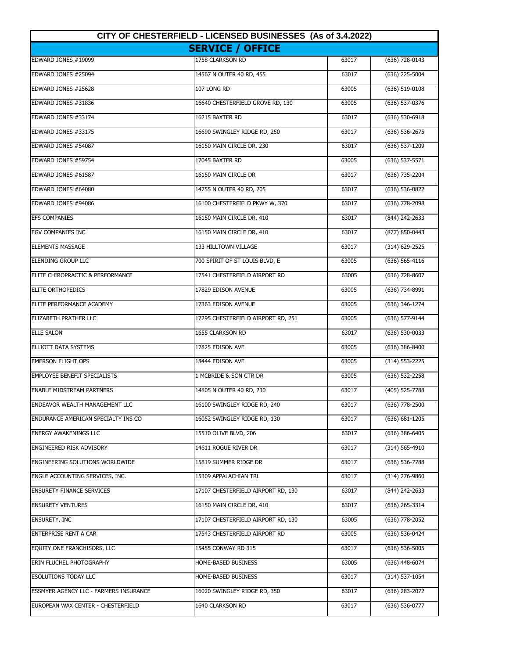| CITY OF CHESTERFIELD - LICENSED BUSINESSES (As of 3.4.2022) |                                    |       |                    |
|-------------------------------------------------------------|------------------------------------|-------|--------------------|
|                                                             | <b>SERVICE / OFFICE</b>            |       |                    |
| EDWARD JONES #19099                                         | 1758 CLARKSON RD                   | 63017 | $(636)$ 728-0143   |
| <b>EDWARD JONES #25094</b>                                  | 14567 N OUTER 40 RD, 455           | 63017 | (636) 225-5004     |
| <b>EDWARD JONES #25628</b>                                  | 107 LONG RD                        | 63005 | (636) 519-0108     |
| EDWARD JONES #31836                                         | 16640 CHESTERFIELD GROVE RD, 130   | 63005 | (636) 537-0376     |
| EDWARD JONES #33174                                         | 16215 BAXTER RD                    | 63017 | (636) 530-6918     |
| EDWARD JONES #33175                                         | 16690 SWINGLEY RIDGE RD, 250       | 63017 | (636) 536-2675     |
| EDWARD JONES #54087                                         | 16150 MAIN CIRCLE DR, 230          | 63017 | (636) 537-1209     |
| EDWARD JONES #59754                                         | 17045 BAXTER RD                    | 63005 | $(636) 537 - 5571$ |
| EDWARD JONES #61587                                         | 16150 MAIN CIRCLE DR               | 63017 | (636) 735-2204     |
| EDWARD JONES #64080                                         | 14755 N OUTER 40 RD, 205           | 63017 | (636) 536-0822     |
| EDWARD JONES #94086                                         | 16100 CHESTERFIELD PKWY W, 370     | 63017 | (636) 778-2098     |
| <b>EFS COMPANIES</b>                                        | 16150 MAIN CIRCLE DR, 410          | 63017 | (844) 242-2633     |
| <b>EGV COMPANIES INC</b>                                    | 16150 MAIN CIRCLE DR, 410          | 63017 | (877) 850-0443     |
| <b>ELEMENTS MASSAGE</b>                                     | 133 HILLTOWN VILLAGE               | 63017 | (314) 629-2525     |
| ELENDING GROUP LLC                                          | 700 SPIRIT OF ST LOUIS BLVD, E     | 63005 | $(636) 565 - 4116$ |
| ELITE CHIROPRACTIC & PERFORMANCE                            | 17541 CHESTERFIELD AIRPORT RD      | 63005 | (636) 728-8607     |
| <b>ELITE ORTHOPEDICS</b>                                    | 17829 EDISON AVENUE                | 63005 | (636) 734-8991     |
| ELITE PERFORMANCE ACADEMY                                   | 17363 EDISON AVENUE                | 63005 | (636) 346-1274     |
| ELIZABETH PRATHER LLC                                       | 17295 CHESTERFIELD AIRPORT RD, 251 | 63005 | (636) 577-9144     |
| <b>ELLE SALON</b>                                           | 1655 CLARKSON RD                   | 63017 | (636) 530-0033     |
| ELLIOTT DATA SYSTEMS                                        | 17825 EDISON AVE                   | 63005 | (636) 386-8400     |
| <b>EMERSON FLIGHT OPS</b>                                   | 18444 EDISON AVE                   | 63005 | (314) 553-2225     |
| <b>EMPLOYEE BENEFIT SPECIALISTS</b>                         | 1 MCBRIDE & SON CTR DR             | 63005 | (636) 532-2258     |
| <b>ENABLE MIDSTREAM PARTNERS</b>                            | 14805 N OUTER 40 RD, 230           | 63017 | $(405)$ 525-7788   |
| <b>ENDEAVOR WEALTH MANAGEMENT LLC</b>                       | 16100 SWINGLEY RIDGE RD, 240       | 63017 | (636) 778-2500     |
| ENDURANCE AMERICAN SPECIALTY INS CO                         | 16052 SWINGLEY RIDGE RD, 130       | 63017 | (636) 681-1205     |
| <b>ENERGY AWAKENINGS LLC</b>                                | 15510 OLIVE BLVD, 206              | 63017 | (636) 386-6405     |
| ENGINEERED RISK ADVISORY                                    | 14611 ROGUE RIVER DR               | 63017 | $(314) 565 - 4910$ |
| ENGINEERING SOLUTIONS WORLDWIDE                             | 15819 SUMMER RIDGE DR              | 63017 | (636) 536-7788     |
| ENGLE ACCOUNTING SERVICES, INC.                             | 15309 APPALACHIAN TRL              | 63017 | (314) 276-9860     |
| <b>ENSURETY FINANCE SERVICES</b>                            | 17107 CHESTERFIELD AIRPORT RD, 130 | 63017 | (844) 242-2633     |
| <b>ENSURETY VENTURES</b>                                    | 16150 MAIN CIRCLE DR, 410          | 63017 | (636) 265-3314     |
| <b>ENSURETY, INC</b>                                        | 17107 CHESTERFIELD AIRPORT RD, 130 | 63005 | (636) 778-2052     |
| <b>ENTERPRISE RENT A CAR</b>                                | 17543 CHESTERFIELD AIRPORT RD      | 63005 | (636) 536-0424     |
| EQUITY ONE FRANCHISORS, LLC                                 | 15455 CONWAY RD 315                | 63017 | (636) 536-5005     |
| ERIN FLUCHEL PHOTOGRAPHY                                    | Home-based Business                | 63005 | (636) 448-6074     |
| <b>ESOLUTIONS TODAY LLC</b>                                 | HOME-BASED BUSINESS                | 63017 | (314) 537-1054     |
| ESSMYER AGENCY LLC - FARMERS INSURANCE                      | 16020 SWINGLEY RIDGE RD, 350       | 63017 | (636) 283-2072     |
| EUROPEAN WAX CENTER - CHESTERFIELD                          | 1640 CLARKSON RD                   | 63017 | (636) 536-0777     |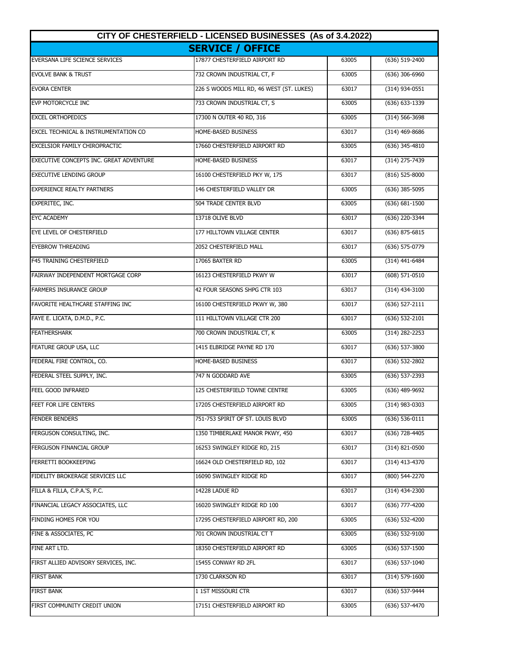| CITY OF CHESTERFIELD - LICENSED BUSINESSES (As of 3.4.2022) |                                          |       |                    |
|-------------------------------------------------------------|------------------------------------------|-------|--------------------|
|                                                             | <b>SERVICE / OFFICE</b>                  |       |                    |
| EVERSANA LIFE SCIENCE SERVICES                              | 17877 CHESTERFIELD AIRPORT RD            | 63005 | (636) 519-2400     |
| <b>EVOLVE BANK &amp; TRUST</b>                              | 732 CROWN INDUSTRIAL CT, F               | 63005 | (636) 306-6960     |
| <b>EVORA CENTER</b>                                         | 226 S WOODS MILL RD, 46 WEST (ST. LUKES) | 63017 | $(314)$ 934-0551   |
| EVP MOTORCYCLE INC                                          | 733 CROWN INDUSTRIAL CT, S               | 63005 | (636) 633-1339     |
| <b>EXCEL ORTHOPEDICS</b>                                    | 17300 N OUTER 40 RD, 316                 | 63005 | (314) 566-3698     |
| EXCEL TECHNICAL & INSTRUMENTATION CO                        | HOME-BASED BUSINESS                      | 63017 | (314) 469-8686     |
| <b>EXCELSIOR FAMILY CHIROPRACTIC</b>                        | 17660 CHESTERFIELD AIRPORT RD            | 63005 | $(636)$ 345-4810   |
| EXECUTIVE CONCEPTS INC. GREAT ADVENTURE                     | HOME-BASED BUSINESS                      | 63017 | (314) 275-7439     |
| <b>EXECUTIVE LENDING GROUP</b>                              | 16100 CHESTERFIELD PKY W, 175            | 63017 | (816) 525-8000     |
| <b>EXPERIENCE REALTY PARTNERS</b>                           | 146 CHESTERFIELD VALLEY DR               | 63005 | (636) 385-5095     |
| EXPERITEC, INC.                                             | 504 TRADE CENTER BLVD                    | 63005 | $(636) 681 - 1500$ |
| <b>EYC ACADEMY</b>                                          | 13718 OLIVE BLVD                         | 63017 | (636) 220-3344     |
| EYE LEVEL OF CHESTERFIELD                                   | 177 HILLTOWN VILLAGE CENTER              | 63017 | $(636)$ 875-6815   |
| <b>EYEBROW THREADING</b>                                    | 2052 CHESTERFIELD MALL                   | 63017 | (636) 575-0779     |
| <b>F45 TRAINING CHESTERFIELD</b>                            | 17065 BAXTER RD                          | 63005 | (314) 441-6484     |
| FAIRWAY INDEPENDENT MORTGAGE CORP                           | 16123 CHESTERFIELD PKWY W                | 63017 | (608) 571-0510     |
| <b>FARMERS INSURANCE GROUP</b>                              | 42 FOUR SEASONS SHPG CTR 103             | 63017 | (314) 434-3100     |
| <b>FAVORITE HEALTHCARE STAFFING INC</b>                     | 16100 CHESTERFIELD PKWY W, 380           | 63017 | (636) 527-2111     |
| FAYE E. LICATA, D.M.D., P.C.                                | 111 HILLTOWN VILLAGE CTR 200             | 63017 | (636) 532-2101     |
| <b>FEATHERSHARK</b>                                         | 700 CROWN INDUSTRIAL CT, K               | 63005 | (314) 282-2253     |
| FEATURE GROUP USA, LLC                                      | 1415 ELBRIDGE PAYNE RD 170               | 63017 | (636) 537-3800     |
| FEDERAL FIRE CONTROL, CO.                                   | HOME-BASED BUSINESS                      | 63017 | (636) 532-2802     |
| FEDERAL STEEL SUPPLY, INC.                                  | 747 N GODDARD AVE                        | 63005 | (636) 537-2393     |
| FEEL GOOD INFRARED                                          | 125 CHESTERFIELD TOWNE CENTRE            | 63005 | $(636)$ 489-9692   |
| FEET FOR LIFE CENTERS                                       | 17205 CHESTERFIELD AIRPORT RD            | 63005 | (314) 983-0303     |
| <b>FENDER BENDERS</b>                                       | 751-753 SPIRIT OF ST. LOUIS BLVD         | 63005 | (636) 536-0111     |
| FERGUSON CONSULTING, INC.                                   | 1350 TIMBERLAKE MANOR PKWY, 450          | 63017 | (636) 728-4405     |
| FERGUSON FINANCIAL GROUP                                    | 16253 SWINGLEY RIDGE RD, 215             | 63017 | $(314)$ 821-0500   |
| FERRETTI BOOKKEEPING                                        | 16624 OLD CHESTERFIELD RD, 102           | 63017 | (314) 413-4370     |
| FIDELITY BROKERAGE SERVICES LLC                             | 16090 SWINGLEY RIDGE RD                  | 63017 | (800) 544-2270     |
| FILLA & FILLA, C.P.A.'S, P.C.                               | 14228 LADUE RD                           | 63017 | $(314)$ 434-2300   |
| FINANCIAL LEGACY ASSOCIATES, LLC                            | 16020 SWINGLEY RIDGE RD 100              | 63017 | (636) 777-4200     |
| FINDING HOMES FOR YOU                                       | 17295 CHESTERFIELD AIRPORT RD, 200       | 63005 | (636) 532-4200     |
| FINE & ASSOCIATES, PC                                       | 701 CROWN INDUSTRIAL CT T                | 63005 | (636) 532-9100     |
| FINE ART LTD.                                               | 18350 CHESTERFIELD AIRPORT RD            | 63005 | (636) 537-1500     |
| FIRST ALLIED ADVISORY SERVICES, INC.                        | 15455 CONWAY RD 2FL                      | 63017 | (636) 537-1040     |
| <b>FIRST BANK</b>                                           | 1730 CLARKSON RD                         | 63017 | (314) 579-1600     |
| <b>FIRST BANK</b>                                           | 1 1ST MISSOURI CTR                       | 63017 | (636) 537-9444     |
| FIRST COMMUNITY CREDIT UNION                                | 17151 CHESTERFIELD AIRPORT RD            | 63005 | (636) 537-4470     |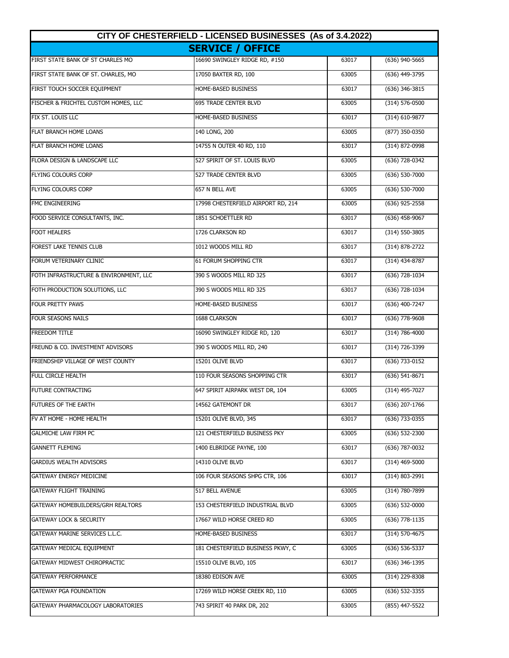| CITY OF CHESTERFIELD - LICENSED BUSINESSES (As of 3.4.2022) |                                    |       |                    |
|-------------------------------------------------------------|------------------------------------|-------|--------------------|
|                                                             | <b>SERVICE / OFFICE</b>            |       |                    |
| FIRST STATE BANK OF ST CHARLES MO                           | 16690 SWINGLEY RIDGE RD, #150      | 63017 | $(636)$ 940-5665   |
| FIRST STATE BANK OF ST. CHARLES, MO                         | 17050 BAXTER RD, 100               | 63005 | (636) 449-3795     |
| FIRST TOUCH SOCCER EQUIPMENT                                | HOME-BASED BUSINESS                | 63017 | (636) 346-3815     |
| FISCHER & FRICHTEL CUSTOM HOMES, LLC                        | <b>695 TRADE CENTER BLVD</b>       | 63005 | (314) 576-0500     |
| FIX ST. LOUIS LLC                                           | HOME-BASED BUSINESS                | 63017 | (314) 610-9877     |
| <b>FLAT BRANCH HOME LOANS</b>                               | 140 LONG, 200                      | 63005 | (877) 350-0350     |
| <b>FLAT BRANCH HOME LOANS</b>                               | 14755 N OUTER 40 RD, 110           | 63017 | (314) 872-0998     |
| FLORA DESIGN & LANDSCAPE LLC                                | 527 SPIRIT OF ST. LOUIS BLVD       | 63005 | (636) 728-0342     |
| <b>FLYING COLOURS CORP</b>                                  | 527 TRADE CENTER BLVD              | 63005 | (636) 530-7000     |
| FLYING COLOURS CORP                                         | 657 N BELL AVE                     | 63005 | (636) 530-7000     |
| <b>FMC ENGINEERING</b>                                      | 17998 CHESTERFIELD AIRPORT RD, 214 | 63005 | (636) 925-2558     |
| FOOD SERVICE CONSULTANTS, INC.                              | 1851 SCHOETTLER RD                 | 63017 | $(636)$ 458-9067   |
| <b>FOOT HEALERS</b>                                         | 1726 CLARKSON RD                   | 63017 | $(314) 550 - 3805$ |
| <b>FOREST LAKE TENNIS CLUB</b>                              | 1012 WOODS MILL RD                 | 63017 | $(314) 878 - 2722$ |
| FORUM VETERINARY CLINIC                                     | 61 FORUM SHOPPING CTR              | 63017 | (314) 434-8787     |
| FOTH INFRASTRUCTURE & ENVIRONMENT, LLC                      | 390 S WOODS MILL RD 325            | 63017 | (636) 728-1034     |
| FOTH PRODUCTION SOLUTIONS, LLC                              | 390 S WOODS MILL RD 325            | 63017 | (636) 728-1034     |
| FOUR PRETTY PAWS                                            | HOME-BASED BUSINESS                | 63017 | (636) 400-7247     |
| <b>FOUR SEASONS NAILS</b>                                   | 1688 CLARKSON                      | 63017 | (636) 778-9608     |
| <b>FREEDOM TITLE</b>                                        | 16090 SWINGLEY RIDGE RD, 120       | 63017 | (314) 786-4000     |
| FREUND & CO. INVESTMENT ADVISORS                            | 390 S WOODS MILL RD, 240           | 63017 | (314) 726-3399     |
| FRIENDSHIP VILLAGE OF WEST COUNTY                           | 15201 OLIVE BLVD                   | 63017 | (636) 733-0152     |
| FULL CIRCLE HEALTH                                          | 110 FOUR SEASONS SHOPPING CTR      | 63017 | $(636)$ 541-8671   |
| <b>FUTURE CONTRACTING</b>                                   | 647 SPIRIT AIRPARK WEST DR, 104    | 63005 | $(314)$ 495-7027   |
| FUTURES OF THE EARTH                                        | 14562 GATEMONT DR                  | 63017 | (636) 207-1766     |
| FV AT HOME - HOME HEALTH                                    | 15201 OLIVE BLVD, 345              | 63017 | (636) 733-0355     |
| <b>GALMICHE LAW FIRM PC</b>                                 | 121 CHESTERFIELD BUSINESS PKY      | 63005 | (636) 532-2300     |
| <b>GANNETT FLEMING</b>                                      | 1400 ELBRIDGE PAYNE, 100           | 63017 | (636) 787-0032     |
| <b>GARDIUS WEALTH ADVISORS</b>                              | 14310 OLIVE BLVD                   | 63017 | $(314)$ 469-5000   |
| <b>GATEWAY ENERGY MEDICINE</b>                              | 106 FOUR SEASONS SHPG CTR, 106     | 63017 | (314) 803-2991     |
| <b>GATEWAY FLIGHT TRAINING</b>                              | 517 BELL AVENUE                    | 63005 | (314) 780-7899     |
| GATEWAY HOMEBUILDERS/GRH REALTORS                           | 153 CHESTERFIELD INDUSTRIAL BLVD   | 63005 | (636) 532-0000     |
| <b>GATEWAY LOCK &amp; SECURITY</b>                          | 17667 WILD HORSE CREED RD          | 63005 | (636) 778-1135     |
| GATEWAY MARINE SERVICES L.L.C.                              | HOME-BASED BUSINESS                | 63017 | (314) 570-4675     |
| GATEWAY MEDICAL EQUIPMENT                                   | 181 CHESTERFIELD BUSINESS PKWY, C  | 63005 | (636) 536-5337     |
| GATEWAY MIDWEST CHIROPRACTIC                                | 15510 OLIVE BLVD, 105              | 63017 | (636) 346-1395     |
| <b>GATEWAY PERFORMANCE</b>                                  | 18380 EDISON AVE                   | 63005 | (314) 229-8308     |
| <b>GATEWAY PGA FOUNDATION</b>                               | 17269 WILD HORSE CREEK RD, 110     | 63005 | (636) 532-3355     |
| GATEWAY PHARMACOLOGY LABORATORIES                           | 743 SPIRIT 40 PARK DR, 202         | 63005 | (855) 447-5522     |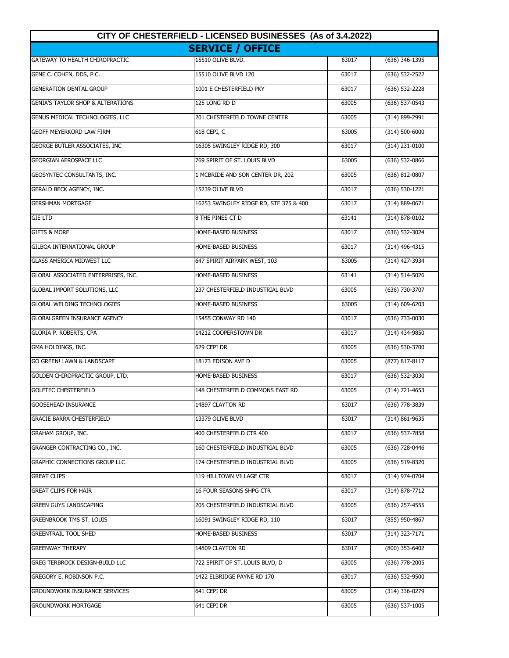| CITY OF CHESTERFIELD - LICENSED BUSINESSES (As of 3.4.2022) |                                        |       |                    |
|-------------------------------------------------------------|----------------------------------------|-------|--------------------|
|                                                             | <b>SERVICE / OFFICE</b>                |       |                    |
| GATEWAY TO HEALTH CHIROPRACTIC                              | 15510 OLIVE BLVD.                      | 63017 | (636) 346-1395     |
| GENE C. COHEN, DDS, P.C.                                    | 15510 OLIVE BLVD 120                   | 63017 | (636) 532-2522     |
| <b>GENERATION DENTAL GROUP</b>                              | 1001 E CHESTERFIELD PKY                | 63017 | (636) 532-2228     |
| <b>GENIA'S TAYLOR SHOP &amp; ALTERATIONS</b>                | 125 LONG RD D                          | 63005 | (636) 537-0543     |
| GENUS MEDICAL TECHNOLOGIES, LLC                             | 201 CHESTERFIELD TOWNE CENTER          | 63005 | (314) 899-2991     |
| <b>GEOFF MEYERKORD LAW FIRM</b>                             | 618 CEPI, C                            | 63005 | (314) 500-6000     |
| GEORGE BUTLER ASSOCIATES, INC                               | 16305 SWINGLEY RIDGE RD, 300           | 63017 | $(314)$ 231-0100   |
| <b>GEORGIAN AEROSPACE LLC</b>                               | 769 SPIRIT OF ST. LOUIS BLVD           | 63005 | (636) 532-0866     |
| GEOSYNTEC CONSULTANTS, INC.                                 | 1 MCBRIDE AND SON CENTER DR, 202       | 63005 | (636) 812-0807     |
| GERALD BECK AGENCY, INC.                                    | 15239 OLIVE BLVD                       | 63017 | (636) 530-1221     |
| <b>GERSHMAN MORTGAGE</b>                                    | 16253 SWINGLEY RIDGE RD, STE 375 & 400 | 63017 | (314) 889-0671     |
| <b>GIE LTD</b>                                              | 8 THE PINES CT D                       | 63141 | $(314) 878 - 0102$ |
| <b>GIFTS &amp; MORE</b>                                     | HOME-BASED BUSINESS                    | 63017 | $(636) 532 - 3024$ |
| <b>GILBOA INTERNATIONAL GROUP</b>                           | HOME-BASED BUSINESS                    | 63017 | $(314)$ 496-4315   |
| <b>GLASS AMERICA MIDWEST LLC</b>                            | 647 SPIRIT AIRPARK WEST, 103           | 63005 | (314) 427-3934     |
| GLOBAL ASSOCIATED ENTERPRISES, INC.                         | HOME-BASED BUSINESS                    | 63141 | (314) 514-5026     |
| GLOBAL IMPORT SOLUTIONS, LLC                                | 237 CHESTERFIELD INDUSTRIAL BLVD       | 63005 | (636) 730-3707     |
| <b>GLOBAL WELDING TECHNOLOGIES</b>                          | HOME-BASED BUSINESS                    | 63005 | (314) 609-6203     |
| <b>GLOBALGREEN INSURANCE AGENCY</b>                         | 15455 CONWAY RD 140                    | 63017 | (636) 733-0030     |
| GLORIA P. ROBERTS, CPA                                      | 14212 COOPERSTOWN DR                   | 63017 | (314) 434-9850     |
| GMA HOLDINGS, INC.                                          | 629 CEPI DR                            | 63005 | (636) 530-3700     |
| <b>GO GREEN! LAWN &amp; LANDSCAPE</b>                       | 18173 EDISON AVE D                     | 63005 | (877) 817-8117     |
| GOLDEN CHIROPRACTIC GROUP, LTD.                             | HOME-BASED BUSINESS                    | 63017 | (636) 532-3030     |
| <b>GOLFTEC CHESTERFIELD</b>                                 | 148 CHESTERFIELD COMMONS EAST RD       | 63005 | $(314) 721 - 4653$ |
| <b>GOOSEHEAD INSURANCE</b>                                  | 14897 CLAYTON RD                       | 63017 | (636) 778-3839     |
| <b>GRACIE BARRA CHESTERFIELD</b>                            | 13379 OLIVE BLVD                       | 63017 | (314) 861-9635     |
| GRAHAM GROUP, INC.                                          | 400 CHESTERFIELD CTR 400               | 63017 | (636) 537-7858     |
| GRANGER CONTRACTING CO., INC.                               | 160 CHESTERFIELD INDUSTRIAL BLVD       | 63005 | (636) 728-0446     |
| <b>GRAPHIC CONNECTIONS GROUP LLC</b>                        | 174 CHESTERFIELD INDUSTRIAL BLVD       | 63005 | (636) 519-8320     |
| <b>GREAT CLIPS</b>                                          | 119 HILLTOWN VILLAGE CTR               | 63017 | (314) 974-0704     |
| <b>GREAT CLIPS FOR HAIR</b>                                 | 16 FOUR SEASONS SHPG CTR               | 63017 | (314) 878-7712     |
| <b>GREEN GUYS LANDSCAPING</b>                               | 205 CHESTERFIELD INDUSTRIAL BLVD       | 63005 | (636) 257-4555     |
| <b>GREENBROOK TMS ST. LOUIS</b>                             | 16091 SWINGLEY RIDGE RD, 110           | 63017 | (855) 950-4867     |
| <b>GREENTRAIL TOOL SHED</b>                                 | HOME-BASED BUSINESS                    | 63017 | (314) 323-7171     |
| <b>GREENWAY THERAPY</b>                                     | 14809 CLAYTON RD                       | 63017 | (800) 353-6402     |
| <b>GREG TERBROCK DESIGN-BUILD LLC</b>                       | 722 SPIRIT OF ST. LOUIS BLVD, D        | 63005 | (636) 778-2005     |
| <b>GREGORY E. ROBINSON P.C.</b>                             | 1422 ELBRIDGE PAYNE RD 170             | 63017 | (636) 532-9500     |
| <b>GROUNDWORK INSURANCE SERVICES</b>                        | 641 CEPI DR                            | 63005 | (314) 336-0279     |
| <b>GROUNDWORK MORTGAGE</b>                                  | 641 CEPI DR                            | 63005 | (636) 537-1005     |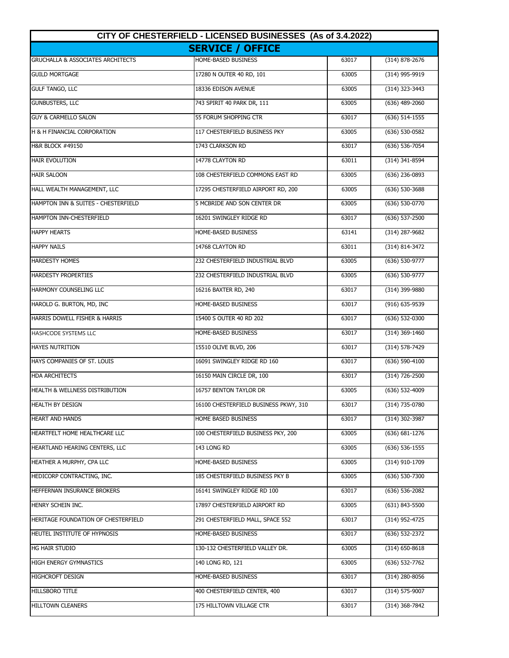| CITY OF CHESTERFIELD - LICENSED BUSINESSES (As of 3.4.2022) |                                       |       |                    |
|-------------------------------------------------------------|---------------------------------------|-------|--------------------|
|                                                             | <b>SERVICE / OFFICE</b>               |       |                    |
| <b>GRUCHALLA &amp; ASSOCIATES ARCHITECTS</b>                | HOME-BASED BUSINESS                   | 63017 | (314) 878-2676     |
| <b>GUILD MORTGAGE</b>                                       | 17280 N OUTER 40 RD, 101              | 63005 | (314) 995-9919     |
| <b>GULF TANGO, LLC</b>                                      | 18336 EDISON AVENUE                   | 63005 | (314) 323-3443     |
| <b>GUNBUSTERS, LLC</b>                                      | 743 SPIRIT 40 PARK DR, 111            | 63005 | (636) 489-2060     |
| <b>GUY &amp; CARMELLO SALON</b>                             | 55 FORUM SHOPPING CTR                 | 63017 | $(636)$ 514-1555   |
| <b>H &amp; H FINANCIAL CORPORATION</b>                      | 117 CHESTERFIELD BUSINESS PKY         | 63005 | (636) 530-0582     |
| <b>H&amp;R BLOCK #49150</b>                                 | 1743 CLARKSON RD                      | 63017 | $(636)$ 536-7054   |
| <b>HAIR EVOLUTION</b>                                       | 14778 CLAYTON RD                      | 63011 | (314) 341-8594     |
| <b>HAIR SALOON</b>                                          | 108 CHESTERFIELD COMMONS EAST RD      | 63005 | $(636)$ 236-0893   |
| HALL WEALTH MANAGEMENT, LLC                                 | 17295 CHESTERFIELD AIRPORT RD, 200    | 63005 | $(636)$ 530-3688   |
| HAMPTON INN & SUITES - CHESTERFIELD                         | 5 MCBRIDE AND SON CENTER DR           | 63005 | (636) 530-0770     |
| HAMPTON INN-CHESTERFIELD                                    | 16201 SWINGLEY RIDGE RD               | 63017 | $(636) 537 - 2500$ |
| <b>HAPPY HEARTS</b>                                         | <b>HOME-BASED BUSINESS</b>            | 63141 | (314) 287-9682     |
| <b>HAPPY NAILS</b>                                          | 14768 CLAYTON RD                      | 63011 | (314) 814-3472     |
| <b>HARDESTY HOMES</b>                                       | 232 CHESTERFIELD INDUSTRIAL BLVD      | 63005 | (636) 530-9777     |
| <b>HARDESTY PROPERTIES</b>                                  | 232 CHESTERFIELD INDUSTRIAL BLVD      | 63005 | (636) 530-9777     |
| <b>HARMONY COUNSELING LLC</b>                               | 16216 BAXTER RD, 240                  | 63017 | (314) 399-9880     |
| HAROLD G. BURTON, MD, INC                                   | HOME-BASED BUSINESS                   | 63017 | (916) 635-9539     |
| HARRIS DOWELL FISHER & HARRIS                               | 15400 S OUTER 40 RD 202               | 63017 | (636) 532-0300     |
| HASHCODE SYSTEMS LLC                                        | HOME-BASED BUSINESS                   | 63017 | (314) 369-1460     |
| <b>HAYES NUTRITION</b>                                      | 15510 OLIVE BLVD, 206                 | 63017 | (314) 578-7429     |
| HAYS COMPANIES OF ST. LOUIS                                 | 16091 SWINGLEY RIDGE RD 160           | 63017 | $(636) 590 - 4100$ |
| <b>HDA ARCHITECTS</b>                                       | 16150 MAIN CIRCLE DR, 100             | 63017 | (314) 726-2500     |
| <b>HEALTH &amp; WELLNESS DISTRIBUTION</b>                   | 16757 BENTON TAYLOR DR                | 63005 | $(636) 532 - 4009$ |
| <b>HEALTH BY DESIGN</b>                                     | 16100 CHESTERFIELD BUSINESS PKWY, 310 | 63017 | (314) 735-0780     |
| <b>HEART AND HANDS</b>                                      | HOME BASED BUSINESS                   | 63017 | (314) 302-3987     |
| HEARTFELT HOME HEALTHCARE LLC                               | 100 CHESTERFIELD BUSINESS PKY, 200    | 63005 | $(636) 681 - 1276$ |
| HEARTLAND HEARING CENTERS, LLC                              | 143 LONG RD                           | 63005 | $(636)$ 536-1555   |
| HEATHER A MURPHY, CPA LLC                                   | HOME-BASED BUSINESS                   | 63005 | (314) 910-1709     |
| HEDICORP CONTRACTING, INC.                                  | 185 CHESTERFIELD BUSINESS PKY B       | 63005 | (636) 530-7300     |
| HEFFERNAN INSURANCE BROKERS                                 | 16141 SWINGLEY RIDGE RD 100           | 63017 | (636) 536-2082     |
| HENRY SCHEIN INC.                                           | 17897 CHESTERFIELD AIRPORT RD         | 63005 | (631) 843-5500     |
| HERITAGE FOUNDATION OF CHESTERFIELD                         | 291 CHESTERFIELD MALL, SPACE 552      | 63017 | (314) 952-4725     |
| HEUTEL INSTITUTE OF HYPNOSIS                                | HOME-BASED BUSINESS                   | 63017 | (636) 532-2372     |
| HG HAIR STUDIO                                              | 130-132 CHESTERFIELD VALLEY DR.       | 63005 | $(314)$ 650-8618   |
| HIGH ENERGY GYMNASTICS                                      | 140 LONG RD, 121                      | 63005 | (636) 532-7762     |
| <b>HIGHCROFT DESIGN</b>                                     | HOME-BASED BUSINESS                   | 63017 | $(314)$ 280-8056   |
| HILLSBORO TITLE                                             | 400 CHESTERFIELD CENTER, 400          | 63017 | (314) 575-9007     |
| <b>HILLTOWN CLEANERS</b>                                    | 175 HILLTOWN VILLAGE CTR              | 63017 | (314) 368-7842     |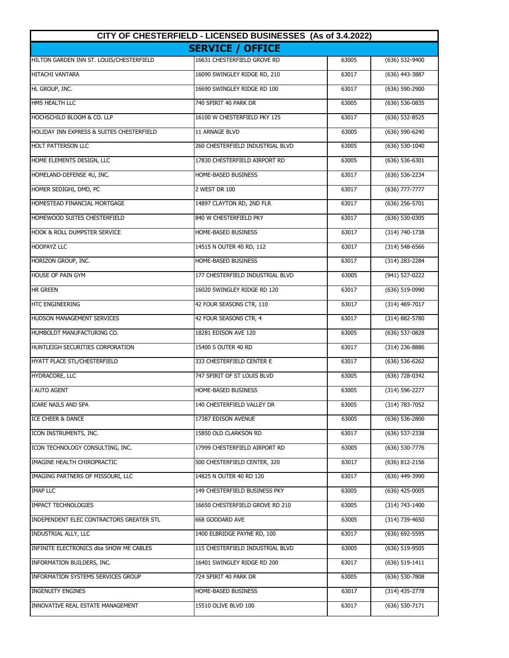| CITY OF CHESTERFIELD - LICENSED BUSINESSES (As of 3.4.2022) |                                  |       |                    |
|-------------------------------------------------------------|----------------------------------|-------|--------------------|
|                                                             | <b>SERVICE / OFFICE</b>          |       |                    |
| HILTON GARDEN INN ST. LOUIS/CHESTERFIELD                    | 16631 CHESTERFIELD GROVE RD      | 63005 | $(636) 532 - 9400$ |
| <b>HITACHI VANTARA</b>                                      | 16090 SWINGLEY RIDGE RD, 210     | 63017 | (636) 443-3887     |
| HL GROUP, INC.                                              | 16690 SWINGLEY RIDGE RD 100      | 63017 | (636) 590-2900     |
| HMS HEALTH LLC                                              | 740 SPIRIT 40 PARK DR            | 63005 | (636) 536-0835     |
| HOCHSCHILD BLOOM & CO. LLP                                  | 16100 W CHESTERFIELD PKY 125     | 63017 | (636) 532-8525     |
| HOLIDAY INN EXPRESS & SUITES CHESTERFIELD                   | 11 ARNAGE BLVD                   | 63005 | $(636) 590 - 6240$ |
| <b>HOLT PATTERSON LLC</b>                                   | 260 CHESTERFIELD INDUSTRIAL BLVD | 63005 | (636) 530-1040     |
| HOME ELEMENTS DESIGN, LLC                                   | 17830 CHESTERFIELD AIRPORT RD    | 63005 | $(636) 536-6301$   |
| HOMELAND-DEFENSE 4U, INC.                                   | HOME-BASED BUSINESS              | 63017 | (636) 536-2234     |
| HOMER SEDIGHI, DMD, PC                                      | 2 WEST DR 100                    | 63017 | $(636)$ 777-7777   |
| HOMESTEAD FINANCIAL MORTGAGE                                | 14897 CLAYTON RD, 2ND FLR        | 63017 | $(636)$ 256-5701   |
| HOMEWOOD SUITES CHESTERFIELD                                | 840 W CHESTERFIELD PKY           | 63017 | $(636) 530-0305$   |
| HOOK & ROLL DUMPSTER SERVICE                                | HOME-BASED BUSINESS              | 63017 | $(314) 740 - 1738$ |
| <b>HOOPAYZ LLC</b>                                          | 14515 N OUTER 40 RD, 112         | 63017 | (314) 548-6566     |
| HORIZON GROUP, INC.                                         | HOME-BASED BUSINESS              | 63017 | (314) 283-2284     |
| HOUSE OF PAIN GYM                                           | 177 CHESTERFIELD INDUSTRIAL BLVD | 63005 | (941) 527-0222     |
| <b>HR GREEN</b>                                             | 16020 SWINGLEY RIDGE RD 120      | 63017 | (636) 519-0990     |
| <b>HTC ENGINEERING</b>                                      | 42 FOUR SEASONS CTR, 110         | 63017 | (314) 469-7017     |
| HUDSON MANAGEMENT SERVICES                                  | 42 FOUR SEASONS CTR, 4           | 63017 | (314) 882-5780     |
| HUMBOLDT MANUFACTURING CO.                                  | 18281 EDISON AVE 120             | 63005 | (636) 537-0828     |
| HUNTLEIGH SECURITIES CORPORATION                            | 15400 S OUTER 40 RD              | 63017 | (314) 236-8886     |
| HYATT PLACE STL/CHESTERFIELD                                | 333 CHESTERFIELD CENTER E        | 63017 | (636) 536-6262     |
| HYDRACORE, LLC                                              | 747 SPIRIT OF ST LOUIS BLVD      | 63005 | (636) 728-0342     |
| <b>i AUTO AGENT</b>                                         | HOME-BASED BUSINESS              | 63005 | $(314) 596 - 2277$ |
| ICARE NAILS AND SPA                                         | 140 CHESTERFIELD VALLEY DR       | 63005 | (314) 783-7052     |
| <b>ICE CHEER &amp; DANCE</b>                                | 17387 EDISON AVENUE              | 63005 | $(636)$ 536-2800   |
| ICON INSTRUMENTS, INC.                                      | 15850 OLD CLARKSON RD            | 63017 | (636) 537-2338     |
| ICON TECHNOLOGY CONSULTING, INC.                            | 17999 CHESTERFIELD AIRPORT RD    | 63005 | (636) 530-7776     |
| IMAGINE HEALTH CHIROPRACTIC                                 | 500 CHESTERFIELD CENTER, 320     | 63017 | (636) 812-2156     |
| IMAGING PARTNERS OF MISSOURI, LLC                           | 14825 N OUTER 40 RD 120          | 63017 | (636) 449-3990     |
| <b>IMAP LLC</b>                                             | 149 CHESTERFIELD BUSINESS PKY    | 63005 | $(636)$ 425-0005   |
| IMPACT TECHNOLOGIES                                         | 16650 CHESTERFIELD GROVE RD 210  | 63005 | (314) 743-1400     |
| INDEPENDENT ELEC CONTRACTORS GREATER STL                    | 668 GODDARD AVE                  | 63005 | (314) 739-4650     |
| INDUSTRIAL ALLY, LLC                                        | 1400 ELBRIDGE PAYNE RD, 100      | 63017 | (636) 692-5595     |
| INFINITE ELECTRONICS dba SHOW ME CABLES                     | 115 CHESTERFIELD INDUSTRIAL BLVD | 63005 | $(636)$ 519-9505   |
| INFORMATION BUILDERS, INC.                                  | 16401 SWINGLEY RIDGE RD 200      | 63017 | (636) 519-1411     |
| INFORMATION SYSTEMS SERVICES GROUP                          | 724 SPIRIT 40 PARK DR            | 63005 | $(636)$ 530-7808   |
| <b>INGENUITY ENGINES</b>                                    | HOME-BASED BUSINESS              | 63017 | $(314)$ 435-2778   |
| INNOVATIVE REAL ESTATE MANAGEMENT                           | 15510 OLIVE BLVD 100             | 63017 | $(636)$ 530-7171   |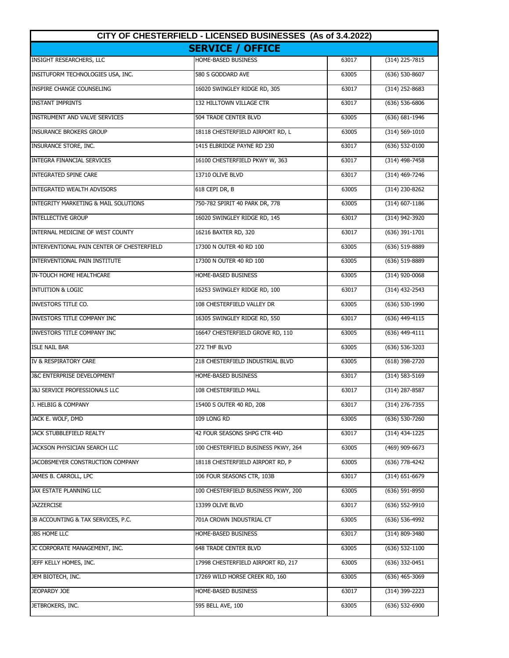| CITY OF CHESTERFIELD - LICENSED BUSINESSES (As of 3.4.2022) |                                     |       |                    |
|-------------------------------------------------------------|-------------------------------------|-------|--------------------|
|                                                             | <b>SERVICE / OFFICE</b>             |       |                    |
| <b>INSIGHT RESEARCHERS, LLC</b>                             | HOME-BASED BUSINESS                 | 63017 | $(314)$ 225-7815   |
| INSITUFORM TECHNOLOGIES USA, INC.                           | 580 S GODDARD AVE                   | 63005 | $(636) 530 - 8607$ |
| <b>INSPIRE CHANGE COUNSELING</b>                            | 16020 SWINGLEY RIDGE RD, 305        | 63017 | (314) 252-8683     |
| <b>INSTANT IMPRINTS</b>                                     | 132 HILLTOWN VILLAGE CTR            | 63017 | (636) 536-6806     |
| <b>INSTRUMENT AND VALVE SERVICES</b>                        | <b>504 TRADE CENTER BLVD</b>        | 63005 | (636) 681-1946     |
| <b>INSURANCE BROKERS GROUP</b>                              | 18118 CHESTERFIELD AIRPORT RD, L    | 63005 | (314) 569-1010     |
| INSURANCE STORE, INC.                                       | 1415 ELBRIDGE PAYNE RD 230          | 63017 | (636) 532-0100     |
| <b>INTEGRA FINANCIAL SERVICES</b>                           | 16100 CHESTERFIELD PKWY W, 363      | 63017 | (314) 498-7458     |
| <b>INTEGRATED SPINE CARE</b>                                | 13710 OLIVE BLVD                    | 63017 | (314) 469-7246     |
| <b>INTEGRATED WEALTH ADVISORS</b>                           | 618 CEPI DR, B                      | 63005 | (314) 230-8262     |
| <b>INTEGRITY MARKETING &amp; MAIL SOLUTIONS</b>             | 750-782 SPIRIT 40 PARK DR, 778      | 63005 | (314) 607-1186     |
| <b>INTELLECTIVE GROUP</b>                                   | 16020 SWINGLEY RIDGE RD, 145        | 63017 | (314) 942-3920     |
| INTERNAL MEDICINE OF WEST COUNTY                            | 16216 BAXTER RD, 320                | 63017 | $(636)$ 391-1701   |
| INTERVENTIONAL PAIN CENTER OF CHESTERFIELD                  | 17300 N OUTER 40 RD 100             | 63005 | (636) 519-8889     |
| INTERVENTIONAL PAIN INSTITUTE                               | 17300 N OUTER 40 RD 100             | 63005 | (636) 519-8889     |
| IN-TOUCH HOME HEALTHCARE                                    | HOME-BASED BUSINESS                 | 63005 | (314) 920-0068     |
| <b>INTUITION &amp; LOGIC</b>                                | 16253 SWINGLEY RIDGE RD, 100        | 63017 | (314) 432-2543     |
| <b>INVESTORS TITLE CO.</b>                                  | 108 CHESTERFIELD VALLEY DR          | 63005 | (636) 530-1990     |
| <b>INVESTORS TITLE COMPANY INC</b>                          | 16305 SWINGLEY RIDGE RD, 550        | 63017 | (636) 449-4115     |
| <b>INVESTORS TITLE COMPANY INC</b>                          | 16647 CHESTERFIELD GROVE RD, 110    | 63005 | $(636)$ 449-4111   |
| <b>ISLE NAIL BAR</b>                                        | 272 THF BLVD                        | 63005 | $(636) 536 - 3203$ |
| IV & RESPIRATORY CARE                                       | 218 CHESTERFIELD INDUSTRIAL BLVD    | 63005 | (618) 398-2720     |
| <b>J&amp;C ENTERPRISE DEVELOPMENT</b>                       | HOME-BASED BUSINESS                 | 63017 | $(314) 583 - 5169$ |
| <b>J&amp;J SERVICE PROFESSIONALS LLC</b>                    | 108 CHESTERFIELD MALL               | 63017 | $(314)$ 287-8587   |
| J. HELBIG & COMPANY                                         | 15400 S OUTER 40 RD, 208            | 63017 | (314) 276-7355     |
| JACK E. WOLF, DMD                                           | 109 LONG RD                         | 63005 | (636) 530-7260     |
| JACK STUBBLEFIELD REALTY                                    | 42 FOUR SEASONS SHPG CTR 44D        | 63017 | (314) 434-1225     |
| JACKSON PHYSICIAN SEARCH LLC                                | 100 CHESTERFIELD BUSINESS PKWY, 264 | 63005 | (469) 909-6673     |
| JACOBSMEYER CONSTRUCTION COMPANY                            | 18118 CHESTERFIELD AIRPORT RD, P    | 63005 | (636) 778-4242     |
| JAMES B. CARROLL, LPC                                       | 106 FOUR SEASONS CTR, 103B          | 63017 | (314) 651-6679     |
| JAX ESTATE PLANNING LLC                                     | 100 CHESTERFIELD BUSINESS PKWY, 200 | 63005 | $(636)$ 591-8950   |
| <b>JAZZERCISE</b>                                           | 13399 OLIVE BLVD                    | 63017 | (636) 552-9910     |
| JB ACCOUNTING & TAX SERVICES, P.C.                          | 701A CROWN INDUSTRIAL CT            | 63005 | (636) 536-4992     |
| <b>JBS HOME LLC</b>                                         | HOME-BASED BUSINESS                 | 63017 | (314) 809-3480     |
| JC CORPORATE MANAGEMENT, INC.                               | 648 TRADE CENTER BLVD               | 63005 | (636) 532-1100     |
| JEFF KELLY HOMES, INC.                                      | 17998 CHESTERFIELD AIRPORT RD, 217  | 63005 | (636) 332-0451     |
| JEM BIOTECH, INC.                                           | 17269 WILD HORSE CREEK RD, 160      | 63005 | (636) 465-3069     |
| JEOPARDY JOE                                                | HOME-BASED BUSINESS                 | 63017 | (314) 399-2223     |
| JETBROKERS, INC.                                            | 595 BELL AVE, 100                   | 63005 | (636) 532-6900     |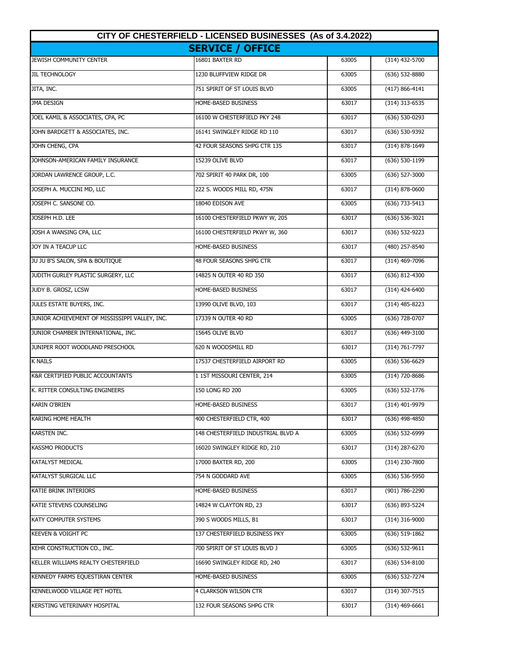| CITY OF CHESTERFIELD - LICENSED BUSINESSES (As of 3.4.2022) |                                    |       |                    |
|-------------------------------------------------------------|------------------------------------|-------|--------------------|
|                                                             | <b>SERVICE / OFFICE</b>            |       |                    |
| JEWISH COMMUNITY CENTER                                     | 16801 BAXTER RD                    | 63005 | $(314)$ 432-5700   |
| <b>JIL TECHNOLOGY</b>                                       | 1230 BLUFFVIEW RIDGE DR            | 63005 | $(636)$ 532-8880   |
| JITA, INC.                                                  | 751 SPIRIT OF ST LOUIS BLVD        | 63005 | $(417) 866 - 4141$ |
| <b>JMA DESIGN</b>                                           | HOME-BASED BUSINESS                | 63017 | $(314)$ 313-6535   |
| JOEL KAMIL & ASSOCIATES, CPA, PC                            | 16100 W CHESTERFIELD PKY 248       | 63017 | (636) 530-0293     |
| JOHN BARDGETT & ASSOCIATES, INC.                            | 16141 SWINGLEY RIDGE RD 110        | 63017 | (636) 530-9392     |
| JOHN CHENG, CPA                                             | 42 FOUR SEASONS SHPG CTR 135       | 63017 | (314) 878-1649     |
| JOHNSON-AMERICAN FAMILY INSURANCE                           | 15239 OLIVE BLVD                   | 63017 | (636) 530-1199     |
| JORDAN LAWRENCE GROUP, L.C.                                 | 702 SPIRIT 40 PARK DR, 100         | 63005 | (636) 527-3000     |
| JOSEPH A. MUCCINI MD, LLC                                   | 222 S. WOODS MILL RD, 475N         | 63017 | (314) 878-0600     |
| JOSEPH C. SANSONE CO.                                       | 18040 EDISON AVE                   | 63005 | (636) 733-5413     |
| JOSEPH H.D. LEE                                             | 16100 CHESTERFIELD PKWY W, 205     | 63017 | $(636) 536-3021$   |
| JOSH A WANSING CPA, LLC                                     | 16100 CHESTERFIELD PKWY W, 360     | 63017 | $(636) 532 - 9223$ |
| JOY IN A TEACUP LLC                                         | HOME-BASED BUSINESS                | 63017 | (480) 257-8540     |
| JU JU B'S SALON, SPA & BOUTIQUE                             | 48 FOUR SEASONS SHPG CTR           | 63017 | (314) 469-7096     |
| JUDITH GURLEY PLASTIC SURGERY, LLC                          | 14825 N OUTER 40 RD 350            | 63017 | (636) 812-4300     |
| JUDY B. GROSZ, LCSW                                         | HOME-BASED BUSINESS                | 63017 | (314) 424-6400     |
| JULES ESTATE BUYERS, INC.                                   | 13990 OLIVE BLVD, 103              | 63017 | $(314)$ 485-8223   |
| JUNIOR ACHIEVEMENT OF MISSISSIPPI VALLEY, INC.              | 17339 N OUTER 40 RD                | 63005 | (636) 728-0707     |
| JUNIOR CHAMBER INTERNATIONAL, INC.                          | 15645 OLIVE BLVD                   | 63017 | (636) 449-3100     |
| JUNIPER ROOT WOODLAND PRESCHOOL                             | 620 N WOODSMILL RD                 | 63017 | (314) 761-7797     |
| <b>K NAILS</b>                                              | 17537 CHESTERFIELD AIRPORT RD      | 63005 | $(636) 536-6629$   |
| <b>K&amp;R CERTIFIED PUBLIC ACCOUNTANTS</b>                 | 1 1ST MISSOURI CENTER, 214         | 63005 | (314) 720-8686     |
| K. RITTER CONSULTING ENGINEERS                              | 150 LONG RD 200                    | 63005 | $(636) 532 - 1776$ |
| <b>KARIN O'BRIEN</b>                                        | HOME-BASED BUSINESS                | 63017 | (314) 401-9979     |
| KARING HOME HEALTH                                          | 400 CHESTERFIELD CTR, 400          | 63017 | (636) 498-4850     |
| KARSTEN INC.                                                | 148 CHESTERFIELD INDUSTRIAL BLVD A | 63005 | (636) 532-6999     |
| <b>KASSMO PRODUCTS</b>                                      | 16020 SWINGLEY RIDGE RD, 210       | 63017 | (314) 287-6270     |
| <b>KATALYST MEDICAL</b>                                     | 17000 BAXTER RD, 200               | 63005 | (314) 230-7800     |
| KATALYST SURGICAL LLC                                       | 754 N GODDARD AVE                  | 63005 | (636) 536-5950     |
| KATIE BRINK INTERIORS                                       | Home-based business                | 63017 | (901) 786-2290     |
| KATIE STEVENS COUNSELING                                    | 14824 W CLAYTON RD, 23             | 63017 | (636) 893-5224     |
| KATY COMPUTER SYSTEMS                                       | 390 S WOODS MILLS, B1              | 63017 | (314) 316-9000     |
| <b>KEEVEN &amp; VOIGHT PC</b>                               | 137 CHESTERFIELD BUSINESS PKY      | 63005 | (636) 519-1862     |
| KEHR CONSTRUCTION CO., INC.                                 | 700 SPIRIT OF ST LOUIS BLVD J      | 63005 | (636) 532-9611     |
| KELLER WILLIAMS REALTY CHESTERFIELD                         | 16690 SWINGLEY RIDGE RD, 240       | 63017 | (636) 534-8100     |
| KENNEDY FARMS EQUESTIRAN CENTER                             | HOME-BASED BUSINESS                | 63005 | (636) 532-7274     |
| KENNELWOOD VILLAGE PET HOTEL                                | 4 CLARKSON WILSON CTR              | 63017 | $(314)$ 307-7515   |
| KERSTING VETERINARY HOSPITAL                                | 132 FOUR SEASONS SHPG CTR          | 63017 | $(314)$ 469-6661   |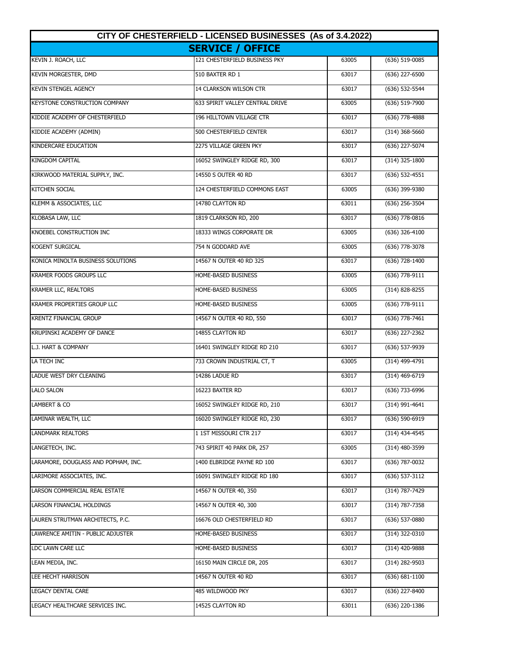| CITY OF CHESTERFIELD - LICENSED BUSINESSES (As of 3.4.2022) |                                 |       |                    |
|-------------------------------------------------------------|---------------------------------|-------|--------------------|
|                                                             | <b>SERVICE / OFFICE</b>         |       |                    |
| KEVIN J. ROACH, LLC                                         | 121 CHESTERFIELD BUSINESS PKY   | 63005 | (636) 519-0085     |
| KEVIN MORGESTER, DMD                                        | 510 BAXTER RD 1                 | 63017 | (636) 227-6500     |
| <b>KEVIN STENGEL AGENCY</b>                                 | 14 CLARKSON WILSON CTR          | 63017 | (636) 532-5544     |
| <b>KEYSTONE CONSTRUCTION COMPANY</b>                        | 633 SPIRIT VALLEY CENTRAL DRIVE | 63005 | (636) 519-7900     |
| KIDDIE ACADEMY OF CHESTERFIELD                              | 196 HILLTOWN VILLAGE CTR        | 63017 | (636) 778-4888     |
| KIDDIE ACADEMY (ADMIN)                                      | 500 CHESTERFIELD CENTER         | 63017 | $(314)$ 368-5660   |
| KINDERCARE EDUCATION                                        | 2275 VILLAGE GREEN PKY          | 63017 | (636) 227-5074     |
| <b>KINGDOM CAPITAL</b>                                      | 16052 SWINGLEY RIDGE RD, 300    | 63017 | (314) 325-1800     |
| KIRKWOOD MATERIAL SUPPLY, INC.                              | 14550 S OUTER 40 RD             | 63017 | (636) 532-4551     |
| <b>KITCHEN SOCIAL</b>                                       | 124 CHESTERFIELD COMMONS EAST   | 63005 | (636) 399-9380     |
| KLEMM & ASSOCIATES, LLC                                     | 14780 CLAYTON RD                | 63011 | (636) 256-3504     |
| KLOBASA LAW, LLC                                            | 1819 CLARKSON RD, 200           | 63017 | $(636)$ 778-0816   |
| KNOEBEL CONSTRUCTION INC                                    | 18333 WINGS CORPORATE DR        | 63005 | $(636)$ 326-4100   |
| <b>KOGENT SURGICAL</b>                                      | 754 N GODDARD AVE               | 63005 | (636) 778-3078     |
| KONICA MINOLTA BUSINESS SOLUTIONS                           | 14567 N OUTER 40 RD 325         | 63017 | $(636)$ 728-1400   |
| <b>KRAMER FOODS GROUPS LLC</b>                              | HOME-BASED BUSINESS             | 63005 | (636) 778-9111     |
| <b>KRAMER LLC, REALTORS</b>                                 | HOME-BASED BUSINESS             | 63005 | (314) 828-8255     |
| <b>KRAMER PROPERTIES GROUP LLC</b>                          | HOME-BASED BUSINESS             | 63005 | (636) 778-9111     |
| <b>KRENTZ FINANCIAL GROUP</b>                               | 14567 N OUTER 40 RD, 550        | 63017 | $(636)$ 778-7461   |
| KRUPINSKI ACADEMY OF DANCE                                  | 14855 CLAYTON RD                | 63017 | (636) 227-2362     |
| L.J. HART & COMPANY                                         | 16401 SWINGLEY RIDGE RD 210     | 63017 | (636) 537-9939     |
| LA TECH INC                                                 | 733 CROWN INDUSTRIAL CT, T      | 63005 | (314) 499-4791     |
| LADUE WEST DRY CLEANING                                     | 14286 LADUE RD                  | 63017 | (314) 469-6719     |
| <b>LALO SALON</b>                                           | 16223 BAXTER RD                 | 63017 | (636) 733-6996     |
| LAMBERT & CO                                                | 16052 SWINGLEY RIDGE RD, 210    | 63017 | (314) 991-4641     |
| LAMINAR WEALTH, LLC                                         | 16020 SWINGLEY RIDGE RD, 230    | 63017 | (636) 590-6919     |
| <b>LANDMARK REALTORS</b>                                    | 1 1ST MISSOURI CTR 217          | 63017 | (314) 434-4545     |
| LANGETECH, INC.                                             | 743 SPIRIT 40 PARK DR, 257      | 63005 | (314) 480-3599     |
| LARAMORE, DOUGLASS AND POPHAM, INC.                         | 1400 ELBRIDGE PAYNE RD 100      | 63017 | (636) 787-0032     |
| LARIMORE ASSOCIATES, INC.                                   | 16091 SWINGLEY RIDGE RD 180     | 63017 | (636) 537-3112     |
| LARSON COMMERCIAL REAL ESTATE                               | 14567 N OUTER 40, 350           | 63017 | (314) 787-7429     |
| LARSON FINANCIAL HOLDINGS                                   | 14567 N OUTER 40, 300           | 63017 | $(314)$ 787-7358   |
| LAUREN STRUTMAN ARCHITECTS, P.C.                            | 16676 OLD CHESTERFIELD RD       | 63017 | (636) 537-0880     |
| LAWRENCE AMITIN - PUBLIC ADJUSTER                           | HOME-BASED BUSINESS             | 63017 | (314) 322-0310     |
| LDC LAWN CARE LLC                                           | HOME-BASED BUSINESS             | 63017 | (314) 420-9888     |
| LEAN MEDIA, INC.                                            | 16150 MAIN CIRCLE DR, 205       | 63017 | (314) 282-9503     |
| LEE HECHT HARRISON                                          | 14567 N OUTER 40 RD             | 63017 | $(636) 681 - 1100$ |
| LEGACY DENTAL CARE                                          | 485 WILDWOOD PKY                | 63017 | (636) 227-8400     |
| LEGACY HEALTHCARE SERVICES INC.                             | 14525 CLAYTON RD                | 63011 | (636) 220-1386     |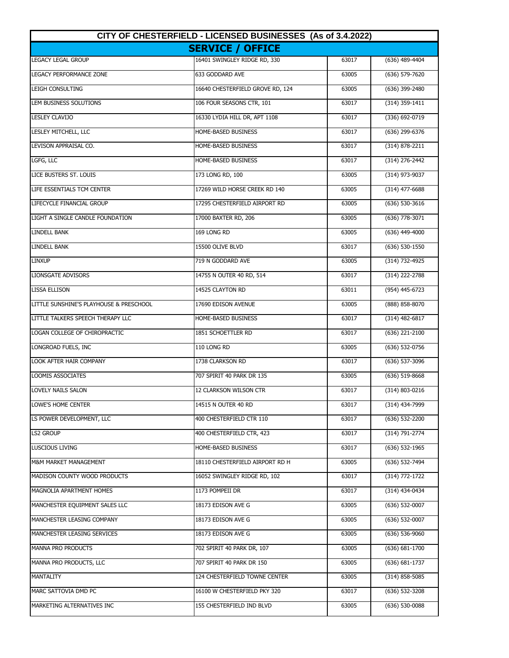| CITY OF CHESTERFIELD - LICENSED BUSINESSES (As of 3.4.2022) |                                  |       |                    |
|-------------------------------------------------------------|----------------------------------|-------|--------------------|
|                                                             | <b>SERVICE / OFFICE</b>          |       |                    |
| LEGACY LEGAL GROUP                                          | 16401 SWINGLEY RIDGE RD, 330     | 63017 | (636) 489-4404     |
| <b>LEGACY PERFORMANCE ZONE</b>                              | 633 GODDARD AVE                  | 63005 | (636) 579-7620     |
| LEIGH CONSULTING                                            | 16640 CHESTERFIELD GROVE RD, 124 | 63005 | (636) 399-2480     |
| LEM BUSINESS SOLUTIONS                                      | 106 FOUR SEASONS CTR, 101        | 63017 | $(314)$ 359-1411   |
| LESLEY CLAVIJO                                              | 16330 LYDIA HILL DR, APT 1108    | 63017 | (336) 692-0719     |
| LESLEY MITCHELL, LLC                                        | HOME-BASED BUSINESS              | 63017 | (636) 299-6376     |
| LEVISON APPRAISAL CO.                                       | HOME-BASED BUSINESS              | 63017 | (314) 878-2211     |
| LGFG, LLC                                                   | HOME-BASED BUSINESS              | 63017 | (314) 276-2442     |
| LICE BUSTERS ST. LOUIS                                      | 173 LONG RD, 100                 | 63005 | (314) 973-9037     |
| LIFE ESSENTIALS TCM CENTER                                  | 17269 WILD HORSE CREEK RD 140    | 63005 | $(314)$ 477-6688   |
| LIFECYCLE FINANCIAL GROUP                                   | 17295 CHESTERFIELD AIRPORT RD    | 63005 | (636) 530-3616     |
| LIGHT A SINGLE CANDLE FOUNDATION                            | 17000 BAXTER RD, 206             | 63005 | $(636)$ 778-3071   |
| <b>LINDELL BANK</b>                                         | 169 LONG RD                      | 63005 | $(636)$ 449-4000   |
| <b>LINDELL BANK</b>                                         | 15500 OLIVE BLVD                 | 63017 | $(636)$ 530-1550   |
| <b>LINXUP</b>                                               | 719 N GODDARD AVE                | 63005 | (314) 732-4925     |
| <b>LIONSGATE ADVISORS</b>                                   | 14755 N OUTER 40 RD, 514         | 63017 | (314) 222-2788     |
| <b>LISSA ELLISON</b>                                        | 14525 CLAYTON RD                 | 63011 | (954) 445-6723     |
| LITTLE SUNSHINE'S PLAYHOUSE & PRESCHOOL                     | 17690 EDISON AVENUE              | 63005 | (888) 858-8070     |
| LITTLE TALKERS SPEECH THERAPY LLC                           | HOME-BASED BUSINESS              | 63017 | $(314)$ 482-6817   |
| LOGAN COLLEGE OF CHIROPRACTIC                               | 1851 SCHOETTLER RD               | 63017 | (636) 221-2100     |
| LONGROAD FUELS, INC                                         | 110 LONG RD                      | 63005 | (636) 532-0756     |
| LOOK AFTER HAIR COMPANY                                     | 1738 CLARKSON RD                 | 63017 | (636) 537-3096     |
| LOOMIS ASSOCIATES                                           | 707 SPIRIT 40 PARK DR 135        | 63005 | $(636)$ 519-8668   |
| LOVELY NAILS SALON                                          | 12 CLARKSON WILSON CTR           | 63017 | $(314) 803 - 0216$ |
| LOWE'S HOME CENTER                                          | 14515 N OUTER 40 RD              | 63017 | (314) 434-7999     |
| LS POWER DEVELOPMENT, LLC                                   | 400 CHESTERFIELD CTR 110         | 63017 | (636) 532-2200     |
| <b>LS2 GROUP</b>                                            | 400 CHESTERFIELD CTR, 423        | 63017 | (314) 791-2774     |
| <b>LUSCIOUS LIVING</b>                                      | HOME-BASED BUSINESS              | 63017 | $(636)$ 532-1965   |
| M&M MARKET MANAGEMENT                                       | 18110 CHESTERFIELD AIRPORT RD H  | 63005 | (636) 532-7494     |
| MADISON COUNTY WOOD PRODUCTS                                | 16052 SWINGLEY RIDGE RD, 102     | 63017 | (314) 772-1722     |
| MAGNOLIA APARTMENT HOMES                                    | 1173 POMPEII DR                  | 63017 | (314) 434-0434     |
| MANCHESTER EQUIPMENT SALES LLC                              | 18173 EDISON AVE G               | 63005 | (636) 532-0007     |
| MANCHESTER LEASING COMPANY                                  | 18173 EDISON AVE G               | 63005 | $(636)$ 532-0007   |
| MANCHESTER LEASING SERVICES                                 | 18173 EDISON AVE G               | 63005 | $(636)$ 536-9060   |
| MANNA PRO PRODUCTS                                          | 702 SPIRIT 40 PARK DR, 107       | 63005 | $(636) 681 - 1700$ |
| MANNA PRO PRODUCTS, LLC                                     | 707 SPIRIT 40 PARK DR 150        | 63005 | (636) 681-1737     |
| MANTALITY                                                   | 124 CHESTERFIELD TOWNE CENTER    | 63005 | $(314)$ 858-5085   |
| MARC SATTOVIA DMD PC                                        | 16100 W CHESTERFIELD PKY 320     | 63017 | (636) 532-3208     |
| MARKETING ALTERNATIVES INC                                  | 155 CHESTERFIELD IND BLVD        | 63005 | $(636)$ 530-0088   |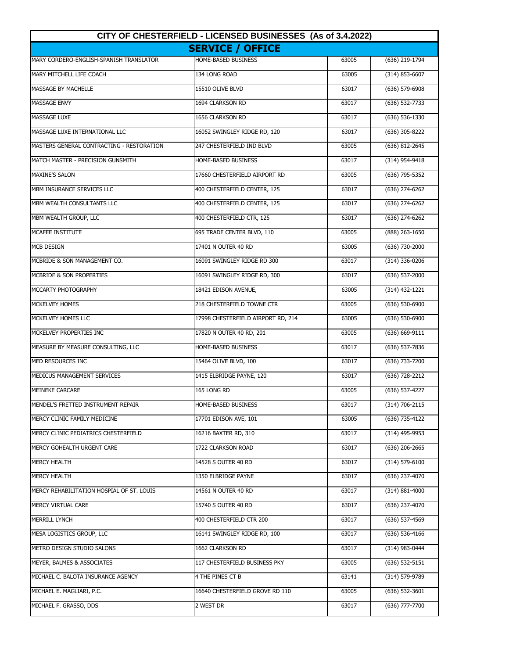| CITY OF CHESTERFIELD - LICENSED BUSINESSES (As of 3.4.2022) |                                    |       |                    |
|-------------------------------------------------------------|------------------------------------|-------|--------------------|
|                                                             | <b>SERVICE / OFFICE</b>            |       |                    |
| MARY CORDERO-ENGLISH-SPANISH TRANSLATOR                     | HOME-BASED BUSINESS                | 63005 | (636) 219-1794     |
| MARY MITCHELL LIFE COACH                                    | 134 LONG ROAD                      | 63005 | $(314) 853 - 6607$ |
| MASSAGE BY MACHELLE                                         | 15510 OLIVE BLVD                   | 63017 | $(636)$ 579-6908   |
| <b>MASSAGE ENVY</b>                                         | 1694 CLARKSON RD                   | 63017 | (636) 532-7733     |
| <b>MASSAGE LUXE</b>                                         | 1656 CLARKSON RD                   | 63017 | (636) 536-1330     |
| MASSAGE LUXE INTERNATIONAL LLC                              | 16052 SWINGLEY RIDGE RD, 120       | 63017 | (636) 305-8222     |
| MASTERS GENERAL CONTRACTING - RESTORATION                   | 247 CHESTERFIELD IND BLVD          | 63005 | (636) 812-2645     |
| MATCH MASTER - PRECISION GUNSMITH                           | HOME-BASED BUSINESS                | 63017 | (314) 954-9418     |
| <b>MAXINE'S SALON</b>                                       | 17660 CHESTERFIELD AIRPORT RD      | 63005 | (636) 795-5352     |
| MBM INSURANCE SERVICES LLC                                  | 400 CHESTERFIELD CENTER, 125       | 63017 | (636) 274-6262     |
| MBM WEALTH CONSULTANTS LLC                                  | 400 CHESTERFIELD CENTER, 125       | 63017 | (636) 274-6262     |
| MBM WEALTH GROUP, LLC                                       | 400 CHESTERFIELD CTR, 125          | 63017 | $(636)$ 274-6262   |
| <b>MCAFEE INSTITUTE</b>                                     | 695 TRADE CENTER BLVD, 110         | 63005 | (888) 263-1650     |
| <b>MCB DESIGN</b>                                           | 17401 N OUTER 40 RD                | 63005 | (636) 730-2000     |
| MCBRIDE & SON MANAGEMENT CO.                                | 16091 SWINGLEY RIDGE RD 300        | 63017 | (314) 336-0206     |
| MCBRIDE & SON PROPERTIES                                    | 16091 SWINGLEY RIDGE RD, 300       | 63017 | (636) 537-2000     |
| MCCARTY PHOTOGRAPHY                                         | 18421 EDISON AVENUE,               | 63005 | (314) 432-1221     |
| MCKELVEY HOMES                                              | 218 CHESTERFIELD TOWNE CTR         | 63005 | (636) 530-6900     |
| MCKELVEY HOMES LLC                                          | 17998 CHESTERFIELD AIRPORT RD, 214 | 63005 | $(636)$ 530-6900   |
| MCKELVEY PROPERTIES INC                                     | 17820 N OUTER 40 RD, 201           | 63005 | (636) 669-9111     |
| MEASURE BY MEASURE CONSULTING, LLC                          | HOME-BASED BUSINESS                | 63017 | (636) 537-7836     |
| MED RESOURCES INC                                           | 15464 OLIVE BLVD, 100              | 63017 | (636) 733-7200     |
| MEDICUS MANAGEMENT SERVICES                                 | 1415 ELBRIDGE PAYNE, 120           | 63017 | (636) 728-2212     |
| <b>MEINEKE CARCARE</b>                                      | 165 LONG RD                        | 63005 | $(636) 537 - 4227$ |
| MENDEL'S FRETTED INSTRUMENT REPAIR                          | <b>HOME-BASED BUSINESS</b>         | 63017 | (314) 706-2115     |
| MERCY CLINIC FAMILY MEDICINE                                | 17701 EDISON AVE, 101              | 63005 | (636) 735-4122     |
| MERCY CLINIC PEDIATRICS CHESTERFIELD                        | 16216 BAXTER RD, 310               | 63017 | (314) 495-9953     |
| MERCY GOHEALTH URGENT CARE                                  | 1722 CLARKSON ROAD                 | 63017 | $(636)$ 206-2665   |
| <b>MERCY HEALTH</b>                                         | 14528 S OUTER 40 RD                | 63017 | $(314) 579 - 6100$ |
| <b>MERCY HEALTH</b>                                         | 1350 ELBRIDGE PAYNE                | 63017 | (636) 237-4070     |
| MERCY REHABILITATION HOSPIAL OF ST. LOUIS                   | 14561 N OUTER 40 RD                | 63017 | $(314) 881 - 4000$ |
| MERCY VIRTUAL CARE                                          | 15740 S OUTER 40 RD                | 63017 | (636) 237-4070     |
| MERRILL LYNCH                                               | 400 CHESTERFIELD CTR 200           | 63017 | (636) 537-4569     |
| MESA LOGISTICS GROUP, LLC                                   | 16141 SWINGLEY RIDGE RD, 100       | 63017 | (636) 536-4166     |
| METRO DESIGN STUDIO SALONS                                  | 1662 CLARKSON RD                   | 63017 | (314) 983-0444     |
| MEYER, BALMES & ASSOCIATES                                  | 117 CHESTERFIELD BUSINESS PKY      | 63005 | (636) 532-5151     |
| MICHAEL C. BALOTA INSURANCE AGENCY                          | 4 THE PINES CT B                   | 63141 | (314) 579-9789     |
| MICHAEL E. MAGLIARI, P.C.                                   | 16640 CHESTERFIELD GROVE RD 110    | 63005 | (636) 532-3601     |
| MICHAEL F. GRASSO, DDS                                      | 2 WEST DR                          | 63017 | (636) 777-7700     |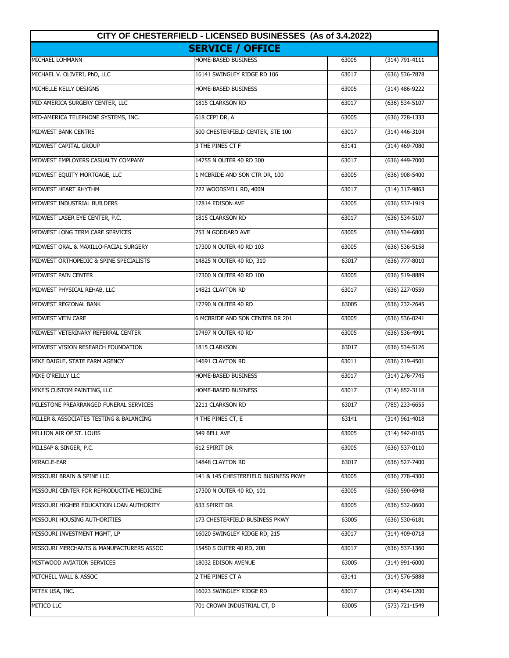| CITY OF CHESTERFIELD - LICENSED BUSINESSES (As of 3.4.2022) |                                      |       |                    |
|-------------------------------------------------------------|--------------------------------------|-------|--------------------|
|                                                             | <b>SERVICE / OFFICE</b>              |       |                    |
| MICHAEL LOHMANN                                             | HOME-BASED BUSINESS                  | 63005 | $(314) 791 - 4111$ |
| MICHAEL V. OLIVERI, PhD, LLC                                | 16141 SWINGLEY RIDGE RD 106          | 63017 | $(636) 536 - 7878$ |
| MICHELLE KELLY DESIGNS                                      | HOME-BASED BUSINESS                  | 63005 | $(314)$ 486-9222   |
| MID AMERICA SURGERY CENTER, LLC                             | 1815 CLARKSON RD                     | 63017 | (636) 534-5107     |
| MID-AMERICA TELEPHONE SYSTEMS, INC.                         | 618 CEPI DR, A                       | 63005 | (636) 728-1333     |
| MIDWEST BANK CENTRE                                         | 500 CHESTERFIELD CENTER, STE 100     | 63017 | (314) 446-3104     |
| MIDWEST CAPITAL GROUP                                       | 3 THE PINES CT F                     | 63141 | (314) 469-7080     |
| MIDWEST EMPLOYERS CASUALTY COMPANY                          | 14755 N OUTER 40 RD 300              | 63017 | (636) 449-7000     |
| MIDWEST EQUITY MORTGAGE, LLC                                | 1 MCBRIDE AND SON CTR DR, 100        | 63005 | (636) 908-5400     |
| MIDWEST HEART RHYTHM                                        | 222 WOODSMILL RD, 400N               | 63017 | (314) 317-9863     |
| MIDWEST INDUSTRIAL BUILDERS                                 | 17814 EDISON AVE                     | 63005 | (636) 537-1919     |
| MIDWEST LASER EYE CENTER, P.C.                              | 1815 CLARKSON RD                     | 63017 | $(636) 534 - 5107$ |
| MIDWEST LONG TERM CARE SERVICES                             | 753 N GODDARD AVE                    | 63005 | $(636) 534-6800$   |
| MIDWEST ORAL & MAXILLO-FACIAL SURGERY                       | 17300 N OUTER 40 RD 103              | 63005 | $(636) 536 - 5158$ |
| MIDWEST ORTHOPEDIC & SPINE SPECIALISTS                      | 14825 N OUTER 40 RD, 310             | 63017 | $(636)$ 777-8010   |
| MIDWEST PAIN CENTER                                         | 17300 N OUTER 40 RD 100              | 63005 | (636) 519-8889     |
| MIDWEST PHYSICAL REHAB, LLC                                 | 14821 CLAYTON RD                     | 63017 | (636) 227-0559     |
| MIDWEST REGIONAL BANK                                       | 17290 N OUTER 40 RD                  | 63005 | (636) 232-2645     |
| MIDWEST VEIN CARE                                           | 6 MCBRIDE AND SON CENTER DR 201      | 63005 | (636) 536-0241     |
| MIDWEST VETERINARY REFERRAL CENTER                          | 17497 N OUTER 40 RD                  | 63005 | (636) 536-4991     |
| MIDWEST VISION RESEARCH FOUNDATION                          | 1815 CLARKSON                        | 63017 | (636) 534-5126     |
| MIKE DAIGLE, STATE FARM AGENCY                              | 14691 CLAYTON RD                     | 63011 | (636) 219-4501     |
| MIKE O'REILLY LLC                                           | HOME-BASED BUSINESS                  | 63017 | (314) 276-7745     |
| MIKE'S CUSTOM PAINTING, LLC                                 | HOME-BASED BUSINESS                  | 63017 | $(314) 852 - 3118$ |
| MILESTONE PREARRANGED FUNERAL SERVICES                      | 2211 CLARKSON RD                     | 63017 | (785) 233-6655     |
| MILLER & ASSOCIATES TESTING & BALANCING                     | 4 THE PINES CT, E                    | 63141 | (314) 961-4018     |
| MILLION AIR OF ST. LOUIS                                    | 549 BELL AVE                         | 63005 | (314) 542-0105     |
| MILLSAP & SINGER, P.C.                                      | 612 SPIRIT DR                        | 63005 | (636) 537-0110     |
| MIRACLE-EAR                                                 | 14848 CLAYTON RD                     | 63017 | (636) 527-7400     |
| MISSOURI BRAIN & SPINE LLC                                  | 141 & 145 CHESTERFIELD BUSINESS PKWY | 63005 | (636) 778-4300     |
| MISSOURI CENTER FOR REPRODUCTIVE MEDICINE                   | 17300 N OUTER 40 RD, 101             | 63005 | (636) 590-6948     |
| MISSOURI HIGHER EDUCATION LOAN AUTHORITY                    | 633 SPIRIT DR                        | 63005 | $(636) 532 - 0600$ |
| MISSOURI HOUSING AUTHORITIES                                | 173 CHESTERFIELD BUSINESS PKWY       | 63005 | (636) 530-6181     |
| MISSOURI INVESTMENT MGMT, LP                                | 16020 SWINGLEY RIDGE RD, 215         | 63017 | (314) 409-0718     |
| MISSOURI MERCHANTS & MANUFACTURERS ASSOC                    | 15450 S OUTER 40 RD, 200             | 63017 | (636) 537-1360     |
| MISTWOOD AVIATION SERVICES                                  | 18032 EDISON AVENUE                  | 63005 | $(314)$ 991-6000   |
| MITCHELL WALL & ASSOC                                       | 2 THE PINES CT A                     | 63141 | $(314) 576 - 5888$ |
| MITEK USA, INC.                                             | 16023 SWINGLEY RIDGE RD              | 63017 | $(314)$ 434-1200   |
| MITICO LLC                                                  | 701 CROWN INDUSTRIAL CT, D           | 63005 | (573) 721-1549     |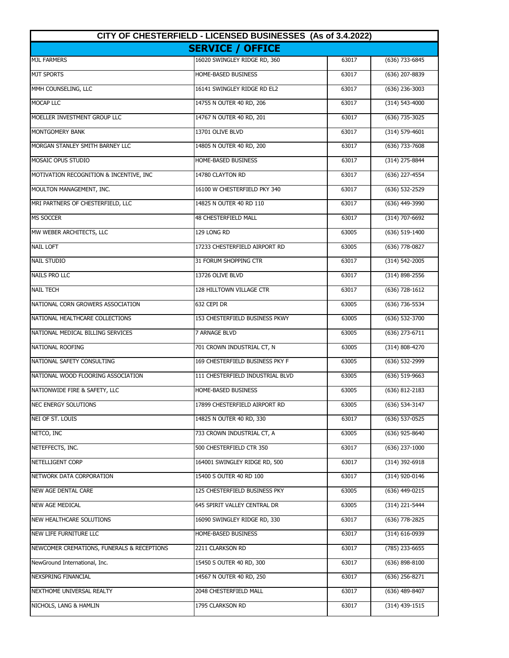| CITY OF CHESTERFIELD - LICENSED BUSINESSES (As of 3.4.2022) |                                  |       |                    |
|-------------------------------------------------------------|----------------------------------|-------|--------------------|
|                                                             | <b>SERVICE / OFFICE</b>          |       |                    |
| <b>MJL FARMERS</b>                                          | 16020 SWINGLEY RIDGE RD, 360     | 63017 | (636) 733-6845     |
| <b>MJT SPORTS</b>                                           | HOME-BASED BUSINESS              | 63017 | (636) 207-8839     |
| MMH COUNSELING, LLC                                         | 16141 SWINGLEY RIDGE RD EL2      | 63017 | (636) 236-3003     |
| MOCAP LLC                                                   | 14755 N OUTER 40 RD, 206         | 63017 | (314) 543-4000     |
| MOELLER INVESTMENT GROUP LLC                                | 14767 N OUTER 40 RD, 201         | 63017 | (636) 735-3025     |
| MONTGOMERY BANK                                             | 13701 OLIVE BLVD                 | 63017 | $(314) 579 - 4601$ |
| MORGAN STANLEY SMITH BARNEY LLC                             | 14805 N OUTER 40 RD, 200         | 63017 | (636) 733-7608     |
| MOSAIC OPUS STUDIO                                          | HOME-BASED BUSINESS              | 63017 | (314) 275-8844     |
| MOTIVATION RECOGNITION & INCENTIVE, INC                     | 14780 CLAYTON RD                 | 63017 | (636) 227-4554     |
| MOULTON MANAGEMENT, INC.                                    | 16100 W CHESTERFIELD PKY 340     | 63017 | (636) 532-2529     |
| MRI PARTNERS OF CHESTERFIELD, LLC                           | 14825 N OUTER 40 RD 110          | 63017 | (636) 449-3990     |
| <b>MS SOCCER</b>                                            | <b>48 CHESTERFIELD MALL</b>      | 63017 | $(314)$ 707-6692   |
| MW WEBER ARCHITECTS, LLC                                    | 129 LONG RD                      | 63005 | $(636) 519-1400$   |
| <b>NAIL LOFT</b>                                            | 17233 CHESTERFIELD AIRPORT RD    | 63005 | (636) 778-0827     |
| <b>NAIL STUDIO</b>                                          | 31 FORUM SHOPPING CTR            | 63017 | (314) 542-2005     |
| <b>NAILS PRO LLC</b>                                        | 13726 OLIVE BLVD                 | 63017 | (314) 898-2556     |
| <b>NAIL TECH</b>                                            | 128 HILLTOWN VILLAGE CTR         | 63017 | $(636)$ 728-1612   |
| NATIONAL CORN GROWERS ASSOCIATION                           | 632 CEPI DR                      | 63005 | (636) 736-5534     |
| NATIONAL HEALTHCARE COLLECTIONS                             | 153 CHESTERFIELD BUSINESS PKWY   | 63005 | (636) 532-3700     |
| NATIONAL MEDICAL BILLING SERVICES                           | 7 ARNAGE BLVD                    | 63005 | (636) 273-6711     |
| NATIONAL ROOFING                                            | 701 CROWN INDUSTRIAL CT, N       | 63005 | (314) 808-4270     |
| NATIONAL SAFETY CONSULTING                                  | 169 CHESTERFIELD BUSINESS PKY F  | 63005 | (636) 532-2999     |
| NATIONAL WOOD FLOORING ASSOCIATION                          | 111 CHESTERFIELD INDUSTRIAL BLVD | 63005 | $(636)$ 519-9663   |
| NATIONWIDE FIRE & SAFETY, LLC                               | HOME-BASED BUSINESS              | 63005 | $(636)$ 812-2183   |
| NEC ENERGY SOLUTIONS                                        | 17899 CHESTERFIELD AIRPORT RD    | 63005 | (636) 534-3147     |
| NEI OF ST. LOUIS                                            | 14825 N OUTER 40 RD, 330         | 63017 | (636) 537-0525     |
| NETCO, INC                                                  | 733 CROWN INDUSTRIAL CT, A       | 63005 | (636) 925-8640     |
| NETEFFECTS, INC.                                            | 500 CHESTERFIELD CTR 350         | 63017 | $(636)$ 237-1000   |
| NETELLIGENT CORP                                            | 164001 SWINGLEY RIDGE RD, 500    | 63017 | (314) 392-6918     |
| NETWORK DATA CORPORATION                                    | 15400 S OUTER 40 RD 100          | 63017 | (314) 920-0146     |
| NEW AGE DENTAL CARE                                         | 125 CHESTERFIELD BUSINESS PKY    | 63005 | (636) 449-0215     |
| NEW AGE MEDICAL                                             | 645 SPIRIT VALLEY CENTRAL DR     | 63005 | (314) 221-5444     |
| NEW HEALTHCARE SOLUTIONS                                    | 16090 SWINGLEY RIDGE RD, 330     | 63017 | (636) 778-2825     |
| NEW LIFE FURNITURE LLC                                      | HOME-BASED BUSINESS              | 63017 | (314) 616-0939     |
| NEWCOMER CREMATIONS, FUNERALS & RECEPTIONS                  | 2211 CLARKSON RD                 | 63017 | (785) 233-6655     |
| NewGround International, Inc.                               | 15450 S OUTER 40 RD, 300         | 63017 | $(636)$ 898-8100   |
| NEXSPRING FINANCIAL                                         | 14567 N OUTER 40 RD, 250         | 63017 | (636) 256-8271     |
| NEXTHOME UNIVERSAL REALTY                                   | 2048 CHESTERFIELD MALL           | 63017 | (636) 489-8407     |
| NICHOLS, LANG & HAMLIN                                      | 1795 CLARKSON RD                 | 63017 | (314) 439-1515     |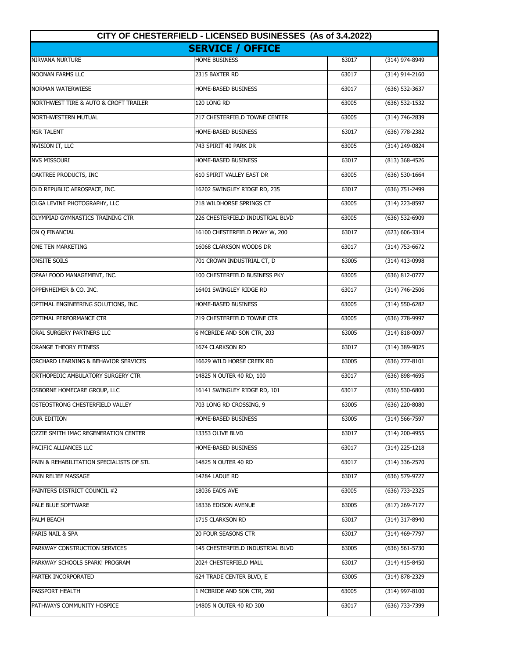| CITY OF CHESTERFIELD - LICENSED BUSINESSES (As of 3.4.2022) |                                  |       |                    |
|-------------------------------------------------------------|----------------------------------|-------|--------------------|
|                                                             | <b>SERVICE / OFFICE</b>          |       |                    |
| NIRVANA NURTURE                                             | <b>HOME BUSINESS</b>             | 63017 | (314) 974-8949     |
| <b>NOONAN FARMS LLC</b>                                     | 2315 BAXTER RD                   | 63017 | $(314)$ 914-2160   |
| <b>NORMAN WATERWIESE</b>                                    | HOME-BASED BUSINESS              | 63017 | (636) 532-3637     |
| NORTHWEST TIRE & AUTO & CROFT TRAILER                       | 120 LONG RD                      | 63005 | (636) 532-1532     |
| NORTHWESTERN MUTUAL                                         | 217 CHESTERFIELD TOWNE CENTER    | 63005 | (314) 746-2839     |
| <b>NSR TALENT</b>                                           | HOME-BASED BUSINESS              | 63017 | (636) 778-2382     |
| NVISION IT, LLC                                             | 743 SPIRIT 40 PARK DR            | 63005 | (314) 249-0824     |
| <b>NVS MISSOURI</b>                                         | HOME-BASED BUSINESS              | 63017 | (813) 368-4526     |
| OAKTREE PRODUCTS, INC                                       | 610 SPIRIT VALLEY EAST DR        | 63005 | $(636) 530-1664$   |
| OLD REPUBLIC AEROSPACE, INC.                                | 16202 SWINGLEY RIDGE RD, 235     | 63017 | (636) 751-2499     |
| OLGA LEVINE PHOTOGRAPHY, LLC                                | 218 WILDHORSE SPRINGS CT         | 63005 | (314) 223-8597     |
| OLYMPIAD GYMNASTICS TRAINING CTR                            | 226 CHESTERFIELD INDUSTRIAL BLVD | 63005 | $(636) 532-6909$   |
| ON Q FINANCIAL                                              | 16100 CHESTERFIELD PKWY W, 200   | 63017 | $(623) 606 - 3314$ |
| ONE TEN MARKETING                                           | 16068 CLARKSON WOODS DR          | 63017 | $(314) 753 - 6672$ |
| <b>ONSITE SOILS</b>                                         | 701 CROWN INDUSTRIAL CT, D       | 63005 | (314) 413-0998     |
| OPAA! FOOD MANAGEMENT, INC.                                 | 100 CHESTERFIELD BUSINESS PKY    | 63005 | (636) 812-0777     |
| OPPENHEIMER & CO. INC.                                      | 16401 SWINGLEY RIDGE RD          | 63017 | (314) 746-2506     |
| OPTIMAL ENGINEERING SOLUTIONS, INC.                         | HOME-BASED BUSINESS              | 63005 | (314) 550-6282     |
| OPTIMAL PERFORMANCE CTR                                     | 219 CHESTERFIELD TOWNE CTR       | 63005 | (636) 778-9997     |
| ORAL SURGERY PARTNERS LLC                                   | 6 MCBRIDE AND SON CTR, 203       | 63005 | (314) 818-0097     |
| ORANGE THEORY FITNESS                                       | 1674 CLARKSON RD                 | 63017 | (314) 389-9025     |
| ORCHARD LEARNING & BEHAVIOR SERVICES                        | 16629 WILD HORSE CREEK RD        | 63005 | $(636)$ 777-8101   |
| ORTHOPEDIC AMBULATORY SURGERY CTR                           | 14825 N OUTER 40 RD, 100         | 63017 | (636) 898-4695     |
| OSBORNE HOMECARE GROUP, LLC                                 | 16141 SWINGLEY RIDGE RD, 101     | 63017 | $(636) 530 - 6800$ |
| OSTEOSTRONG CHESTERFIELD VALLEY                             | 703 LONG RD CROSSING, 9          | 63005 | (636) 220-8080     |
| <b>OUR EDITION</b>                                          | HOME-BASED BUSINESS              | 63005 | (314) 566-7597     |
| OZZIE SMITH IMAC REGENERATION CENTER                        | 13353 OLIVE BLVD                 | 63017 | (314) 200-4955     |
| PACIFIC ALLIANCES LLC                                       | HOME-BASED BUSINESS              | 63017 | $(314)$ 225-1218   |
| PAIN & REHABILITATION SPECIALISTS OF STL                    | 14825 N OUTER 40 RD              | 63017 | $(314)$ 336-2570   |
| PAIN RELIEF MASSAGE                                         | 14284 LADUE RD                   | 63017 | (636) 579-9727     |
| PAINTERS DISTRICT COUNCIL #2                                | 18036 EADS AVE                   | 63005 | (636) 733-2325     |
| PALE BLUE SOFTWARE                                          | 18336 EDISON AVENUE              | 63005 | $(817)$ 269-7177   |
| PALM BEACH                                                  | 1715 CLARKSON RD                 | 63017 | (314) 317-8940     |
| PARIS NAIL & SPA                                            | 20 FOUR SEASONS CTR              | 63017 | (314) 469-7797     |
| PARKWAY CONSTRUCTION SERVICES                               | 145 CHESTERFIELD INDUSTRIAL BLVD | 63005 | (636) 561-5730     |
| PARKWAY SCHOOLS SPARK! PROGRAM                              | 2024 CHESTERFIELD MALL           | 63017 | $(314)$ 415-8450   |
| PARTEK INCORPORATED                                         | 624 TRADE CENTER BLVD, E         | 63005 | (314) 878-2329     |
| PASSPORT HEALTH                                             | 1 MCBRIDE AND SON CTR, 260       | 63005 | (314) 997-8100     |
| PATHWAYS COMMUNITY HOSPICE                                  | 14805 N OUTER 40 RD 300          | 63017 | (636) 733-7399     |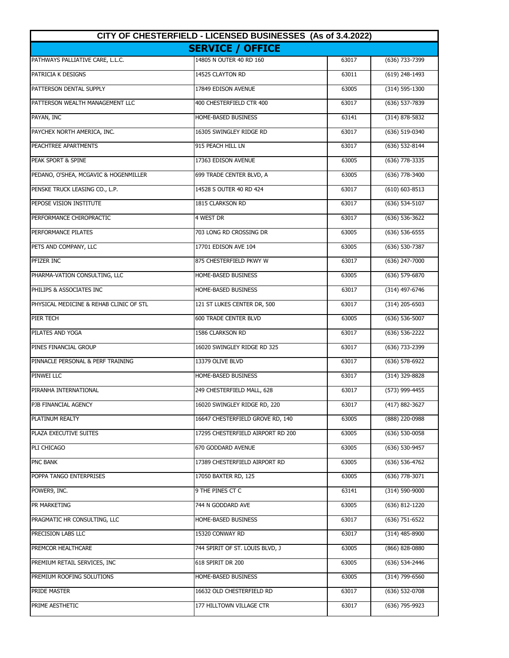| CITY OF CHESTERFIELD - LICENSED BUSINESSES (As of 3.4.2022) |                                   |       |                    |
|-------------------------------------------------------------|-----------------------------------|-------|--------------------|
|                                                             | <b>SERVICE / OFFICE</b>           |       |                    |
| PATHWAYS PALLIATIVE CARE, L.L.C.                            | 14805 N OUTER 40 RD 160           | 63017 | (636) 733-7399     |
| PATRICIA K DESIGNS                                          | 14525 CLAYTON RD                  | 63011 | $(619)$ 248-1493   |
| PATTERSON DENTAL SUPPLY                                     | 17849 EDISON AVENUE               | 63005 | (314) 595-1300     |
| PATTERSON WEALTH MANAGEMENT LLC                             | 400 CHESTERFIELD CTR 400          | 63017 | (636) 537-7839     |
| PAYAN, INC                                                  | HOME-BASED BUSINESS               | 63141 | $(314) 878 - 5832$ |
| PAYCHEX NORTH AMERICA, INC.                                 | 16305 SWINGLEY RIDGE RD           | 63017 | (636) 519-0340     |
| PEACHTREE APARTMENTS                                        | 915 PEACH HILL LN                 | 63017 | (636) 532-8144     |
| PEAK SPORT & SPINE                                          | 17363 EDISON AVENUE               | 63005 | (636) 778-3335     |
| PEDANO, O'SHEA, MCGAVIC & HOGENMILLER                       | 699 TRADE CENTER BLVD, A          | 63005 | (636) 778-3400     |
| PENSKE TRUCK LEASING CO., L.P.                              | 14528 S OUTER 40 RD 424           | 63017 | $(610) 603 - 8513$ |
| PEPOSE VISION INSTITUTE                                     | 1815 CLARKSON RD                  | 63017 | (636) 534-5107     |
| PERFORMANCE CHIROPRACTIC                                    | 4 WEST DR                         | 63017 | $(636) 536-3622$   |
| PERFORMANCE PILATES                                         | 703 LONG RD CROSSING DR           | 63005 | $(636) 536 - 6555$ |
| PETS AND COMPANY, LLC                                       | 17701 EDISON AVE 104              | 63005 | (636) 530-7387     |
| PFIZER INC                                                  | 875 CHESTERFIELD PKWY W           | 63017 | (636) 247-7000     |
| PHARMA-VATION CONSULTING, LLC                               | HOME-BASED BUSINESS               | 63005 | (636) 579-6870     |
| PHILIPS & ASSOCIATES INC                                    | HOME-BASED BUSINESS               | 63017 | (314) 497-6746     |
| PHYSICAL MEDICINE & REHAB CLINIC OF STL                     | 121 ST LUKES CENTER DR, 500       | 63017 | $(314)$ 205-6503   |
| PIER TECH                                                   | 600 TRADE CENTER BLVD             | 63005 | (636) 536-5007     |
| PILATES AND YOGA                                            | 1586 CLARKSON RD                  | 63017 | (636) 536-2222     |
| PINES FINANCIAL GROUP                                       | 16020 SWINGLEY RIDGE RD 325       | 63017 | (636) 733-2399     |
| PINNACLE PERSONAL & PERF TRAINING                           | 13379 OLIVE BLVD                  | 63017 | (636) 578-6922     |
| PINWEI LLC                                                  | HOME-BASED BUSINESS               | 63017 | (314) 329-8828     |
| PIRANHA INTERNATIONAL                                       | 249 CHESTERFIELD MALL, 628        | 63017 | (573) 999-4455     |
| PJB FINANCIAL AGENCY                                        | 16020 SWINGLEY RIDGE RD, 220      | 63017 | (417) 882-3627     |
| PLATINUM REALTY                                             | 16647 CHESTERFIELD GROVE RD, 140  | 63005 | $(888)$ 220-0988   |
| PLAZA EXECUTIVE SUITES                                      | 17295 CHESTERFIELD AIRPORT RD 200 | 63005 | (636) 530-0058     |
| PLI CHICAGO                                                 | 670 GODDARD AVENUE                | 63005 | (636) 530-9457     |
| PNC BANK                                                    | 17389 CHESTERFIELD AIRPORT RD     | 63005 | (636) 536-4762     |
| POPPA TANGO ENTERPRISES                                     | 17050 BAXTER RD, 125              | 63005 | (636) 778-3071     |
| POWER9, INC.                                                | 9 THE PINES CT C                  | 63141 | (314) 590-9000     |
| PR MARKETING                                                | 744 N GODDARD AVE                 | 63005 | (636) 812-1220     |
| PRAGMATIC HR CONSULTING, LLC                                | HOME-BASED BUSINESS               | 63017 | (636) 751-6522     |
| PRECISION LABS LLC                                          | 15320 CONWAY RD                   | 63017 | (314) 485-8900     |
| PREMCOR HEALTHCARE                                          | 744 SPIRIT OF ST. LOUIS BLVD, J   | 63005 | (866) 828-0880     |
| PREMIUM RETAIL SERVICES, INC                                | 618 SPIRIT DR 200                 | 63005 | (636) 534-2446     |
| PREMIUM ROOFING SOLUTIONS                                   | HOME-BASED BUSINESS               | 63005 | (314) 799-6560     |
| PRIDE MASTER                                                | 16632 OLD CHESTERFIELD RD         | 63017 | (636) 532-0708     |
| PRIME AESTHETIC                                             | 177 HILLTOWN VILLAGE CTR          | 63017 | (636) 795-9923     |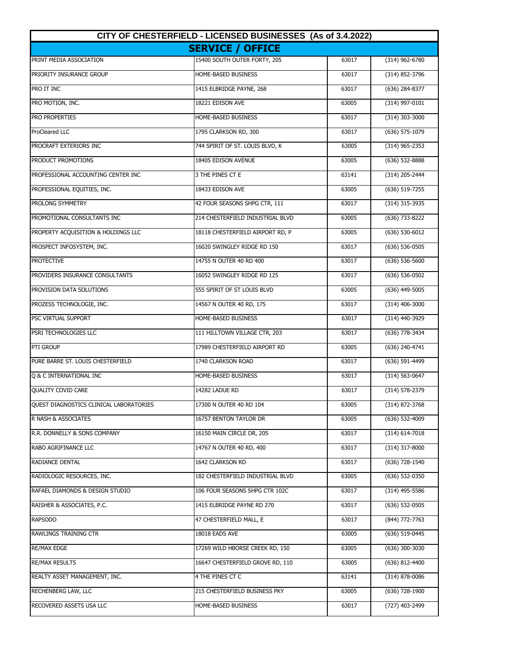| CITY OF CHESTERFIELD - LICENSED BUSINESSES (As of 3.4.2022) |                                  |       |                    |
|-------------------------------------------------------------|----------------------------------|-------|--------------------|
|                                                             | <b>SERVICE / OFFICE</b>          |       |                    |
| PRINT MEDIA ASSOCIATION                                     | 15400 SOUTH OUTER FORTY, 205     | 63017 | $(314)$ 962-6780   |
| PRIORITY INSURANCE GROUP                                    | HOME-BASED BUSINESS              | 63017 | (314) 852-3796     |
| PRO IT INC                                                  | 1415 ELBRIDGE PAYNE, 268         | 63017 | (636) 284-8377     |
| PRO MOTION, INC.                                            | 18221 EDISON AVE                 | 63005 | (314) 997-0101     |
| PRO PROPERTIES                                              | HOME-BASED BUSINESS              | 63017 | $(314)$ 303-3000   |
| <b>ProCleared LLC</b>                                       | 1795 CLARKSON RD, 300            | 63017 | $(636)$ 575-1079   |
| PROCRAFT EXTERIORS INC                                      | 744 SPIRIT OF ST. LOUIS BLVD, K  | 63005 | $(314)$ 965-2353   |
| PRODUCT PROMOTIONS                                          | 18405 EDISON AVENUE              | 63005 | (636) 532-8888     |
| PROFESSIONAL ACCOUNTING CENTER INC                          | 3 THE PINES CT E                 | 63141 | (314) 205-2444     |
| PROFESSIONAL EQUITIES, INC.                                 | 18433 EDISON AVE                 | 63005 | (636) 519-7255     |
| PROLONG SYMMETRY                                            | 42 FOUR SEASONS SHPG CTR, 111    | 63017 | (314) 315-3935     |
| PROMOTIONAL CONSULTANTS INC                                 | 214 CHESTERFIELD INDUSTRIAL BLVD | 63005 | (636) 733-8222     |
| PROPERTY ACQUISITION & HOLDINGS LLC                         | 18118 CHESTERFIELD AIRPORT RD, P | 63005 | $(636) 530 - 6012$ |
| PROSPECT INFOSYSTEM, INC.                                   | 16020 SWINGLEY RIDGE RD 150      | 63017 | $(636) 536 - 0505$ |
| <b>PROTECTIVE</b>                                           | 14755 N OUTER 40 RD 400          | 63017 | $(636) 536 - 5600$ |
| PROVIDERS INSURANCE CONSULTANTS                             | 16052 SWINGLEY RIDGE RD 125      | 63017 | (636) 536-0502     |
| PROVISION DATA SOLUTIONS                                    | 555 SPIRIT OF ST LOUIS BLVD      | 63005 | $(636)$ 449-5005   |
| PROZESS TECHNOLOGIE, INC.                                   | 14567 N OUTER 40 RD, 175         | 63017 | $(314)$ 406-3000   |
| PSC VIRTUAL SUPPORT                                         | HOME-BASED BUSINESS              | 63017 | (314) 440-3929     |
| PSRI TECHNOLOGIES LLC                                       | 111 HILLTOWN VILLAGE CTR, 203    | 63017 | (636) 778-3434     |
| PTI GROUP                                                   | 17989 CHESTERFIELD AIRPORT RD    | 63005 | (636) 240-4741     |
| PURE BARRE ST. LOUIS CHESTERFIELD                           | 1740 CLARKSON ROAD               | 63017 | (636) 591-4499     |
| Q & C INTERNATIONAL INC                                     | HOME-BASED BUSINESS              | 63017 | $(314) 563 - 0647$ |
| <b>QUALITY COVID CARE</b>                                   | 14282 LADUE RD                   | 63017 | $(314) 578 - 2379$ |
| QUEST DIAGNOSTICS CLINICAL LABORATORIES                     | 17300 N OUTER 40 RD 104          | 63005 | (314) 872-3768     |
| R NASH & ASSOCIATES                                         | 16757 BENTON TAYLOR DR           | 63005 | $(636)$ 532-4009   |
| R.R. DONNELLY & SONS COMPANY                                | 16150 MAIN CIRCLE DR, 205        | 63017 | $(314) 614 - 7018$ |
| RABO AGRIFINANCE LLC                                        | 14767 N OUTER 40 RD, 400         | 63017 | (314) 317-8000     |
| RADIANCE DENTAL                                             | 1642 CLARKSON RD                 | 63017 | (636) 728-1540     |
| RADIOLOGIC RESOURCES, INC.                                  | 182 CHESTERFIELD INDUSTRIAL BLVD | 63005 | (636) 532-0350     |
| RAFAEL DIAMONDS & DESIGN STUDIO                             | 106 FOUR SEASONS SHPG CTR 102C   | 63017 | $(314)$ 495-5586   |
| RAISHER & ASSOCIATES, P.C.                                  | 1415 ELBRIDGE PAYNE RD 270       | 63017 | $(636)$ 532-0505   |
| <b>RAPSODO</b>                                              | 47 CHESTERFIELD MALL, E          | 63017 | (844) 772-7763     |
| RAWLINGS TRAINING CTR                                       | 18018 EADS AVE                   | 63005 | (636) 519-0445     |
| <b>RE/MAX EDGE</b>                                          | 17269 WILD HBORSE CREEK RD, 150  | 63005 | $(636)$ 300-3030   |
| <b>RE/MAX RESULTS</b>                                       | 16647 CHESTERFIELD GROVE RD, 110 | 63005 | (636) 812-4400     |
| REALTY ASSET MANAGEMENT, INC.                               | 4 THE PINES CT C                 | 63141 | (314) 878-0086     |
| RECHENBERG LAW, LLC                                         | 215 CHESTERFIELD BUSINESS PKY    | 63005 | (636) 728-1900     |
| RECOVERED ASSETS USA LLC                                    | HOME-BASED BUSINESS              | 63017 | (727) 403-2499     |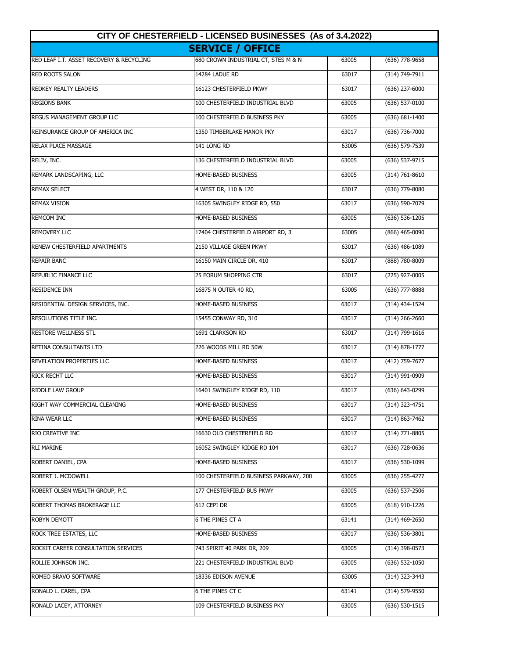| CITY OF CHESTERFIELD - LICENSED BUSINESSES (As of 3.4.2022) |                                        |       |                    |
|-------------------------------------------------------------|----------------------------------------|-------|--------------------|
|                                                             | <b>SERVICE / OFFICE</b>                |       |                    |
| RED LEAF I.T. ASSET RECOVERY & RECYCLING                    | 680 CROWN INDUSTRIAL CT, STES M & N    | 63005 | $(636)$ 778-9658   |
| <b>RED ROOTS SALON</b>                                      | 14284 LADUE RD                         | 63017 | (314) 749-7911     |
| REDKEY REALTY LEADERS                                       | 16123 CHESTERFIELD PKWY                | 63017 | (636) 237-6000     |
| <b>REGIONS BANK</b>                                         | 100 CHESTERFIELD INDUSTRIAL BLVD       | 63005 | (636) 537-0100     |
| <b>REGUS MANAGEMENT GROUP LLC</b>                           | 100 CHESTERFIELD BUSINESS PKY          | 63005 | $(636) 681 - 1400$ |
| REINSURANCE GROUP OF AMERICA INC                            | 1350 TIMBERLAKE MANOR PKY              | 63017 | (636) 736-7000     |
| <b>RELAX PLACE MASSAGE</b>                                  | 141 LONG RD                            | 63005 | (636) 579-7539     |
| RELIV, INC.                                                 | 136 CHESTERFIELD INDUSTRIAL BLVD       | 63005 | (636) 537-9715     |
| REMARK LANDSCAPING, LLC                                     | HOME-BASED BUSINESS                    | 63005 | $(314) 761 - 8610$ |
| <b>REMAX SELECT</b>                                         | 4 WEST DR, 110 & 120                   | 63017 | (636) 779-8080     |
| <b>REMAX VISION</b>                                         | 16305 SWINGLEY RIDGE RD, 550           | 63017 | (636) 590-7079     |
| <b>REMCOM INC</b>                                           | <b>HOME-BASED BUSINESS</b>             | 63005 | $(636) 536 - 1205$ |
| <b>REMOVERY LLC</b>                                         | 17404 CHESTERFIELD AIRPORT RD, 3       | 63005 | (866) 465-0090     |
| RENEW CHESTERFIELD APARTMENTS                               | 2150 VILLAGE GREEN PKWY                | 63017 | (636) 486-1089     |
| <b>REPAIR BANC</b>                                          | 16150 MAIN CIRCLE DR, 410              | 63017 | (888) 780-8009     |
| REPUBLIC FINANCE LLC                                        | 25 FORUM SHOPPING CTR                  | 63017 | (225) 927-0005     |
| <b>RESIDENCE INN</b>                                        | 16875 N OUTER 40 RD,                   | 63005 | (636) 777-8888     |
| RESIDENTIAL DESIGN SERVICES, INC.                           | HOME-BASED BUSINESS                    | 63017 | (314) 434-1524     |
| RESOLUTIONS TITLE INC.                                      | 15455 CONWAY RD, 310                   | 63017 | $(314)$ 266-2660   |
| <b>RESTORE WELLNESS STL</b>                                 | 1691 CLARKSON RD                       | 63017 | (314) 799-1616     |
| RETINA CONSULTANTS LTD                                      | 226 WOODS MILL RD 50W                  | 63017 | (314) 878-1777     |
| <b>REVELATION PROPERTIES LLC</b>                            | HOME-BASED BUSINESS                    | 63017 | (412) 759-7677     |
| <b>RICK RECHT LLC</b>                                       | HOME-BASED BUSINESS                    | 63017 | (314) 991-0909     |
| RIDDLE LAW GROUP                                            | 16401 SWINGLEY RIDGE RD, 110           | 63017 | (636) 643-0299     |
| RIGHT WAY COMMERCIAL CLEANING                               | <b>HOME-BASED BUSINESS</b>             | 63017 | (314) 323-4751     |
| RINA WEAR LLC                                               | HOME-BASED BUSINESS                    | 63017 | (314) 863-7462     |
| <b>RIO CREATIVE INC</b>                                     | 16630 OLD CHESTERFIELD RD              | 63017 | (314) 771-8805     |
| <b>RLI MARINE</b>                                           | 16052 SWINGLEY RIDGE RD 104            | 63017 | (636) 728-0636     |
| ROBERT DANIEL, CPA                                          | HOME-BASED BUSINESS                    | 63017 | $(636)$ 530-1099   |
| ROBERT J. MCDOWELL                                          | 100 CHESTERFIELD BUSINESS PARKWAY, 200 | 63005 | (636) 255-4277     |
| ROBERT OLSEN WEALTH GROUP, P.C.                             | 177 CHESTERFIELD BUS PKWY              | 63005 | $(636)$ 537-2506   |
| ROBERT THOMAS BROKERAGE LLC                                 | 612 CEPI DR                            | 63005 | (618) 910-1226     |
| ROBYN DEMOTT                                                | 6 THE PINES CT A                       | 63141 | $(314)$ 469-2650   |
| ROCK TREE ESTATES, LLC                                      | HOME-BASED BUSINESS                    | 63017 | $(636)$ 536-3801   |
| ROCKIT CAREER CONSULTATION SERVICES                         | 743 SPIRIT 40 PARK DR, 209             | 63005 | (314) 398-0573     |
| ROLLIE JOHNSON INC.                                         | 221 CHESTERFIELD INDUSTRIAL BLVD       | 63005 | $(636)$ 532-1050   |
| ROMEO BRAVO SOFTWARE                                        | 18336 EDISON AVENUE                    | 63005 | (314) 323-3443     |
| RONALD L. CAREL, CPA                                        | 6 THE PINES CT C                       | 63141 | (314) 579-9550     |
| RONALD LACEY, ATTORNEY                                      | 109 CHESTERFIELD BUSINESS PKY          | 63005 | $(636)$ 530-1515   |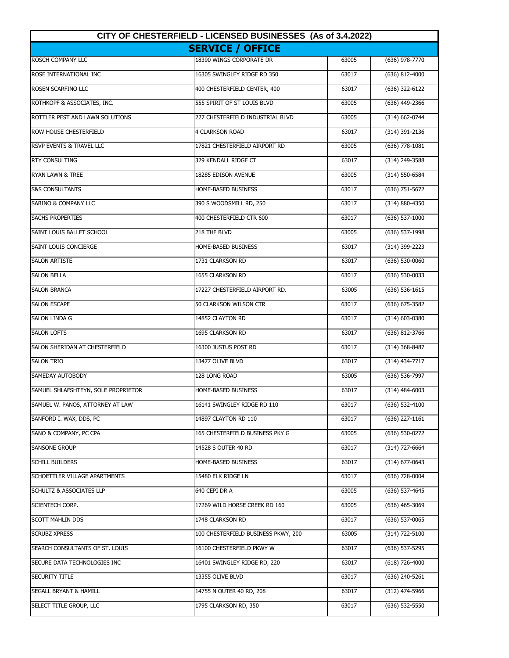| CITY OF CHESTERFIELD - LICENSED BUSINESSES (As of 3.4.2022) |                                     |       |                    |
|-------------------------------------------------------------|-------------------------------------|-------|--------------------|
|                                                             | <b>SERVICE / OFFICE</b>             |       |                    |
| ROSCH COMPANY LLC                                           | 18390 WINGS CORPORATE DR            | 63005 | $(636)$ 978-7770   |
| ROSE INTERNATIONAL INC                                      | 16305 SWINGLEY RIDGE RD 350         | 63017 | (636) 812-4000     |
| ROSEN SCARFINO LLC                                          | 400 CHESTERFIELD CENTER, 400        | 63017 | (636) 322-6122     |
| ROTHKOPF & ASSOCIATES, INC.                                 | 555 SPIRIT OF ST LOUIS BLVD         | 63005 | (636) 449-2366     |
| ROTTLER PEST AND LAWN SOLUTIONS                             | 227 CHESTERFIELD INDUSTRIAL BLVD    | 63005 | (314) 662-0744     |
| ROW HOUSE CHESTERFIELD                                      | <b>4 CLARKSON ROAD</b>              | 63017 | (314) 391-2136     |
| <b>RSVP EVENTS &amp; TRAVEL LLC</b>                         | 17821 CHESTERFIELD AIRPORT RD       | 63005 | $(636)$ 778-1081   |
| <b>RTY CONSULTING</b>                                       | 329 KENDALL RIDGE CT                | 63017 | (314) 249-3588     |
| <b>RYAN LAWN &amp; TREE</b>                                 | 18285 EDISON AVENUE                 | 63005 | (314) 550-6584     |
| <b>S&amp;S CONSULTANTS</b>                                  | HOME-BASED BUSINESS                 | 63017 | $(636)$ 751-5672   |
| SABINO & COMPANY LLC                                        | 390 S WOODSMILL RD, 250             | 63017 | $(314) 880 - 4350$ |
| <b>SACHS PROPERTIES</b>                                     | 400 CHESTERFIELD CTR 600            | 63017 | $(636) 537-1000$   |
| SAINT LOUIS BALLET SCHOOL                                   | 218 THF BLVD                        | 63005 | $(636)$ 537-1998   |
| SAINT LOUIS CONCIERGE                                       | HOME-BASED BUSINESS                 | 63017 | (314) 399-2223     |
| <b>SALON ARTISTE</b>                                        | 1731 CLARKSON RD                    | 63017 | $(636) 530 - 0060$ |
| <b>SALON BELLA</b>                                          | 1655 CLARKSON RD                    | 63017 | (636) 530-0033     |
| <b>SALON BRANCA</b>                                         | 17227 CHESTERFIELD AIRPORT RD.      | 63005 | $(636) 536 - 1615$ |
| <b>SALON ESCAPE</b>                                         | 50 CLARKSON WILSON CTR              | 63017 | (636) 675-3582     |
| <b>SALON LINDA G</b>                                        | 14852 CLAYTON RD                    | 63017 | (314) 603-0380     |
| <b>SALON LOFTS</b>                                          | 1695 CLARKSON RD                    | 63017 | (636) 812-3766     |
| SALON SHERIDAN AT CHESTERFIELD                              | 16300 JUSTUS POST RD                | 63017 | (314) 368-8487     |
| <b>SALON TRIO</b>                                           | 13477 OLIVE BLVD                    | 63017 | (314) 434-7717     |
| SAMEDAY AUTOBODY                                            | 128 LONG ROAD                       | 63005 | (636) 536-7997     |
| SAMUEL SHLAFSHTEYN, SOLE PROPRIETOR                         | HOME-BASED BUSINESS                 | 63017 | $(314)$ 484-6003   |
| SAMUEL W. PANOS, ATTORNEY AT LAW                            | 16141 SWINGLEY RIDGE RD 110         | 63017 | (636) 532-4100     |
| SANFORD I. WAX, DDS, PC                                     | 14897 CLAYTON RD 110                | 63017 | $(636)$ 227-1161   |
| SANO & COMPANY, PC CPA                                      | 165 CHESTERFIELD BUSINESS PKY G     | 63005 | (636) 530-0272     |
| SANSONE GROUP                                               | 14528 S OUTER 40 RD                 | 63017 | (314) 727-6664     |
| SCHILL BUILDERS                                             | HOME-BASED BUSINESS                 | 63017 | $(314)$ 677-0643   |
| SCHOETTLER VILLAGE APARTMENTS                               | 15480 ELK RIDGE LN                  | 63017 | (636) 728-0004     |
| SCHULTZ & ASSOCIATES LLP                                    | 640 CEPI DR A                       | 63005 | (636) 537-4645     |
| SCIENTECH CORP.                                             | 17269 WILD HORSE CREEK RD 160       | 63005 | (636) 465-3069     |
| <b>SCOTT MAHLIN DDS</b>                                     | 1748 CLARKSON RD                    | 63017 | $(636)$ 537-0065   |
| <b>SCRUBZ XPRESS</b>                                        | 100 CHESTERFIELD BUSINESS PKWY, 200 | 63005 | (314) 722-5100     |
| SEARCH CONSULTANTS OF ST. LOUIS                             | 16100 CHESTERFIELD PKWY W           | 63017 | (636) 537-5295     |
| SECURE DATA TECHNOLOGIES INC                                | 16401 SWINGLEY RIDGE RD, 220        | 63017 | $(618)$ 726-4000   |
| SECURITY TITLE                                              | 13355 OLIVE BLVD                    | 63017 | (636) 240-5261     |
| SEGALL BRYANT & HAMILL                                      | 14755 N OUTER 40 RD, 208            | 63017 | (312) 474-5966     |
| SELECT TITLE GROUP, LLC                                     | 1795 CLARKSON RD, 350               | 63017 | $(636)$ 532-5550   |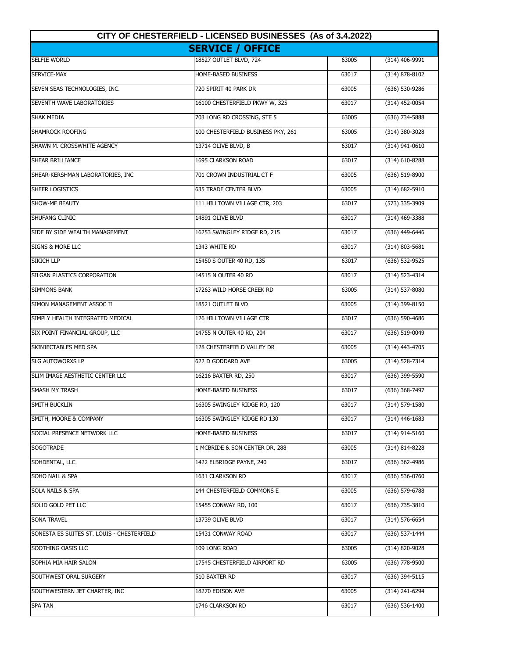| CITY OF CHESTERFIELD - LICENSED BUSINESSES (As of 3.4.2022) |                                    |       |                    |
|-------------------------------------------------------------|------------------------------------|-------|--------------------|
|                                                             | <b>SERVICE / OFFICE</b>            |       |                    |
| <b>SELFIE WORLD</b>                                         | 18527 OUTLET BLVD, 724             | 63005 | $(314)$ 406-9991   |
| SERVICE-MAX                                                 | HOME-BASED BUSINESS                | 63017 | $(314) 878 - 8102$ |
| SEVEN SEAS TECHNOLOGIES, INC.                               | 720 SPIRIT 40 PARK DR              | 63005 | (636) 530-9286     |
| SEVENTH WAVE LABORATORIES                                   | 16100 CHESTERFIELD PKWY W, 325     | 63017 | (314) 452-0054     |
| <b>SHAK MEDIA</b>                                           | 703 LONG RD CROSSING, STE 5        | 63005 | (636) 734-5888     |
| SHAMROCK ROOFING                                            | 100 CHESTERFIELD BUSINESS PKY, 261 | 63005 | (314) 380-3028     |
| SHAWN M. CROSSWHITE AGENCY                                  | 13714 OLIVE BLVD, B                | 63017 | (314) 941-0610     |
| SHEAR BRILLIANCE                                            | 1695 CLARKSON ROAD                 | 63017 | (314) 610-8288     |
| SHEAR-KERSHMAN LABORATORIES, INC                            | 701 CROWN INDUSTRIAL CT F          | 63005 | (636) 519-8900     |
| SHEER LOGISTICS                                             | <b>635 TRADE CENTER BLVD</b>       | 63005 | $(314) 682 - 5910$ |
| SHOW-ME BEAUTY                                              | 111 HILLTOWN VILLAGE CTR, 203      | 63017 | (573) 335-3909     |
| <b>SHUFANG CLINIC</b>                                       | 14891 OLIVE BLVD                   | 63017 | $(314)$ 469-3388   |
| SIDE BY SIDE WEALTH MANAGEMENT                              | 16253 SWINGLEY RIDGE RD, 215       | 63017 | (636) 449-6446     |
| <b>SIGNS &amp; MORE LLC</b>                                 | 1343 WHITE RD                      | 63017 | $(314) 803 - 5681$ |
| SIKICH LLP                                                  | 15450 S OUTER 40 RD, 135           | 63017 | (636) 532-9525     |
| SILGAN PLASTICS CORPORATION                                 | 14515 N OUTER 40 RD                | 63017 | (314) 523-4314     |
| <b>SIMMONS BANK</b>                                         | 17263 WILD HORSE CREEK RD          | 63005 | (314) 537-8080     |
| SIMON MANAGEMENT ASSOC II                                   | 18521 OUTLET BLVD                  | 63005 | (314) 399-8150     |
| SIMPLY HEALTH INTEGRATED MEDICAL                            | 126 HILLTOWN VILLAGE CTR           | 63017 | (636) 590-4686     |
| SIX POINT FINANCIAL GROUP, LLC                              | 14755 N OUTER 40 RD, 204           | 63017 | (636) 519-0049     |
| SKINJECTABLES MED SPA                                       | 128 CHESTERFIELD VALLEY DR         | 63005 | $(314)$ 443-4705   |
| <b>SLG AUTOWORXS LP</b>                                     | 622 D GODDARD AVE                  | 63005 | (314) 528-7314     |
| SLIM IMAGE AESTHETIC CENTER LLC                             | 16216 BAXTER RD, 250               | 63017 | (636) 399-5590     |
| SMASH MY TRASH                                              | <b>HOME-BASED BUSINESS</b>         | 63017 | $(636)$ 368-7497   |
| SMITH BUCKLIN                                               | 16305 SWINGLEY RIDGE RD, 120       | 63017 | (314) 579-1580     |
| SMITH, MOORE & COMPANY                                      | 16305 SWINGLEY RIDGE RD 130        | 63017 | $(314)$ 446-1683   |
| SOCIAL PRESENCE NETWORK LLC                                 | HOME-BASED BUSINESS                | 63017 | (314) 914-5160     |
| SOGOTRADE                                                   | 1 MCBRIDE & SON CENTER DR, 288     | 63005 | (314) 814-8228     |
| SOHDENTAL, LLC                                              | 1422 ELBRIDGE PAYNE, 240           | 63017 | $(636)$ 362-4986   |
| SOHO NAIL & SPA                                             | 1631 CLARKSON RD                   | 63017 | $(636)$ 536-0760   |
| SOLA NAILS & SPA                                            | 144 CHESTERFIELD COMMONS E         | 63005 | (636) 579-6788     |
| SOLID GOLD PET LLC                                          | 15455 CONWAY RD, 100               | 63017 | (636) 735-3810     |
| <b>SONA TRAVEL</b>                                          | 13739 OLIVE BLVD                   | 63017 | $(314) 576 - 6654$ |
| SONESTA ES SUITES ST. LOUIS - CHESTERFIELD                  | 15431 CONWAY ROAD                  | 63017 | (636) 537-1444     |
| SOOTHING OASIS LLC                                          | 109 LONG ROAD                      | 63005 | (314) 820-9028     |
| SOPHIA MIA HAIR SALON                                       | 17545 CHESTERFIELD AIRPORT RD      | 63005 | (636) 778-9500     |
| SOUTHWEST ORAL SURGERY                                      | 510 BAXTER RD                      | 63017 | (636) 394-5115     |
| SOUTHWESTERN JET CHARTER, INC                               | 18270 EDISON AVE                   | 63005 | (314) 241-6294     |
| <b>SPA TAN</b>                                              | 1746 CLARKSON RD                   | 63017 | $(636)$ 536-1400   |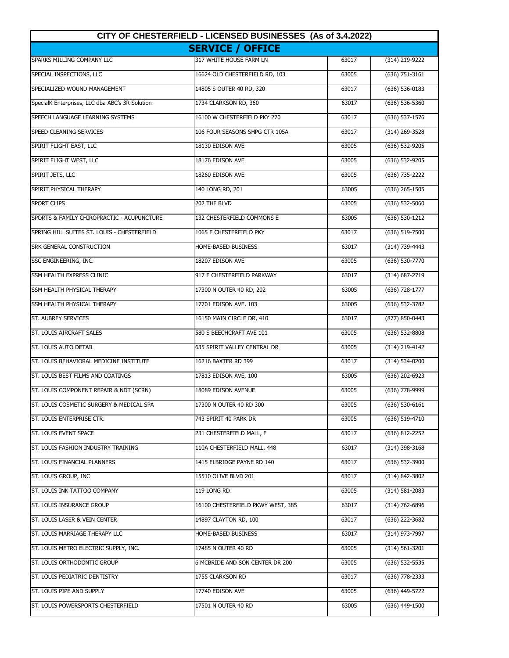| CITY OF CHESTERFIELD - LICENSED BUSINESSES (As of 3.4.2022) |                                   |       |                    |
|-------------------------------------------------------------|-----------------------------------|-------|--------------------|
|                                                             | <b>SERVICE / OFFICE</b>           |       |                    |
| SPARKS MILLING COMPANY LLC                                  | 317 WHITE HOUSE FARM LN           | 63017 | (314) 219-9222     |
| SPECIAL INSPECTIONS, LLC                                    | 16624 OLD CHESTERFIELD RD, 103    | 63005 | $(636) 751 - 3161$ |
| SPECIALIZED WOUND MANAGEMENT                                | 14805 S OUTER 40 RD, 320          | 63017 | $(636) 536 - 0183$ |
| SpecialK Enterprises, LLC dba ABC's 3R Solution             | 1734 CLARKSON RD, 360             | 63017 | (636) 536-5360     |
| SPEECH LANGUAGE LEARNING SYSTEMS                            | 16100 W CHESTERFIELD PKY 270      | 63017 | (636) 537-1576     |
| SPEED CLEANING SERVICES                                     | 106 FOUR SEASONS SHPG CTR 105A    | 63017 | (314) 269-3528     |
| SPIRIT FLIGHT EAST, LLC                                     | 18130 EDISON AVE                  | 63005 | (636) 532-9205     |
| SPIRIT FLIGHT WEST, LLC                                     | 18176 EDISON AVE                  | 63005 | (636) 532-9205     |
| SPIRIT JETS, LLC                                            | 18260 EDISON AVE                  | 63005 | (636) 735-2222     |
| SPIRIT PHYSICAL THERAPY                                     | 140 LONG RD, 201                  | 63005 | $(636)$ 265-1505   |
| <b>SPORT CLIPS</b>                                          | 202 THF BLVD                      | 63005 | (636) 532-5060     |
| SPORTS & FAMILY CHIROPRACTIC - ACUPUNCTURE                  | 132 CHESTERFIELD COMMONS E        | 63005 | $(636) 530-1212$   |
| SPRING HILL SUITES ST. LOUIS - CHESTERFIELD                 | 1065 E CHESTERFIELD PKY           | 63017 | $(636) 519 - 7500$ |
| <b>SRK GENERAL CONSTRUCTION</b>                             | HOME-BASED BUSINESS               | 63017 | (314) 739-4443     |
| SSC ENGINEERING, INC.                                       | 18207 EDISON AVE                  | 63005 | (636) 530-7770     |
| SSM HEALTH EXPRESS CLINIC                                   | 917 E CHESTERFIELD PARKWAY        | 63017 | (314) 687-2719     |
| SSM HEALTH PHYSICAL THERAPY                                 | 17300 N OUTER 40 RD, 202          | 63005 | (636) 728-1777     |
| SSM HEALTH PHYSICAL THERAPY                                 | 17701 EDISON AVE, 103             | 63005 | (636) 532-3782     |
| ST. AUBREY SERVICES                                         | 16150 MAIN CIRCLE DR, 410         | 63017 | (877) 850-0443     |
| ST. LOUIS AIRCRAFT SALES                                    | 580 S BEECHCRAFT AVE 101          | 63005 | (636) 532-8808     |
| ST. LOUIS AUTO DETAIL                                       | 635 SPIRIT VALLEY CENTRAL DR      | 63005 | (314) 219-4142     |
| ST. LOUIS BEHAVIORAL MEDICINE INSTITUTE                     | 16216 BAXTER RD 399               | 63017 | (314) 534-0200     |
| ST. LOUIS BEST FILMS AND COATINGS                           | 17813 EDISON AVE, 100             | 63005 | (636) 202-6923     |
| ST. LOUIS COMPONENT REPAIR & NDT (SCRN)                     | 18089 EDISON AVENUE               | 63005 | (636) 778-9999     |
| ST. LOUIS COSMETIC SURGERY & MEDICAL SPA                    | 17300 N OUTER 40 RD 300           | 63005 | (636) 530-6161     |
| ST. LOUIS ENTERPRISE CTR.                                   | 743 SPIRIT 40 PARK DR             | 63005 | (636) 519-4710     |
| ST. LOUIS EVENT SPACE                                       | 231 CHESTERFIELD MALL, F          | 63017 | (636) 812-2252     |
| ST. LOUIS FASHION INDUSTRY TRAINING                         | 110A CHESTERFIELD MALL, 448       | 63017 | (314) 398-3168     |
| ST. LOUIS FINANCIAL PLANNERS                                | 1415 ELBRIDGE PAYNE RD 140        | 63017 | (636) 532-3900     |
| ST. LOUIS GROUP, INC                                        | 15510 OLIVE BLVD 201              | 63017 | (314) 842-3802     |
| ST. LOUIS INK TATTOO COMPANY                                | 119 LONG RD                       | 63005 | $(314) 581 - 2083$ |
| ST. LOUIS INSURANCE GROUP                                   | 16100 CHESTERFIELD PKWY WEST, 385 | 63017 | (314) 762-6896     |
| ST. LOUIS LASER & VEIN CENTER                               | 14897 CLAYTON RD, 100             | 63017 | (636) 222-3682     |
| ST. LOUIS MARRIAGE THERAPY LLC                              | HOME-BASED BUSINESS               | 63017 | (314) 973-7997     |
| ST. LOUIS METRO ELECTRIC SUPPLY, INC.                       | 17485 N OUTER 40 RD               | 63005 | $(314) 561 - 3201$ |
| ST. LOUIS ORTHODONTIC GROUP                                 | 6 MCBRIDE AND SON CENTER DR 200   | 63005 | (636) 532-5535     |
| ST. LOUIS PEDIATRIC DENTISTRY                               | 1755 CLARKSON RD                  | 63017 | (636) 778-2333     |
| ST. LOUIS PIPE AND SUPPLY                                   | 17740 EDISON AVE                  | 63005 | (636) 449-5722     |
| ST. LOUIS POWERSPORTS CHESTERFIELD                          | 17501 N OUTER 40 RD               | 63005 | (636) 449-1500     |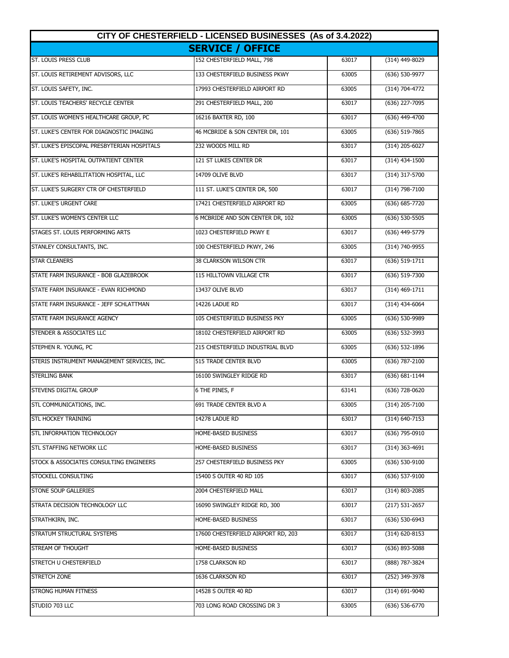| CITY OF CHESTERFIELD - LICENSED BUSINESSES (As of 3.4.2022) |                                    |       |                    |
|-------------------------------------------------------------|------------------------------------|-------|--------------------|
|                                                             | <b>SERVICE / OFFICE</b>            |       |                    |
| <b>ST. LOUIS PRESS CLUB</b>                                 | 152 CHESTERFIELD MALL, 798         | 63017 | (314) 449-8029     |
| ST. LOUIS RETIREMENT ADVISORS, LLC                          | 133 CHESTERFIELD BUSINESS PKWY     | 63005 | (636) 530-9977     |
| ST. LOUIS SAFETY, INC.                                      | 17993 CHESTERFIELD AIRPORT RD      | 63005 | (314) 704-4772     |
| ST. LOUIS TEACHERS' RECYCLE CENTER                          | 291 CHESTERFIELD MALL, 200         | 63017 | (636) 227-7095     |
| ST. LOUIS WOMEN'S HEALTHCARE GROUP, PC                      | 16216 BAXTER RD, 100               | 63017 | (636) 449-4700     |
| <b>ST. LUKE'S CENTER FOR DIAGNOSTIC IMAGING</b>             | 46 MCBRIDE & SON CENTER DR, 101    | 63005 | (636) 519-7865     |
| ST. LUKE'S EPISCOPAL PRESBYTERIAN HOSPITALS                 | 232 WOODS MILL RD                  | 63017 | (314) 205-6027     |
| ST. LUKE'S HOSPITAL OUTPATIENT CENTER                       | 121 ST LUKES CENTER DR             | 63017 | $(314)$ 434-1500   |
| ST. LUKE'S REHABILITATION HOSPITAL, LLC                     | 14709 OLIVE BLVD                   | 63017 | (314) 317-5700     |
| ST. LUKE'S SURGERY CTR OF CHESTERFIELD                      | 111 ST. LUKE'S CENTER DR, 500      | 63017 | (314) 798-7100     |
| ST. LUKE'S URGENT CARE                                      | 17421 CHESTERFIELD AIRPORT RD      | 63005 | $(636) 685 - 7720$ |
| ST. LUKE'S WOMEN'S CENTER LLC                               | 6 MCBRIDE AND SON CENTER DR, 102   | 63005 | $(636) 530 - 5505$ |
| STAGES ST. LOUIS PERFORMING ARTS                            | 1023 CHESTERFIELD PKWY E           | 63017 | (636) 449-5779     |
| STANLEY CONSULTANTS, INC.                                   | 100 CHESTERFIELD PKWY, 246         | 63005 | $(314) 740 - 9955$ |
| <b>STAR CLEANERS</b>                                        | 38 CLARKSON WILSON CTR             | 63017 | (636) 519-1711     |
| STATE FARM INSURANCE - BOB GLAZEBROOK                       | 115 HILLTOWN VILLAGE CTR           | 63017 | (636) 519-7300     |
| STATE FARM INSURANCE - EVAN RICHMOND                        | 13437 OLIVE BLVD                   | 63017 | $(314)$ 469-1711   |
| STATE FARM INSURANCE - JEFF SCHLATTMAN                      | 14226 LADUE RD                     | 63017 | (314) 434-6064     |
| STATE FARM INSURANCE AGENCY                                 | 105 CHESTERFIELD BUSINESS PKY      | 63005 | (636) 530-9989     |
| STENDER & ASSOCIATES LLC                                    | 18102 CHESTERFIELD AIRPORT RD      | 63005 | (636) 532-3993     |
| STEPHEN R. YOUNG, PC                                        | 215 CHESTERFIELD INDUSTRIAL BLVD   | 63005 | (636) 532-1896     |
| STERIS INSTRUMENT MANAGEMENT SERVICES, INC.                 | 515 TRADE CENTER BLVD              | 63005 | (636) 787-2100     |
| <b>STERLING BANK</b>                                        | 16100 SWINGLEY RIDGE RD            | 63017 | $(636) 681 - 1144$ |
| <b>STEVENS DIGITAL GROUP</b>                                | 6 THE PINES, F                     | 63141 | $(636)$ 728-0620   |
| STL COMMUNICATIONS, INC.                                    | 691 TRADE CENTER BLVD A            | 63005 | (314) 205-7100     |
| STL HOCKEY TRAINING                                         | 14278 LADUE RD                     | 63017 | (314) 640-7153     |
| STL INFORMATION TECHNOLOGY                                  | HOME-BASED BUSINESS                | 63017 | (636) 795-0910     |
| STL STAFFING NETWORK LLC                                    | HOME-BASED BUSINESS                | 63017 | $(314)$ 363-4691   |
| STOCK & ASSOCIATES CONSULTING ENGINEERS                     | 257 CHESTERFIELD BUSINESS PKY      | 63005 | $(636)$ 530-9100   |
| STOCKELL CONSULTING                                         | 15400 S OUTER 40 RD 105            | 63017 | (636) 537-9100     |
| STONE SOUP GALLERIES                                        | 2004 CHESTERFIELD MALL             | 63017 | (314) 803-2085     |
| STRATA DECISION TECHNOLOGY LLC                              | 16090 SWINGLEY RIDGE RD, 300       | 63017 | $(217) 531 - 2657$ |
| STRATHKIRN, INC.                                            | HOME-BASED BUSINESS                | 63017 | (636) 530-6943     |
| STRATUM STRUCTURAL SYSTEMS                                  | 17600 CHESTERFIELD AIRPORT RD, 203 | 63017 | (314) 620-8153     |
| STREAM OF THOUGHT                                           | HOME-BASED BUSINESS                | 63017 | $(636)$ 893-5088   |
| STRETCH U CHESTERFIELD                                      | 1758 CLARKSON RD                   | 63017 | (888) 787-3824     |
| <b>STRETCH ZONE</b>                                         | 1636 CLARKSON RD                   | 63017 | (252) 349-3978     |
| <b>STRONG HUMAN FITNESS</b>                                 | 14528 S OUTER 40 RD                | 63017 | (314) 691-9040     |
| STUDIO 703 LLC                                              | 703 LONG ROAD CROSSING DR 3        | 63005 | $(636)$ 536-6770   |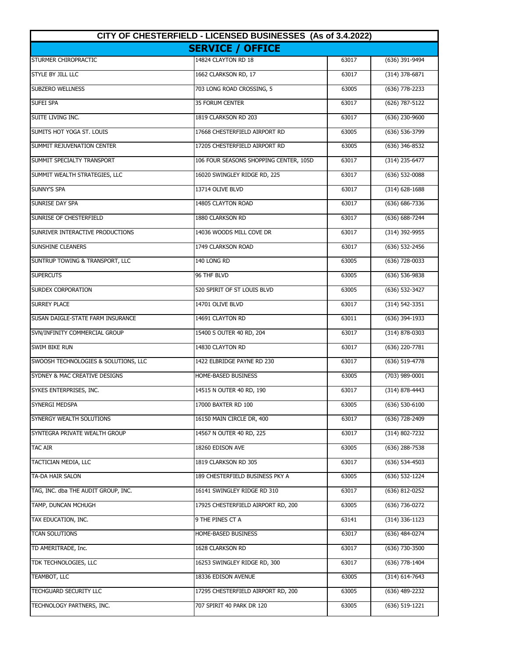| CITY OF CHESTERFIELD - LICENSED BUSINESSES (As of 3.4.2022) |                                        |       |                    |
|-------------------------------------------------------------|----------------------------------------|-------|--------------------|
|                                                             | <b>SERVICE / OFFICE</b>                |       |                    |
| STURMER CHIROPRACTIC                                        | 14824 CLAYTON RD 18                    | 63017 | (636) 391-9494     |
| STYLE BY JILL LLC                                           | 1662 CLARKSON RD, 17                   | 63017 | $(314)$ 378-6871   |
| <b>SUBZERO WELLNESS</b>                                     | 703 LONG ROAD CROSSING, 5              | 63005 | (636) 778-2233     |
| SUFEI SPA                                                   | 35 FORUM CENTER                        | 63017 | (626) 787-5122     |
| SUITE LIVING INC.                                           | 1819 CLARKSON RD 203                   | 63017 | (636) 230-9600     |
| SUMITS HOT YOGA ST. LOUIS                                   | 17668 CHESTERFIELD AIRPORT RD          | 63005 | (636) 536-3799     |
| SUMMIT REJUVENATION CENTER                                  | 17205 CHESTERFIELD AIRPORT RD          | 63005 | (636) 346-8532     |
| SUMMIT SPECIALTY TRANSPORT                                  | 106 FOUR SEASONS SHOPPING CENTER, 105D | 63017 | (314) 235-6477     |
| SUMMIT WEALTH STRATEGIES, LLC                               | 16020 SWINGLEY RIDGE RD, 225           | 63017 | $(636)$ 532-0088   |
| SUNNY'S SPA                                                 | 13714 OLIVE BLVD                       | 63017 | $(314)$ 628-1688   |
| SUNRISE DAY SPA                                             | 14805 CLAYTON ROAD                     | 63017 | (636) 686-7336     |
| SUNRISE OF CHESTERFIELD                                     | 1880 CLARKSON RD                       | 63017 | (636) 688-7244     |
| SUNRIVER INTERACTIVE PRODUCTIONS                            | 14036 WOODS MILL COVE DR               | 63017 | (314) 392-9955     |
| SUNSHINE CLEANERS                                           | 1749 CLARKSON ROAD                     | 63017 | (636) 532-2456     |
| SUNTRUP TOWING & TRANSPORT, LLC                             | 140 LONG RD                            | 63005 | (636) 728-0033     |
| <b>SUPERCUTS</b>                                            | 96 THF BLVD                            | 63005 | (636) 536-9838     |
| <b>SURDEX CORPORATION</b>                                   | 520 SPIRIT OF ST LOUIS BLVD            | 63005 | (636) 532-3427     |
| <b>SURREY PLACE</b>                                         | 14701 OLIVE BLVD                       | 63017 | (314) 542-3351     |
| SUSAN DAIGLE-STATE FARM INSURANCE                           | 14691 CLAYTON RD                       | 63011 | (636) 394-1933     |
| SVN/INFINITY COMMERCIAL GROUP                               | 15400 S OUTER 40 RD, 204               | 63017 | (314) 878-0303     |
| <b>SWIM BIKE RUN</b>                                        | 14830 CLAYTON RD                       | 63017 | (636) 220-7781     |
| SWOOSH TECHNOLOGIES & SOLUTIONS, LLC                        | 1422 ELBRIDGE PAYNE RD 230             | 63017 | (636) 519-4778     |
| SYDNEY & MAC CREATIVE DESIGNS                               | HOME-BASED BUSINESS                    | 63005 | (703) 989-0001     |
| SYKES ENTERPRISES, INC.                                     | 14515 N OUTER 40 RD, 190               | 63017 | $(314) 878 - 4443$ |
| SYNERGI MEDSPA                                              | 17000 BAXTER RD 100                    | 63005 | $(636) 530 - 6100$ |
| SYNERGY WEALTH SOLUTIONS                                    | 16150 MAIN CIRCLE DR, 400              | 63017 | (636) 728-2409     |
| SYNTEGRA PRIVATE WEALTH GROUP                               | 14567 N OUTER 40 RD, 225               | 63017 | (314) 802-7232     |
| <b>TAC AIR</b>                                              | 18260 EDISON AVE                       | 63005 | $(636)$ 288-7538   |
| TACTICIAN MEDIA, LLC                                        | 1819 CLARKSON RD 305                   | 63017 | $(636)$ 534-4503   |
| TA-DA HAIR SALON                                            | 189 CHESTERFIELD BUSINESS PKY A        | 63005 | (636) 532-1224     |
| TAG, INC. dba THE AUDIT GROUP, INC.                         | 16141 SWINGLEY RIDGE RD 310            | 63017 | (636) 812-0252     |
| TAMP, DUNCAN MCHUGH                                         | 17925 CHESTERFIELD AIRPORT RD, 200     | 63005 | (636) 736-0272     |
| TAX EDUCATION, INC.                                         | 9 THE PINES CT A                       | 63141 | (314) 336-1123     |
| TCAN SOLUTIONS                                              | HOME-BASED BUSINESS                    | 63017 | (636) 484-0274     |
| TD AMERITRADE, Inc.                                         | 1628 CLARKSON RD                       | 63017 | (636) 730-3500     |
| TDK TECHNOLOGIES, LLC                                       | 16253 SWINGLEY RIDGE RD, 300           | 63017 | (636) 778-1404     |
| TEAMBOT, LLC                                                | 18336 EDISON AVENUE                    | 63005 | (314) 614-7643     |
| <b>TECHGUARD SECURITY LLC</b>                               | 17295 CHESTERFIELD AIRPORT RD, 200     | 63005 | (636) 489-2232     |
| TECHNOLOGY PARTNERS, INC.                                   | 707 SPIRIT 40 PARK DR 120              | 63005 | (636) 519-1221     |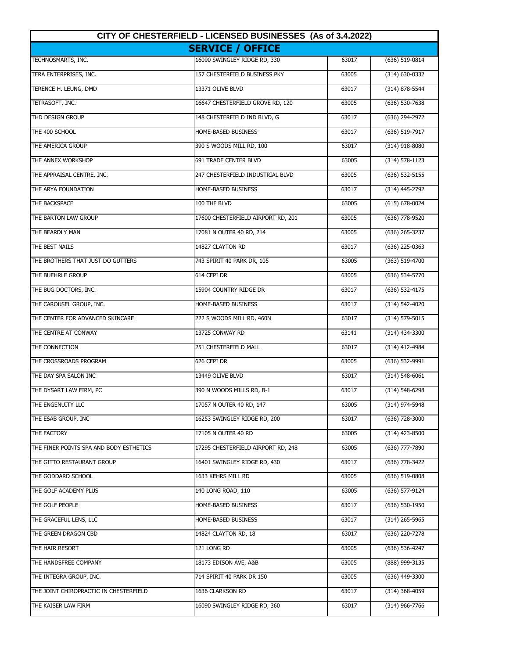| CITY OF CHESTERFIELD - LICENSED BUSINESSES (As of 3.4.2022) |                                    |       |                    |
|-------------------------------------------------------------|------------------------------------|-------|--------------------|
|                                                             | <b>SERVICE / OFFICE</b>            |       |                    |
| TECHNOSMARTS, INC.                                          | 16090 SWINGLEY RIDGE RD, 330       | 63017 | (636) 519-0814     |
| TERA ENTERPRISES, INC.                                      | 157 CHESTERFIELD BUSINESS PKY      | 63005 | $(314) 630 - 0332$ |
| TERENCE H. LEUNG, DMD                                       | 13371 OLIVE BLVD                   | 63017 | (314) 878-5544     |
| TETRASOFT, INC.                                             | 16647 CHESTERFIELD GROVE RD, 120   | 63005 | (636) 530-7638     |
| THD DESIGN GROUP                                            | 148 CHESTERFIELD IND BLVD, G       | 63017 | (636) 294-2972     |
| THE 400 SCHOOL                                              | HOME-BASED BUSINESS                | 63017 | (636) 519-7917     |
| THE AMERICA GROUP                                           | 390 S WOODS MILL RD, 100           | 63017 | (314) 918-8080     |
| THE ANNEX WORKSHOP                                          | 691 TRADE CENTER BLVD              | 63005 | (314) 578-1123     |
| THE APPRAISAL CENTRE, INC.                                  | 247 CHESTERFIELD INDUSTRIAL BLVD   | 63005 | $(636)$ 532-5155   |
| THE ARYA FOUNDATION                                         | HOME-BASED BUSINESS                | 63017 | (314) 445-2792     |
| THE BACKSPACE                                               | 100 THF BLVD                       | 63005 | $(615) 678 - 0024$ |
| THE BARTON LAW GROUP                                        | 17600 CHESTERFIELD AIRPORT RD, 201 | 63005 | $(636)$ 778-9520   |
| THE BEARDLY MAN                                             | 17081 N OUTER 40 RD, 214           | 63005 | $(636)$ 265-3237   |
| THE BEST NAILS                                              | 14827 CLAYTON RD                   | 63017 | (636) 225-0363     |
| THE BROTHERS THAT JUST DO GUTTERS                           | 743 SPIRIT 40 PARK DR, 105         | 63005 | (363) 519-4700     |
| THE BUEHRLE GROUP                                           | 614 CEPI DR                        | 63005 | (636) 534-5770     |
| THE BUG DOCTORS, INC.                                       | 15904 COUNTRY RIDGE DR             | 63017 | (636) 532-4175     |
| THE CAROUSEL GROUP, INC.                                    | HOME-BASED BUSINESS                | 63017 | (314) 542-4020     |
| THE CENTER FOR ADVANCED SKINCARE                            | 222 S WOODS MILL RD, 460N          | 63017 | (314) 579-5015     |
| THE CENTRE AT CONWAY                                        | 13725 CONWAY RD                    | 63141 | (314) 434-3300     |
| THE CONNECTION                                              | 251 CHESTERFIELD MALL              | 63017 | (314) 412-4984     |
| THE CROSSROADS PROGRAM                                      | 626 CEPI DR                        | 63005 | (636) 532-9991     |
| THE DAY SPA SALON INC                                       | 13449 OLIVE BLVD                   | 63017 | $(314) 548 - 6061$ |
| THE DYSART LAW FIRM, PC                                     | 390 N WOODS MILLS RD, B-1          | 63017 | $(314) 548 - 6298$ |
| THE ENGENUITY LLC                                           | 17057 N OUTER 40 RD, 147           | 63005 | (314) 974-5948     |
| THE ESAB GROUP, INC                                         | 16253 SWINGLEY RIDGE RD, 200       | 63017 | (636) 728-3000     |
| THE FACTORY                                                 | 17105 N OUTER 40 RD                | 63005 | $(314)$ 423-8500   |
| THE FINER POINTS SPA AND BODY ESTHETICS                     | 17295 CHESTERFIELD AIRPORT RD, 248 | 63005 | (636) 777-7890     |
| THE GITTO RESTAURANT GROUP                                  | 16401 SWINGLEY RIDGE RD, 430       | 63017 | (636) 778-3422     |
| THE GODDARD SCHOOL                                          | 1633 KEHRS MILL RD                 | 63005 | $(636)$ 519-0808   |
| THE GOLF ACADEMY PLUS                                       | 140 LONG ROAD, 110                 | 63005 | (636) 577-9124     |
| THE GOLF PEOPLE                                             | HOME-BASED BUSINESS                | 63017 | $(636)$ 530-1950   |
| THE GRACEFUL LENS, LLC                                      | HOME-BASED BUSINESS                | 63017 | $(314)$ 265-5965   |
| THE GREEN DRAGON CBD                                        | 14824 CLAYTON RD, 18               | 63017 | (636) 220-7278     |
| THE HAIR RESORT                                             | 121 LONG RD                        | 63005 | (636) 536-4247     |
| THE HANDSFREE COMPANY                                       | 18173 EDISON AVE, A&B              | 63005 | (888) 999-3135     |
| THE INTEGRA GROUP, INC.                                     | 714 SPIRIT 40 PARK DR 150          | 63005 | (636) 449-3300     |
| THE JOINT CHIROPRACTIC IN CHESTERFIELD                      | 1636 CLARKSON RD                   | 63017 | $(314)$ 368-4059   |
| THE KAISER LAW FIRM                                         | 16090 SWINGLEY RIDGE RD, 360       | 63017 | (314) 966-7766     |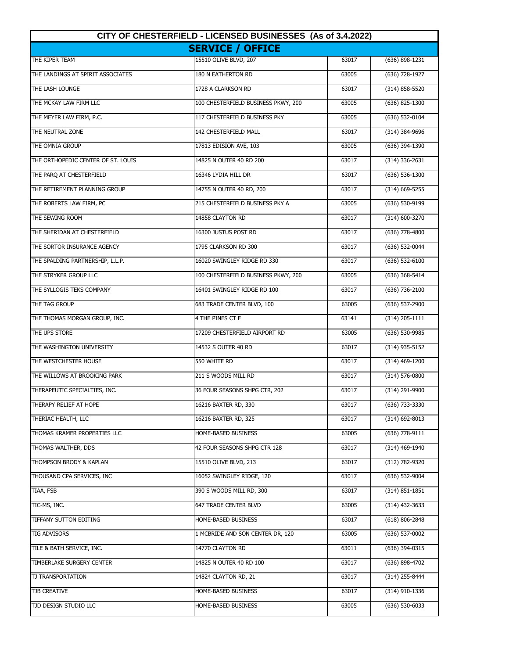| CITY OF CHESTERFIELD - LICENSED BUSINESSES (As of 3.4.2022) |                                     |       |                    |
|-------------------------------------------------------------|-------------------------------------|-------|--------------------|
|                                                             | <b>SERVICE / OFFICE</b>             |       |                    |
| THE KIPER TEAM                                              | 15510 OLIVE BLVD, 207               | 63017 | $(636) 898 - 1231$ |
| THE LANDINGS AT SPIRIT ASSOCIATES                           | 180 N EATHERTON RD                  | 63005 | (636) 728-1927     |
| THE LASH LOUNGE                                             | 1728 A CLARKSON RD                  | 63017 | $(314) 858 - 5520$ |
| THE MCKAY LAW FIRM LLC                                      | 100 CHESTERFIELD BUSINESS PKWY, 200 | 63005 | (636) 825-1300     |
| THE MEYER LAW FIRM, P.C.                                    | 117 CHESTERFIELD BUSINESS PKY       | 63005 | (636) 532-0104     |
| THE NEUTRAL ZONE                                            | 142 CHESTERFIELD MALL               | 63017 | $(314)$ 384-9696   |
| THE OMNIA GROUP                                             | 17813 EDISION AVE, 103              | 63005 | (636) 394-1390     |
| THE ORTHOPEDIC CENTER OF ST. LOUIS                          | 14825 N OUTER 40 RD 200             | 63017 | $(314)$ 336-2631   |
| THE PARQ AT CHESTERFIELD                                    | 16346 LYDIA HILL DR                 | 63017 | $(636) 536 - 1300$ |
| THE RETIREMENT PLANNING GROUP                               | 14755 N OUTER 40 RD, 200            | 63017 | $(314)$ 669-5255   |
| THE ROBERTS LAW FIRM, PC                                    | 215 CHESTERFIELD BUSINESS PKY A     | 63005 | (636) 530-9199     |
| THE SEWING ROOM                                             | 14858 CLAYTON RD                    | 63017 | $(314) 600 - 3270$ |
| THE SHERIDAN AT CHESTERFIELD                                | 16300 JUSTUS POST RD                | 63017 | $(636)$ 778-4800   |
| THE SORTOR INSURANCE AGENCY                                 | 1795 CLARKSON RD 300                | 63017 | (636) 532-0044     |
| THE SPALDING PARTNERSHIP, L.L.P.                            | 16020 SWINGLEY RIDGE RD 330         | 63017 | (636) 532-6100     |
| THE STRYKER GROUP LLC                                       | 100 CHESTERFIELD BUSINESS PKWY, 200 | 63005 | (636) 368-5414     |
| THE SYLLOGIS TEKS COMPANY                                   | 16401 SWINGLEY RIDGE RD 100         | 63017 | (636) 736-2100     |
| THE TAG GROUP                                               | 683 TRADE CENTER BLVD, 100          | 63005 | (636) 537-2900     |
| THE THOMAS MORGAN GROUP, INC.                               | 4 THE PINES CT F                    | 63141 | $(314)$ 205-1111   |
| THE UPS STORE                                               | 17209 CHESTERFIELD AIRPORT RD       | 63005 | (636) 530-9985     |
| THE WASHINGTON UNIVERSITY                                   | 14532 S OUTER 40 RD                 | 63017 | (314) 935-5152     |
| THE WESTCHESTER HOUSE                                       | 550 WHITE RD                        | 63017 | (314) 469-1200     |
| THE WILLOWS AT BROOKING PARK                                | 211 S WOODS MILL RD                 | 63017 | (314) 576-0800     |
| THERAPEUTIC SPECIALTIES, INC.                               | 36 FOUR SEASONS SHPG CTR, 202       | 63017 | (314) 291-9900     |
| THERAPY RELIEF AT HOPE                                      | 16216 BAXTER RD, 330                | 63017 | (636) 733-3330     |
| THERIAC HEALTH, LLC                                         | 16216 BAXTER RD, 325                | 63017 | $(314) 692 - 8013$ |
| THOMAS KRAMER PROPERTIES LLC                                | HOME-BASED BUSINESS                 | 63005 | (636) 778-9111     |
| THOMAS WALTHER, DDS                                         | 42 FOUR SEASONS SHPG CTR 128        | 63017 | (314) 469-1940     |
| THOMPSON BRODY & KAPLAN                                     | 15510 OLIVE BLVD, 213               | 63017 | (312) 782-9320     |
| THOUSAND CPA SERVICES, INC                                  | 16052 SWINGLEY RIDGE, 120           | 63017 | (636) 532-9004     |
| TIAA, FSB                                                   | 390 S WOODS MILL RD, 300            | 63017 | $(314) 851 - 1851$ |
| TIC-MS, INC.                                                | 647 TRADE CENTER BLVD               | 63005 | (314) 432-3633     |
| TIFFANY SUTTON EDITING                                      | HOME-BASED BUSINESS                 | 63017 | $(618) 806 - 2848$ |
| <b>TIG ADVISORS</b>                                         | 1 MCBRIDE AND SON CENTER DR, 120    | 63005 | $(636)$ 537-0002   |
| TILE & BATH SERVICE, INC.                                   | 14770 CLAYTON RD                    | 63011 | (636) 394-0315     |
| TIMBERLAKE SURGERY CENTER                                   | 14825 N OUTER 40 RD 100             | 63017 | (636) 898-4702     |
| TJ TRANSPORTATION                                           | 14824 CLAYTON RD, 21                | 63017 | (314) 255-8444     |
| TJB CREATIVE                                                | HOME-BASED BUSINESS                 | 63017 | (314) 910-1336     |
| TJD DESIGN STUDIO LLC                                       | HOME-BASED BUSINESS                 | 63005 | $(636)$ 530-6033   |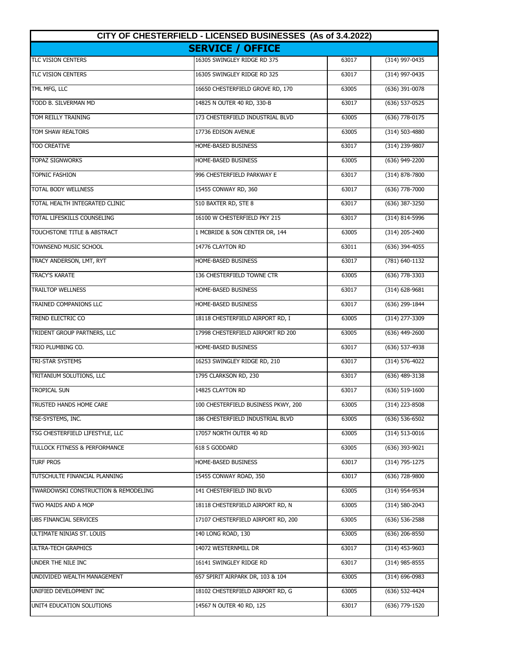| CITY OF CHESTERFIELD - LICENSED BUSINESSES (As of 3.4.2022) |                                     |       |                    |
|-------------------------------------------------------------|-------------------------------------|-------|--------------------|
|                                                             | <b>SERVICE / OFFICE</b>             |       |                    |
| <b>TLC VISION CENTERS</b>                                   | 16305 SWINGLEY RIDGE RD 375         | 63017 | (314) 997-0435     |
| TLC VISION CENTERS                                          | 16305 SWINGLEY RIDGE RD 325         | 63017 | (314) 997-0435     |
| TML MFG, LLC                                                | 16650 CHESTERFIELD GROVE RD, 170    | 63005 | (636) 391-0078     |
| TODD B. SILVERMAN MD                                        | 14825 N OUTER 40 RD, 330-B          | 63017 | (636) 537-0525     |
| TOM REILLY TRAINING                                         | 173 CHESTERFIELD INDUSTRIAL BLVD    | 63005 | (636) 778-0175     |
| TOM SHAW REALTORS                                           | 17736 EDISON AVENUE                 | 63005 | (314) 503-4880     |
| <b>TOO CREATIVE</b>                                         | HOME-BASED BUSINESS                 | 63017 | (314) 239-9807     |
| <b>TOPAZ SIGNWORKS</b>                                      | HOME-BASED BUSINESS                 | 63005 | (636) 949-2200     |
| <b>TOPNIC FASHION</b>                                       | 996 CHESTERFIELD PARKWAY E          | 63017 | (314) 878-7800     |
| TOTAL BODY WELLNESS                                         | 15455 CONWAY RD, 360                | 63017 | $(636)$ 778-7000   |
| TOTAL HEALTH INTEGRATED CLINIC                              | 510 BAXTER RD, STE 8                | 63017 | (636) 387-3250     |
| TOTAL LIFESKILLS COUNSELING                                 | 16100 W CHESTERFIELD PKY 215        | 63017 | $(314) 814 - 5996$ |
| TOUCHSTONE TITLE & ABSTRACT                                 | 1 MCBRIDE & SON CENTER DR, 144      | 63005 | $(314)$ 205-2400   |
| <b>TOWNSEND MUSIC SCHOOL</b>                                | 14776 CLAYTON RD                    | 63011 | $(636)$ 394-4055   |
| TRACY ANDERSON, LMT, RYT                                    | HOME-BASED BUSINESS                 | 63017 | (781) 640-1132     |
| <b>TRACY'S KARATE</b>                                       | 136 CHESTERFIELD TOWNE CTR          | 63005 | (636) 778-3303     |
| <b>TRAILTOP WELLNESS</b>                                    | HOME-BASED BUSINESS                 | 63017 | (314) 628-9681     |
| TRAINED COMPANIONS LLC                                      | HOME-BASED BUSINESS                 | 63017 | (636) 299-1844     |
| TREND ELECTRIC CO                                           | 18118 CHESTERFIELD AIRPORT RD, I    | 63005 | (314) 277-3309     |
| TRIDENT GROUP PARTNERS, LLC                                 | 17998 CHESTERFIELD AIRPORT RD 200   | 63005 | (636) 449-2600     |
| TRIO PLUMBING CO.                                           | HOME-BASED BUSINESS                 | 63017 | (636) 537-4938     |
| <b>TRI-STAR SYSTEMS</b>                                     | 16253 SWINGLEY RIDGE RD, 210        | 63017 | (314) 576-4022     |
| TRITANIUM SOLUTIONS, LLC                                    | 1795 CLARKSON RD, 230               | 63017 | $(636)$ 489-3138   |
| <b>TROPICAL SUN</b>                                         | 14825 CLAYTON RD                    | 63017 | $(636) 519-1600$   |
| TRUSTED HANDS HOME CARE                                     | 100 CHESTERFIELD BUSINESS PKWY, 200 | 63005 | (314) 223-8508     |
| TSE-SYSTEMS, INC.                                           | 186 CHESTERFIELD INDUSTRIAL BLVD    | 63005 | $(636) 536 - 6502$ |
| TSG CHESTERFIELD LIFESTYLE, LLC                             | 17057 NORTH OUTER 40 RD             | 63005 | (314) 513-0016     |
| TULLOCK FITNESS & PERFORMANCE                               | 618 S GODDARD                       | 63005 | (636) 393-9021     |
| TURF PROS                                                   | HOME-BASED BUSINESS                 | 63017 | (314) 795-1275     |
| TUTSCHULTE FINANCIAL PLANNING                               | 15455 CONWAY ROAD, 350              | 63017 | (636) 728-9800     |
| TWARDOWSKI CONSTRUCTION & REMODELING                        | 141 CHESTERFIELD IND BLVD           | 63005 | (314) 954-9534     |
| TWO MAIDS AND A MOP                                         | 18118 CHESTERFIELD AIRPORT RD, N    | 63005 | (314) 580-2043     |
| UBS FINANCIAL SERVICES                                      | 17107 CHESTERFIELD AIRPORT RD, 200  | 63005 | $(636)$ 536-2588   |
| ULTIMATE NINJAS ST. LOUIS                                   | 140 LONG ROAD, 130                  | 63005 | $(636)$ 206-8550   |
| ULTRA-TECH GRAPHICS                                         | 14072 WESTERNMILL DR                | 63017 | $(314)$ 453-9603   |
| UNDER THE NILE INC                                          | 16141 SWINGLEY RIDGE RD             | 63017 | $(314)$ 985-8555   |
| UNDIVIDED WEALTH MANAGEMENT                                 | 657 SPIRIT AIRPARK DR, 103 & 104    | 63005 | $(314)$ 696-0983   |
| UNIFIED DEVELOPMENT INC                                     | 18102 CHESTERFIELD AIRPORT RD, G    | 63005 | (636) 532-4424     |
| UNIT4 EDUCATION SOLUTIONS                                   | 14567 N OUTER 40 RD, 125            | 63017 | (636) 779-1520     |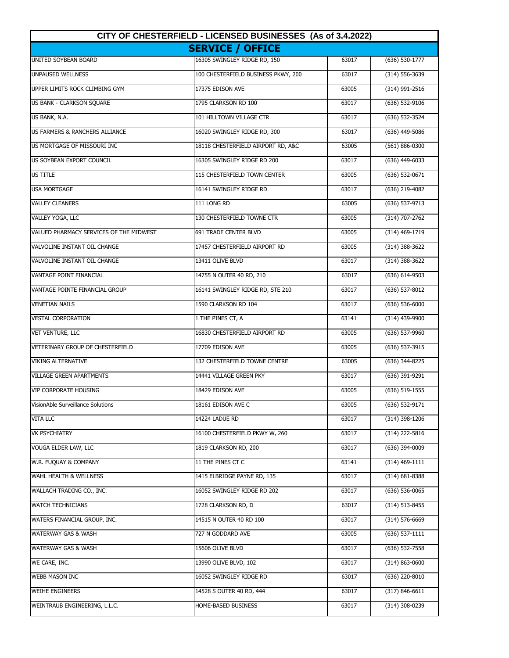| CITY OF CHESTERFIELD - LICENSED BUSINESSES (As of 3.4.2022) |                                     |       |                    |
|-------------------------------------------------------------|-------------------------------------|-------|--------------------|
|                                                             | <b>SERVICE / OFFICE</b>             |       |                    |
| <b>UNITED SOYBEAN BOARD</b>                                 | 16305 SWINGLEY RIDGE RD, 150        | 63017 | $(636) 530-1777$   |
| UNPAUSED WELLNESS                                           | 100 CHESTERFIELD BUSINESS PKWY, 200 | 63017 | $(314) 556 - 3639$ |
| UPPER LIMITS ROCK CLIMBING GYM                              | 17375 EDISON AVE                    | 63005 | (314) 991-2516     |
| US BANK - CLARKSON SQUARE                                   | 1795 CLARKSON RD 100                | 63017 | (636) 532-9106     |
| US BANK, N.A.                                               | 101 HILLTOWN VILLAGE CTR            | 63017 | (636) 532-3524     |
| <b>US FARMERS &amp; RANCHERS ALLIANCE</b>                   | 16020 SWINGLEY RIDGE RD, 300        | 63017 | $(636)$ 449-5086   |
| US MORTGAGE OF MISSOURI INC.                                | 18118 CHESTERFIELD AIRPORT RD, A&C  | 63005 | (561) 886-0300     |
| US SOYBEAN EXPORT COUNCIL                                   | 16305 SWINGLEY RIDGE RD 200         | 63017 | (636) 449-6033     |
| US TITLE                                                    | 115 CHESTERFIELD TOWN CENTER        | 63005 | (636) 532-0671     |
| <b>USA MORTGAGE</b>                                         | 16141 SWINGLEY RIDGE RD             | 63017 | (636) 219-4082     |
| <b>VALLEY CLEANERS</b>                                      | 111 LONG RD                         | 63005 | $(636) 537-9713$   |
| VALLEY YOGA, LLC                                            | 130 CHESTERFIELD TOWNE CTR          | 63005 | $(314) 707 - 2762$ |
| VALUED PHARMACY SERVICES OF THE MIDWEST                     | <b>691 TRADE CENTER BLVD</b>        | 63005 | $(314)$ 469-1719   |
| VALVOLINE INSTANT OIL CHANGE                                | 17457 CHESTERFIELD AIRPORT RD       | 63005 | (314) 388-3622     |
| VALVOLINE INSTANT OIL CHANGE                                | 13411 OLIVE BLVD                    | 63017 | (314) 388-3622     |
| VANTAGE POINT FINANCIAL                                     | 14755 N OUTER 40 RD, 210            | 63017 | (636) 614-9503     |
| VANTAGE POINTE FINANCIAL GROUP                              | 16141 SWINGLEY RIDGE RD, STE 210    | 63017 | (636) 537-8012     |
| <b>VENETIAN NAILS</b>                                       | 1590 CLARKSON RD 104                | 63017 | $(636) 536 - 6000$ |
| <b>VESTAL CORPORATION</b>                                   | 1 THE PINES CT, A                   | 63141 | (314) 439-9900     |
| <b>VET VENTURE, LLC</b>                                     | 16830 CHESTERFIELD AIRPORT RD       | 63005 | (636) 537-9960     |
| <b>VETERINARY GROUP OF CHESTERFIELD</b>                     | 17709 EDISON AVE                    | 63005 | (636) 537-3915     |
| <b>VIKING ALTERNATIVE</b>                                   | 132 CHESTERFIELD TOWNE CENTRE       | 63005 | (636) 344-8225     |
| <b>VILLAGE GREEN APARTMENTS</b>                             | 14441 VILLAGE GREEN PKY             | 63017 | (636) 391-9291     |
| <b>VIP CORPORATE HOUSING</b>                                | 18429 EDISON AVE                    | 63005 | $(636) 519 - 1555$ |
| VisionAble Surveillance Solutions                           | 18161 EDISON AVE C                  | 63005 | (636) 532-9171     |
| VITA LLC                                                    | 14224 LADUE RD                      | 63017 | (314) 398-1206     |
| <b>VK PSYCHIATRY</b>                                        | 16100 CHESTERFIELD PKWY W, 260      | 63017 | (314) 222-5816     |
| VOUGA ELDER LAW, LLC                                        | 1819 CLARKSON RD, 200               | 63017 | (636) 394-0009     |
| W.R. FUQUAY & COMPANY                                       | 11 THE PINES CT C                   | 63141 | $(314)$ 469-1111   |
| WAHL HEALTH & WELLNESS                                      | 1415 ELBRIDGE PAYNE RD, 135         | 63017 | (314) 681-8388     |
| WALLACH TRADING CO., INC.                                   | 16052 SWINGLEY RIDGE RD 202         | 63017 | (636) 536-0065     |
| <b>WATCH TECHNICIANS</b>                                    | 1728 CLARKSON RD, D                 | 63017 | $(314) 513 - 8455$ |
| WATERS FINANCIAL GROUP, INC.                                | 14515 N OUTER 40 RD 100             | 63017 | (314) 576-6669     |
| WATERWAY GAS & WASH                                         | 727 N GODDARD AVE                   | 63005 | (636) 537-1111     |
| WATERWAY GAS & WASH                                         | 15606 OLIVE BLVD                    | 63017 | (636) 532-7558     |
| WE CARE, INC.                                               | 13990 OLIVE BLVD, 102               | 63017 | (314) 863-0600     |
| <b>WEBB MASON INC</b>                                       | 16052 SWINGLEY RIDGE RD             | 63017 | (636) 220-8010     |
| <b>WEIHE ENGINEERS</b>                                      | 14528 S OUTER 40 RD, 444            | 63017 | $(317) 846 - 6611$ |
| WEINTRAUB ENGINEERING, L.L.C.                               | Home-based business                 | 63017 | (314) 308-0239     |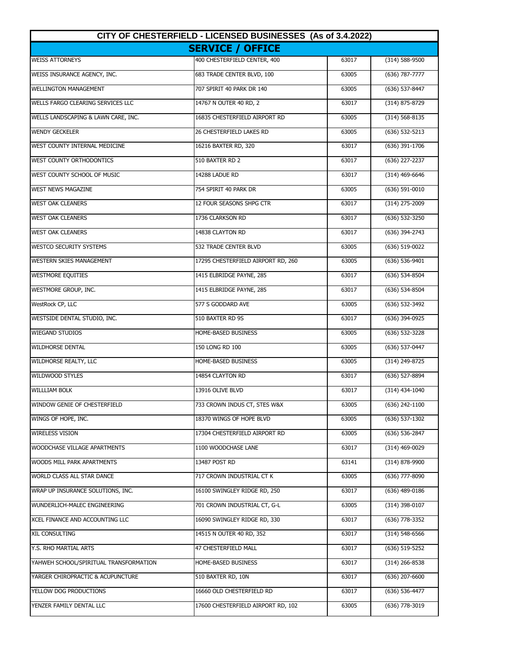| CITY OF CHESTERFIELD - LICENSED BUSINESSES (As of 3.4.2022)<br><b>SERVICE / OFFICE</b> |                                    |       |                    |  |  |
|----------------------------------------------------------------------------------------|------------------------------------|-------|--------------------|--|--|
|                                                                                        |                                    |       |                    |  |  |
| WEISS INSURANCE AGENCY, INC.                                                           | 683 TRADE CENTER BLVD, 100         | 63005 | (636) 787-7777     |  |  |
| <b>WELLINGTON MANAGEMENT</b>                                                           | 707 SPIRIT 40 PARK DR 140          | 63005 | (636) 537-8447     |  |  |
| WELLS FARGO CLEARING SERVICES LLC                                                      | 14767 N OUTER 40 RD, 2             | 63017 | (314) 875-8729     |  |  |
| WELLS LANDSCAPING & LAWN CARE, INC.                                                    | 16835 CHESTERFIELD AIRPORT RD      | 63005 | $(314) 568 - 8135$ |  |  |
| <b>WENDY GECKELER</b>                                                                  | 26 CHESTERFIELD LAKES RD           | 63005 | $(636) 532 - 5213$ |  |  |
| WEST COUNTY INTERNAL MEDICINE                                                          | 16216 BAXTER RD, 320               | 63017 | (636) 391-1706     |  |  |
| WEST COUNTY ORTHODONTICS                                                               | 510 BAXTER RD 2                    | 63017 | (636) 227-2237     |  |  |
| WEST COUNTY SCHOOL OF MUSIC                                                            | 14288 LADUE RD                     | 63017 | (314) 469-6646     |  |  |
| <b>WEST NEWS MAGAZINE</b>                                                              | 754 SPIRIT 40 PARK DR              | 63005 | $(636)$ 591-0010   |  |  |
| <b>WEST OAK CLEANERS</b>                                                               | 12 FOUR SEASONS SHPG CTR           | 63017 | (314) 275-2009     |  |  |
| <b>WEST OAK CLEANERS</b>                                                               | 1736 CLARKSON RD                   | 63017 | (636) 532-3250     |  |  |
| <b>WEST OAK CLEANERS</b>                                                               | 14838 CLAYTON RD                   | 63017 | $(636)$ 394-2743   |  |  |
| <b>WESTCO SECURITY SYSTEMS</b>                                                         | 532 TRADE CENTER BLVD              | 63005 | (636) 519-0022     |  |  |
| <b>WESTERN SKIES MANAGEMENT</b>                                                        | 17295 CHESTERFIELD AIRPORT RD, 260 | 63005 | (636) 536-9401     |  |  |
| <b>WESTMORE EQUITIES</b>                                                               | 1415 ELBRIDGE PAYNE, 285           | 63017 | (636) 534-8504     |  |  |
| WESTMORE GROUP, INC.                                                                   | 1415 ELBRIDGE PAYNE, 285           | 63017 | (636) 534-8504     |  |  |
| WestRock CP, LLC                                                                       | 577 S GODDARD AVE                  | 63005 | (636) 532-3492     |  |  |
| WESTSIDE DENTAL STUDIO, INC.                                                           | 510 BAXTER RD 9S                   | 63017 | (636) 394-0925     |  |  |
| <b>WIEGAND STUDIOS</b>                                                                 | HOME-BASED BUSINESS                | 63005 | (636) 532-3228     |  |  |
| <b>WILDHORSE DENTAL</b>                                                                | 150 LONG RD 100                    | 63005 | (636) 537-0447     |  |  |
| WILDHORSE REALTY, LLC                                                                  | HOME-BASED BUSINESS                | 63005 | (314) 249-8725     |  |  |
| <b>WILDWOOD STYLES</b>                                                                 | 14854 CLAYTON RD                   | 63017 | (636) 527-8894     |  |  |
| <b>WILLLIAM BOLK</b>                                                                   | 13916 OLIVE BLVD                   | 63017 | $(314)$ 434-1040   |  |  |
| WINDOW GENIE OF CHESTERFIELD                                                           | 733 CROWN INDUS CT, STES W&X       | 63005 | (636) 242-1100     |  |  |
| WINGS OF HOPE, INC.                                                                    | 18370 WINGS OF HOPE BLVD           | 63005 | $(636)$ 537-1302   |  |  |
| <b>WIRELESS VISION</b>                                                                 | 17304 CHESTERFIELD AIRPORT RD      | 63005 | (636) 536-2847     |  |  |
| WOODCHASE VILLAGE APARTMENTS                                                           | 1100 WOODCHASE LANE                | 63017 | (314) 469-0029     |  |  |
| WOODS MILL PARK APARTMENTS                                                             | 13487 POST RD                      | 63141 | (314) 878-9900     |  |  |
| WORLD CLASS ALL STAR DANCE                                                             | 717 CROWN INDUSTRIAL CT K          | 63005 | (636) 777-8090     |  |  |
| WRAP UP INSURANCE SOLUTIONS, INC.                                                      | 16100 SWINGLEY RIDGE RD, 250       | 63017 | $(636)$ 489-0186   |  |  |
| WUNDERLICH-MALEC ENGINEERING                                                           | 701 CROWN INDUSTRIAL CT, G-L       | 63005 | (314) 398-0107     |  |  |
| XCEL FINANCE AND ACCOUNTING LLC                                                        | 16090 SWINGLEY RIDGE RD, 330       | 63017 | (636) 778-3352     |  |  |
| XIL CONSULTING                                                                         | 14515 N OUTER 40 RD, 352           | 63017 | $(314) 548 - 6566$ |  |  |
| Y.S. RHO MARTIAL ARTS                                                                  | 47 CHESTERFIELD MALL               | 63017 | (636) 519-5252     |  |  |
| YAHWEH SCHOOL/SPIRITUAL TRANSFORMATION                                                 | HOME-BASED BUSINESS                | 63017 | $(314)$ 266-8538   |  |  |
| YARGER CHIROPRACTIC & ACUPUNCTURE                                                      | 510 BAXTER RD, 10N                 | 63017 | $(636)$ 207-6600   |  |  |
| YELLOW DOG PRODUCTIONS                                                                 | 16660 OLD CHESTERFIELD RD          | 63017 | (636) 536-4477     |  |  |
| YENZER FAMILY DENTAL LLC                                                               | 17600 CHESTERFIELD AIRPORT RD, 102 | 63005 | (636) 778-3019     |  |  |